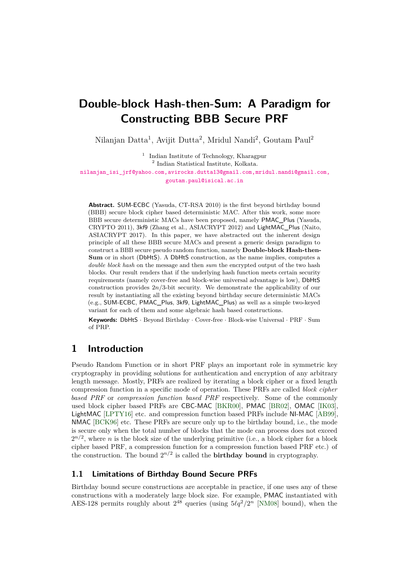# **Double-block Hash-then-Sum: A Paradigm for Constructing BBB Secure PRF**

Nilanjan Datta<sup>1</sup>, Avijit Dutta<sup>2</sup>, Mridul Nandi<sup>2</sup>, Goutam Paul<sup>2</sup>

<sup>1</sup> Indian Institute of Technology, Kharagpur 2 Indian Statistical Institute, Kolkata.

[nilanjan\\_isi\\_jrf@yahoo.com,avirocks.dutta13@gmail.com,mridul.nandi@gmail.com,](mailto:nilanjan_isi_jrf@yahoo.com, avirocks.dutta13@gmail.com, mridul.nandi@gmail.com, goutam.paul@isical.ac.in) [goutam.paul@isical.ac.in](mailto:nilanjan_isi_jrf@yahoo.com, avirocks.dutta13@gmail.com, mridul.nandi@gmail.com, goutam.paul@isical.ac.in)

**Abstract.** SUM-ECBC (Yasuda, CT-RSA 2010) is the first beyond birthday bound (BBB) secure block cipher based deterministic MAC. After this work, some more BBB secure deterministic MACs have been proposed, namely PMAC\_Plus (Yasuda, CRYPTO 2011), 3kf9 (Zhang et al., ASIACRYPT 2012) and LightMAC\_Plus (Naito, ASIACRYPT 2017). In this paper, we have abstracted out the inherent design principle of all these BBB secure MACs and present a generic design paradigm to construct a BBB secure pseudo random function, namely **Double-block Hash-then-Sum** or in short (DbHtS). A DbHtS construction, as the name implies, computes a *double block hash* on the message and then *sum* the encrypted output of the two hash blocks. Our result renders that if the underlying hash function meets certain security requirements (namely cover-free and block-wise universal advantage is low), DbHtS construction provides 2*n/*3-bit security. We demonstrate the applicability of our result by instantiating all the existing beyond birthday secure deterministic MACs (e.g., SUM-ECBC, PMAC\_Plus, 3kf9, LightMAC\_Plus) as well as a simple two-keyed variant for each of them and some algebraic hash based constructions.

**Keywords:** DbHtS · Beyond Birthday · Cover-free · Block-wise Universal · PRF · Sum of PRP.

## **1 Introduction**

Pseudo Random Function or in short PRF plays an important role in symmetric key cryptography in providing solutions for authentication and encryption of any arbitrary length message. Mostly, PRFs are realized by iterating a block cipher or a fixed length compression function in a specific mode of operation. These PRFs are called *block cipher based PRF* or *compression function based PRF* respectively. Some of the commonly used block cipher based PRFs are CBC-MAC [\[BKR00\]](#page-47-0), PMAC [\[BR02\]](#page-47-1), OMAC [\[IK03\]](#page-48-0), LightMAC [\[LPTY16\]](#page-48-1) etc. and compression function based PRFs include NI-MAC [\[AB99\]](#page-46-0), NMAC [\[BCK96\]](#page-46-1) etc. These PRFs are secure only up to the birthday bound, i.e., the mode is secure only when the total number of blocks that the mode can process does not exceed  $2^{n/2}$ , where *n* is the block size of the underlying primitive (i.e., a block cipher for a block cipher based PRF, a compression function for a compression function based PRF etc.) of the construction. The bound  $2^{n/2}$  is called the **birthday bound** in cryptography.

### **1.1 Limitations of Birthday Bound Secure PRFs**

Birthday bound secure constructions are acceptable in practice, if one uses any of these constructions with a moderately large block size. For example, PMAC instantiated with AES-128 permits roughly about  $2^{48}$  queries (using  $5\ell q^2/2^n$  [\[NM08\]](#page-48-2) bound), when the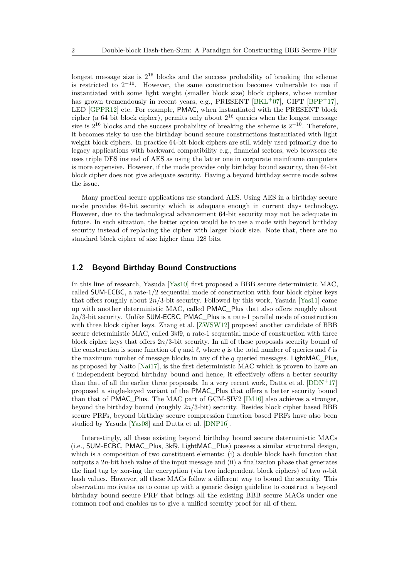longest message size is  $2^{16}$  blocks and the success probability of breaking the scheme is restricted to  $2^{-10}$ . However, the same construction becomes vulnerable to use if instantiated with some light weight (smaller block size) block ciphers, whose number has grown tremendously in recent years, e.g., PRESENT [\[BKL](#page-46-2)+07], GIFT [\[BPP](#page-47-2)+17], LED [\[GPPR12\]](#page-48-3) etc. For example, PMAC, when instantiated with the PRESENT block cipher (a 64 bit block cipher), permits only about  $2^{16}$  queries when the longest message size is  $2^{16}$  blocks and the success probability of breaking the scheme is  $2^{-10}$ . Therefore, it becomes risky to use the birthday bound secure constructions instantiated with light weight block ciphers. In practice 64-bit block ciphers are still widely used primarily due to legacy applications with backward compatibility e.g., financial sectors, web browsers etc uses triple DES instead of AES as using the latter one in corporate mainframe computers is more expensive. However, if the mode provides only birthday bound security, then 64-bit block cipher does not give adequate security. Having a beyond birthday secure mode solves the issue.

Many practical secure applications use standard AES. Using AES in a birthday secure mode provides 64-bit security which is adequate enough in current days technology. However, due to the technological advancement 64-bit security may not be adequate in future. In such situation, the better option would be to use a mode with beyond birthday security instead of replacing the cipher with larger block size. Note that, there are no standard block cipher of size higher than 128 bits.

#### **1.2 Beyond Birthday Bound Constructions**

In this line of research, Yasuda [\[Yas10\]](#page-49-0) first proposed a BBB secure deterministic MAC, called SUM-ECBC, a rate-1*/*2 sequential mode of construction with four block cipher keys that offers roughly about 2*n/*3-bit security. Followed by this work, Yasuda [\[Yas11\]](#page-49-1) came up with another deterministic MAC, called PMAC\_Plus that also offers roughly about 2*n/*3-bit security. Unlike SUM-ECBC, PMAC\_Plus is a rate-1 parallel mode of construction with three block cipher keys. Zhang et al. [\[ZWSW12\]](#page-49-2) proposed another candidate of BBB secure deterministic MAC, called 3kf9, a rate-1 sequential mode of construction with three block cipher keys that offers 2*n/*3-bit security. In all of these proposals security bound of the construction is some function of *q* and  $\ell$ , where *q* is the total number of queries and  $\ell$  is the maximum number of message blocks in any of the *q* queried messages. LightMAC\_Plus, as proposed by Naito [\[Nai17\]](#page-48-4), is the first deterministic MAC which is proven to have an  $\ell$  independent beyond birthday bound and hence, it effectively offers a better security than that of all the earlier three proposals. In a very recent work, Datta et al.  $[DDN+17]$  $[DDN+17]$ proposed a single-keyed variant of the PMAC\_Plus that offers a better security bound than that of PMAC\_Plus. The MAC part of GCM-SIV2 [\[IM16\]](#page-48-5) also achieves a stronger, beyond the birthday bound (roughly 2*n/*3-bit) security. Besides block cipher based BBB secure PRFs, beyond birthday secure compression function based PRFs have also been studied by Yasuda [\[Yas08\]](#page-49-3) and Dutta et al. [\[DNP16\]](#page-48-6).

Interestingly, all these existing beyond birthday bound secure deterministic MACs (i.e., SUM-ECBC, PMAC\_Plus, 3kf9, LightMAC\_Plus) possess a similar structural design, which is a composition of two constituent elements: (i) a double block hash function that outputs a 2*n*-bit hash value of the input message and (ii) a finalization phase that generates the final tag by xor-ing the encryption (via two independent block ciphers) of two *n*-bit hash values. However, all these MACs follow a different way to bound the security. This observation motivates us to come up with a generic design guideline to construct a beyond birthday bound secure PRF that brings all the existing BBB secure MACs under one common roof and enables us to give a unified security proof for all of them.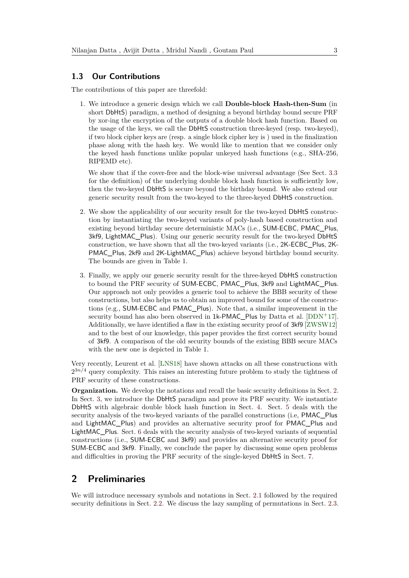#### **1.3 Our Contributions**

The contributions of this paper are threefold:

1. We introduce a generic design which we call **Double-block Hash-then-Sum** (in short DbHtS) paradigm, a method of designing a beyond birthday bound secure PRF by xor-ing the encryption of the outputs of a double block hash function. Based on the usage of the keys, we call the DbHtS construction three-keyed (resp. two-keyed), if two block cipher keys are (resp. a single block cipher key is ) used in the finalization phase along with the hash key. We would like to mention that we consider only the keyed hash functions unlike popular unkeyed hash functions (e.g., SHA-256, RIPEMD etc).

We show that if the cover-free and the block-wise universal advantage (See Sect. [3.3](#page-10-0) for the definition) of the underlying double block hash function is sufficiently low, then the two-keyed DbHtS is secure beyond the birthday bound. We also extend our generic security result from the two-keyed to the three-keyed DbHtS construction.

- 2. We show the applicability of our security result for the two-keyed DbHtS construction by instantiating the two-keyed variants of poly-hash based construction and existing beyond birthday secure deterministic MACs (i.e., SUM-ECBC, PMAC\_Plus, 3kf9, LightMAC\_Plus). Using our generic security result for the two-keyed DbHtS construction, we have shown that all the two-keyed variants (i.e., 2K-ECBC\_Plus, 2K-PMAC\_Plus, 2kf9 and 2K-LightMAC\_Plus) achieve beyond birthday bound security. The bounds are given in Table 1.
- 3. Finally, we apply our generic security result for the three-keyed DbHtS construction to bound the PRF security of SUM-ECBC, PMAC\_Plus, 3kf9 and LightMAC\_Plus. Our approach not only provides a generic tool to achieve the BBB security of these constructions, but also helps us to obtain an improved bound for some of the constructions (e.g., SUM-ECBC and PMAC\_Plus). Note that, a similar improvement in the security bound has also been observed in  $1k-PMAC_$ lus by Datta et al. [\[DDN](#page-47-3)+17]. Additionally, we have identified a flaw in the existing security proof of 3kf9 [\[ZWSW12\]](#page-49-2) and to the best of our knowledge, this paper provides the first correct security bound of 3kf9. A comparison of the old security bounds of the existing BBB secure MACs with the new one is depicted in Table 1.

Very recently, Leurent et al. [\[LNS18\]](#page-48-7) have shown attacks on all these constructions with  $2^{3n/4}$  query complexity. This raises an interesting future problem to study the tightness of PRF security of these constructions.

**Organization.** We develop the notations and recall the basic security definitions in Sect. [2.](#page-2-0) In Sect. [3,](#page-7-0) we introduce the DbHtS paradigm and prove its PRF security. We instantiate DbHtS with algebraic double block hash function in Sect. [4.](#page-21-0) Sect. [5](#page-24-0) deals with the security analysis of the two-keyed variants of the parallel constructions (i.e, PMAC\_Plus and LightMAC\_Plus) and provides an alternative security proof for PMAC\_Plus and LightMAC\_Plus. Sect. [6](#page-33-0) deals with the security analysis of two-keyed variants of sequential constructions (i.e., SUM-ECBC and 3kf9) and provides an alternative security proof for SUM-ECBC and 3kf9. Finally, we conclude the paper by discussing some open problems and difficulties in proving the PRF security of the single-keyed DbHtS in Sect. [7.](#page-45-0)

## <span id="page-2-0"></span>**2 Preliminaries**

We will introduce necessary symbols and notations in Sect. [2.1](#page-3-0) followed by the required security definitions in Sect. [2.2.](#page-4-0) We discuss the lazy sampling of permutations in Sect. [2.3.](#page-4-1)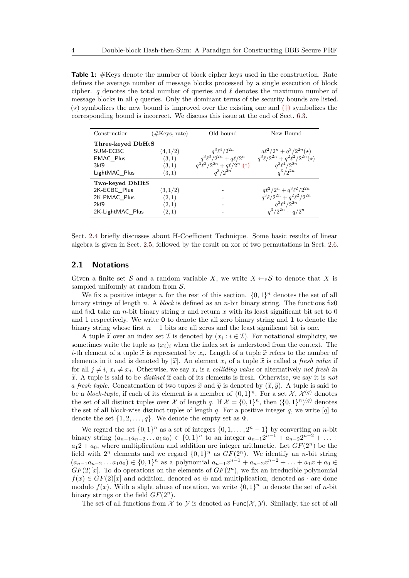**Table 1:** #Keys denote the number of block cipher keys used in the construction. Rate defines the average number of message blocks processed by a single execution of block cipher. *q* denotes the total number of queries and  $\ell$  denotes the maximum number of message blocks in all *q* queries. Only the dominant terms of the security bounds are listed.  $(\star)$  symbolizes the new bound is improved over the existing one and  $(\dagger)$  symbolizes the corresponding bound is incorrect. We discuss this issue at the end of Sect. [6.3.](#page-37-0)

| Construction      | (#Keys, rate) | Old bound                        | New Bound                                |
|-------------------|---------------|----------------------------------|------------------------------------------|
| Three-keyed DbHtS |               |                                  |                                          |
| SUM-ECBC          | (4,1/2)       | $q^3\ell^4/2^{2n}$               | $q\ell^2/2^n + q^3/2^{2n}(\star)$        |
| PMAC Plus         | (3,1)         | $q^3\ell^3/2^{2n} + q\ell/2^n$   | $q^3\ell/2^{2n}+q^2\ell^2/2^{2n}(\star)$ |
| 3kf9              | (3,1)         | $q^3\ell^3/2^{2n}+q\ell/2^n$ (†) | $q^3\ell^4/2^{2n}$                       |
| LightMAC Plus     | (3,1)         | $a^3/2^{2n}$                     | $a^3/2^{2n}$                             |
| Two-keyed DbHtS   |               |                                  |                                          |
| 2K-ECBC_Plus      | (3,1/2)       |                                  | $q\ell^2/2^n+q^3\ell^2/2^{2n}$           |
| 2K-PMAC Plus      | (2,1)         |                                  | $q^3\ell/2^{2n}+q^2\ell^2/2^{2n}$        |
| 2kf9              | (2,1)         |                                  | $q^3\ell^4/2^{2n}$                       |
| 2K-LightMAC Plus  | (2,1)         |                                  | $q^3/2^{2n} + q/2^n$                     |

Sect. [2.4](#page-5-0) briefly discusses about H-Coefficient Technique. Some basic results of linear algebra is given in Sect. [2.5,](#page-5-1) followed by the result on xor of two permutations in Sect. [2.6.](#page-6-0)

#### <span id="page-3-0"></span>**2.1 Notations**

Given a finite set S and a random variable X, we write  $X \leftarrow s$  S to denote that X is sampled uniformly at random from  $S$ .

We fix a positive integer *n* for the rest of this section.  $\{0,1\}^n$  denotes the set of all binary strings of length *n*. A *block* is defined as an *n*-bit binary string. The functions fix0 and fix1 take an *n*-bit binary string *x* and return *x* with its least significant bit set to 0 and 1 respectively. We write **0** to denote the all zero binary string and **1** to denote the binary string whose first  $n-1$  bits are all zeros and the least significant bit is one.

A tuple  $\tilde{x}$  over an index set  $\mathcal I$  is denoted by  $(x_i : i \in \mathcal I)$ . For notational simplicity, we noting write the tuple as  $(x_i)$ , when the index set is understood from the context. The sometimes write the tuple as  $(x_i)_i$  when the index set is understood from the context. The *i*-th element of a tuple  $\tilde{x}$  is represented by  $x_i$ . Length of a tuple  $\tilde{x}$  refers to the number of alements in it and is denoted by  $|\tilde{x}|$ . An element  $x_i$  of a tuple  $\tilde{x}$  is called a *freek value* if elements in it and is denoted by  $|\widetilde{x}|$ . An element  $x_i$  of a tuple  $\widetilde{x}$  is called a *fresh value* if for all  $j \neq i$ ,  $x_i \neq x_j$ . Otherwise, we say  $x_i$  is a *colliding value* or alternatively *not fresh in <sup>x</sup>*e. A tuple is said to be *distinct* if each of its elements is fresh. Otherwise, we say it is *not a fresh tuple*. Concatenation of two tuples  $\tilde{x}$  and  $\tilde{y}$  is denoted by  $(\tilde{x}, \tilde{y})$ . A tuple is said to be a *block-tuple*, if each of its element is a member of  $\{0,1\}^n$ . For a set X,  $\mathcal{X}^{(q)}$  denotes the set of all distinct tuples over X of length *q*. If  $\mathcal{X} = \{0,1\}^n$ , then  $(\{0,1\}^n)^{(q)}$  denotes the set of all block-wise distinct tuples of length *q*. For a positive integer *q*, we write [*q*] to denote the set  $\{1, 2, \ldots, q\}$ . We denote the empty set as  $\Phi$ .

We regard the set  $\{0,1\}^n$  as a set of integers  $\{0,1,\ldots,2^n-1\}$  by converting an *n*-bit binary string  $(a_{n-1}a_{n-2}...a_1a_0) \in \{0,1\}^n$  to an integer  $a_{n-1}2^{n-1} + a_{n-2}2^{n-2} + ...$  $a_12 + a_0$ , where multiplication and addition are integer arithmetic. Let  $GF(2^n)$  be the field with  $2^n$  elements and we regard  $\{0,1\}^n$  as  $GF(2^n)$ . We identify an *n*-bit string  $(a_{n-1}a_{n-2}\ldots a_1a_0)\in\{0,1\}^n$  as a polynomial  $a_{n-1}x^{n-1}+a_{n-2}x^{n-2}+\ldots+a_1x+a_0\in\{0,1\}^n$  $GF(2)[x]$ . To do operations on the elements of  $GF(2<sup>n</sup>)$ , we fix an irreducible polynomial  $f(x) \in GF(2)[x]$  and addition, denoted as  $\oplus$  and multiplication, denoted as  $\cdot$  are done modulo  $f(x)$ . With a slight abuse of notation, we write  $\{0,1\}^n$  to denote the set of *n*-bit binary strings or the field  $GF(2<sup>n</sup>)$ .

The set of all functions from  $\mathcal X$  to  $\mathcal Y$  is denoted as  $\text{Func}(\mathcal X, \mathcal Y)$ . Similarly, the set of all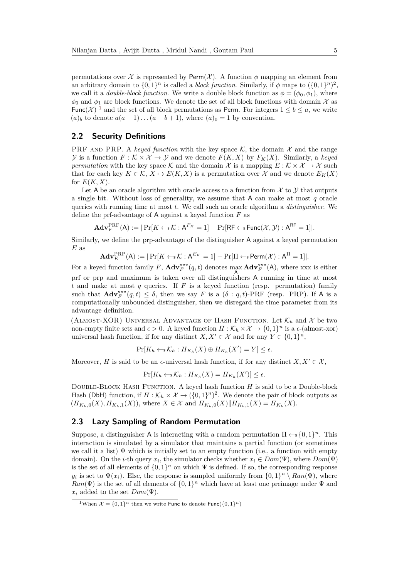permutations over X is represented by Perm $(X)$ . A function  $\phi$  mapping an element from an arbitrary domain to  $\{0,1\}^n$  is called a *block function*. Similarly, if  $\phi$  maps to  $(\{0,1\}^n)^2$ , we call it a *double-block function*. We write a double block function as  $\phi = (\phi_0, \phi_1)$ , where  $\phi_0$  and  $\phi_1$  are block functions. We denote the set of all block functions with domain X as Func(X)<sup>[1](#page-4-2)</sup> and the set of all block permutations as Perm. For integers  $1 \leq b \leq a$ , we write  $(a)_b$  to denote  $a(a-1)...(a-b+1)$ , where  $(a)_0 = 1$  by convention.

#### <span id="page-4-0"></span>**2.2 Security Definitions**

PRF AND PRP. A *keyed function* with the key space  $\mathcal{K}$ , the domain  $\mathcal{X}$  and the range  $\mathcal{Y}$  is a function  $F: \mathcal{K} \times \mathcal{X} \to \mathcal{Y}$  and we denote  $F(K, X)$  by  $F_K(X)$ . Similarly, a keyed *permutation* with the key space K and the domain X is a mapping  $E : K \times X \to X$  such that for each key  $K \in \mathcal{K}, X \mapsto E(K, X)$  is a permutation over X and we denote  $E_K(X)$ for  $E(K, X)$ .

Let A be an oracle algorithm with oracle access to a function from  $\mathcal X$  to  $\mathcal Y$  that outputs a single bit. Without loss of generality, we assume that A can make at most *q* oracle queries with running time at most *t*. We call such an oracle algorithm a *distinguisher*. We define the prf-advantage of A against a keyed function *F* as

$$
\mathbf{Adv}_{F}^{\mathrm{PRF}}(\mathsf{A}) := |\Pr[K \leftarrow_{\mathrm{s}} \mathcal{K} : \mathsf{A}^{F_{K}} = 1] - \Pr[\mathsf{RF} \leftarrow_{\mathrm{s}} \mathsf{Func}(\mathcal{X}, \mathcal{Y}) : \mathsf{A}^{\mathsf{RF}} = 1]|.
$$

Similarly, we define the prp-advantage of the distinguisher A against a keyed permutation *E* as

$$
\mathbf{Adv}_{E}^{\mathrm{PRP}}(\mathsf{A}) := |\Pr[K \leftarrow \ast \mathcal{K} : \mathsf{A}^{E_{K}} = 1] - \Pr[\Pi \leftarrow \ast \mathsf{Perm}(\mathcal{X}) : \mathsf{A}^{\Pi} = 1]|.
$$

For a keyed function family F,  $\mathbf{Adv}_{F}^{\text{xxx}}(q,t)$  denotes  $\max_{\mathbf{A}} \mathbf{Adv}_{F}^{\text{xxx}}(\mathbf{A})$ , where xxx is either prf or prp and maximum is taken over all distinguishers A running in time at most *t* and make at most *q* queries. If *F* is a keyed function (resp. permutation) family such that  $\mathbf{Adv}_{F}^{\text{xxx}}(q,t) \leq \delta$ , then we say *F* is a  $(\delta: q, t)$ -PRF (resp. PRP). If A is a computationally unbounded distinguisher, then we disregard the time parameter from its advantage definition.

(ALMOST-XOR) UNIVERSAL ADVANTAGE OF HASH FUNCTION. Let  $\mathcal{K}_h$  and X be two non-empty finite sets and  $\epsilon > 0$ . A keyed function  $H : \mathcal{K}_h \times \mathcal{X} \to \{0,1\}^n$  is a  $\epsilon$ -(almost-xor) universal hash function, if for any distinct  $X, X' \in \mathcal{X}$  and for any  $Y \in \{0,1\}^n$ ,

$$
\Pr[K_h \leftarrow \mathcal{K}_h : H_{K_h}(X) \oplus H_{K_h}(X') = Y] \le \epsilon.
$$

Moreover, *H* is said to be an  $\epsilon$ -universal hash function, if for any distinct  $X, X' \in \mathcal{X}$ ,

$$
\Pr[K_h \leftarrow \{K_h : H_{K_h}(X) = H_{K_h}(X')] \le \epsilon.
$$

Double-Block Hash Function. A keyed hash function *H* is said to be a Double-block Hash (DbH) function, if  $H : \mathcal{K}_h \times \mathcal{X} \to (\{0,1\}^n)^2$ . We denote the pair of block outputs as  $(H_{K_h,0}(X), H_{K_h,1}(X)),$  where  $X \in \mathcal{X}$  and  $H_{K_h,0}(X)||H_{K_h,1}(X) = H_{K_h}(X).$ 

#### <span id="page-4-1"></span>**2.3 Lazy Sampling of Random Permutation**

Suppose, a distinguisher A is interacting with a random permutation  $\Pi \leftarrow s \{0,1\}^n$ . This interaction is simulated by a simulator that maintains a partial function (or sometimes we call it a list)  $\Psi$  which is initially set to an empty function (i.e., a function with empty domain). On the *i*-th query  $x_i$ , the simulator checks whether  $x_i \in Dom(\Psi)$ , where  $Dom(\Psi)$ is the set of all elements of  $\{0,1\}^n$  on which  $\Psi$  is defined. If so, the corresponding response *y*<sub>*i*</sub> is set to  $\Psi(x_i)$ . Else, the response is sampled uniformly from  $\{0,1\}^n \setminus Ran(\Psi)$ , where  $Ran(\Psi)$  is the set of all elements of  $\{0,1\}^n$  which have at least one preimage under  $\Psi$  and  $x_i$  added to the set  $Dom(\Psi)$ .

<span id="page-4-2"></span><sup>&</sup>lt;sup>1</sup>When  $\mathcal{X} = \{0, 1\}^n$  then we write **Func** to denote **Func**( $\{0, 1\}^n$ )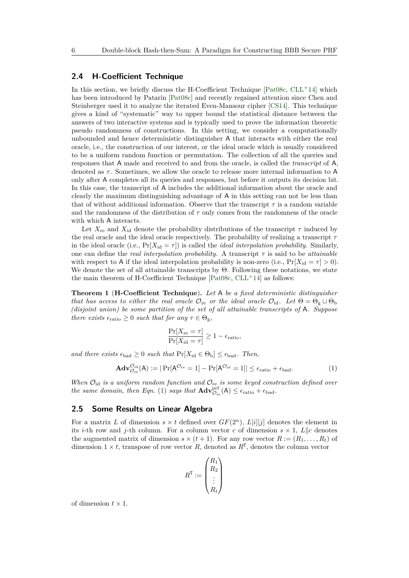#### <span id="page-5-0"></span>**2.4 H-Coefficient Technique**

In this section, we briefly discuss the H-Coefficient Technique  $[Pat08c, CLL+14]$  $[Pat08c, CLL+14]$  $[Pat08c, CLL+14]$  $[Pat08c, CLL+14]$  which has been introduced by Patarin [\[Pat08c\]](#page-49-4) and recently regained attention since Chen and Steinberger used it to analyze the iterated Even-Mansour cipher [\[CS14\]](#page-47-5). This technique gives a kind of "systematic" way to upper bound the statistical distance between the answers of two interactive systems and is typically used to prove the information theoretic pseudo randomness of constructions. In this setting, we consider a computationally unbounded and hence deterministic distinguisher A that interacts with either the real oracle, i.e., the construction of our interest, or the ideal oracle which is usually considered to be a uniform random function or permutation. The collection of all the queries and responses that A made and received to and from the oracle, is called the *transcript* of A, denoted as *τ* . Sometimes, we allow the oracle to release more internal information to A only after A completes all its queries and responses, but before it outputs its decision bit. In this case, the transcript of A includes the additional information about the oracle and clearly the maximum distinguishing advantage of A in this setting can not be less than that of without additional information. Observe that the transcript *τ* is a random variable and the randomness of the distribution of  $\tau$  only comes from the randomness of the oracle with which A interacts.

Let  $X_{\text{re}}$  and  $X_{\text{id}}$  denote the probability distributions of the transcript  $\tau$  induced by the real oracle and the ideal oracle respectively. The probability of realizing a transcript *τ* in the ideal oracle (i.e.,  $Pr[X_{id} = \tau]$ ) is called the *ideal interpolation probability*. Similarly, one can define the *real interpolation probability*. A transcript  $\tau$  is said to be *attainable* with respect to A if the ideal interpolation probability is non-zero (i.e.,  $Pr[X_{id} = \tau] > 0$ ). We denote the set of all attainable transcripts by Θ. Following these notations, we state the main theorem of H-Coefficient Technique  $[Pat08c, CLL+14]$  $[Pat08c, CLL+14]$  $[Pat08c, CLL+14]$  $[Pat08c, CLL+14]$  as follows:

<span id="page-5-3"></span>**Theorem 1** (**H-Coefficient Technique**)**.** *Let* A *be a fixed deterministic distinguisher that has access to either the real oracle*  $\mathcal{O}_{re}$  *or the ideal oracle*  $\mathcal{O}_{id}$ *. Let*  $\Theta = \Theta_{g} \sqcup \Theta_{b}$ *(disjoint union) be some partition of the set of all attainable transcripts of* A*. Suppose there exists*  $\epsilon_{\text{ratio}} \geq 0$  *such that for any*  $\tau \in \Theta_{g}$ ,

$$
\frac{\Pr[X_{\text{re}} = \tau]}{\Pr[X_{\text{id}} = \tau]} \ge 1 - \epsilon_{\text{ratio}},
$$

*and there exists*  $\epsilon_{bad} \geq 0$  *such that*  $Pr[X_{id} \in \Theta_b] \leq \epsilon_{bad}$ . Then,

<span id="page-5-2"></span>
$$
\mathbf{Adv}_{\mathcal{O}_{re}}^{\mathcal{O}_{id}}(\mathsf{A}) := |\Pr[\mathsf{A}^{\mathcal{O}_{re}} = 1] - \Pr[\mathsf{A}^{\mathcal{O}_{id}} = 1]| \le \epsilon_{ratio} + \epsilon_{bad}.\tag{1}
$$

*When*  $\mathcal{O}_{id}$  *is a uniform random function and*  $\mathcal{O}_{re}$  *is some keyed construction defined over the same domain, then Eqn.* [\(1\)](#page-5-2) *says that*  $\mathbf{Adv}_{\mathcal{O}_{re}}^{\text{prf}}(\mathsf{A}) \leq \epsilon_{\text{ratio}} + \epsilon_{\text{bad}}$ .

#### <span id="page-5-1"></span>**2.5 Some Results on Linear Algebra**

For a matrix L of dimension  $s \times t$  defined over  $GF(2^n)$ ,  $L[i][j]$  denotes the element in its *i*-th row and *j*-th column. For a column vector *c* of dimension  $s \times 1$ ,  $L||c$  denotes the augmented matrix of dimension  $s \times (t+1)$ . For any row vector  $R := (R_1, \ldots, R_t)$  of dimension  $1 \times t$ , transpose of row vector R, denoted as  $R^T$ , denotes the column vector

$$
R^{\mathtt{T}}:=\begin{pmatrix} R_1 \\ R_2 \\ \vdots \\ R_t \end{pmatrix}
$$

of dimension  $t \times 1$ .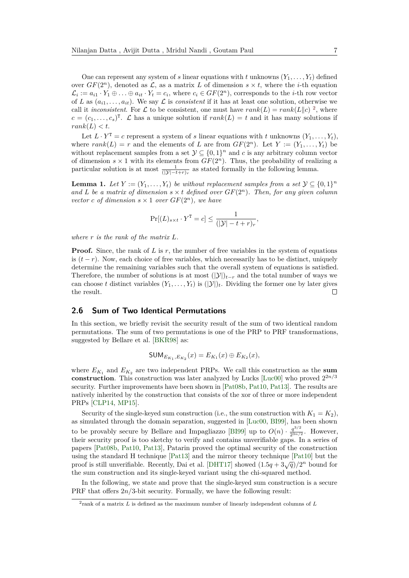One can represent any system of *s* linear equations with *t* unknowns  $(Y_1, \ldots, Y_t)$  defined over  $GF(2^n)$ , denoted as  $\mathcal{L}$ , as a matrix  $L$  of dimension  $s \times t$ , where the *i*-th equation  $\mathcal{L}_i := a_{i1} \cdot Y_1 \oplus \ldots \oplus a_{it} \cdot Y_t = c_i$ , where  $c_i \in GF(2^n)$ , corresponds to the *i*-th row vector of *L* as  $(a_{i1}, \ldots, a_{it})$ . We say *L* is *consistent* if it has at least one solution, otherwise we call it *inconsistent*. For  $\mathcal L$  to be consistent, one must have  $rank(L) = rank(L||c)^2$  $rank(L) = rank(L||c)^2$ , where  $c = (c_1, \ldots, c_s)^T$ .  $\mathcal L$  has a unique solution if  $rank(L) = t$  and it has many solutions if  $rank(L) < t$ .

Let  $L \cdot Y^T = c$  represent a system of *s* linear equations with *t* unknowns  $(Y_1, \ldots, Y_t)$ , where  $rank(L) = r$  and the elements of *L* are from  $GF(2<sup>n</sup>)$ . Let  $Y := (Y_1, \ldots, Y_t)$  be without replacement samples from a set  $\mathcal{Y} \subseteq \{0,1\}^n$  and *c* is any arbitrary column vector of dimension  $s \times 1$  with its elements from  $GF(2^n)$ . Thus, the probability of realizing a particular solution is at most  $\frac{1}{(|\mathcal{Y}| - t + r)_r}$  as stated formally in the following lemma.

<span id="page-6-2"></span>**Lemma 1.** *Let*  $Y := (Y_1, \ldots, Y_t)$  *be without replacement samples from a set*  $\mathcal{Y} \subseteq \{0,1\}^n$ *and L be a matrix of dimension*  $s \times t$  *defined over*  $GF(2^n)$ *. Then, for any given column vector c of dimension*  $s \times 1$  *over*  $GF(2^n)$ *, we have* 

$$
\Pr[(L)_{s \times t} \cdot Y^{\mathsf{T}} = c] \le \frac{1}{(|\mathcal{Y}| - t + r)_{r}},
$$

*where r is the rank of the matrix L.*

**Proof.** Since, the rank of *L* is *r*, the number of free variables in the system of equations is  $(t - r)$ . Now, each choice of free variables, which necessarily has to be distinct, uniquely determine the remaining variables such that the overall system of equations is satisfied. Therefore, the number of solutions is at most  $(|\mathcal{Y}|)_{t-r}$  and the total number of ways we can choose *t* distinct variables  $(Y_1, \ldots, Y_t)$  is  $(|\mathcal{Y}|_t)$ . Dividing the former one by later gives the result.  $\Box$ 

#### <span id="page-6-0"></span>**2.6 Sum of Two Identical Permutations**

In this section, we briefly revisit the security result of the sum of two identical random permutations. The sum of two permutations is one of the PRP to PRF transformations, suggested by Bellare et al. [\[BKR98\]](#page-47-6) as:

$$
\mathsf{SUM}_{E_{K_1}, E_{K_2}}(x) = E_{K_1}(x) \oplus E_{K_2}(x),
$$

where  $E_{K_1}$  and  $E_{K_2}$  are two independent PRPs. We call this construction as the **sum construction**. This construction was later analyzed by Lucks [\[Luc00\]](#page-48-8) who proved 2 2*n/*3 security. Further improvements have been shown in [\[Pat08b,](#page-49-5) [Pat10,](#page-49-6) [Pat13\]](#page-49-7). The results are natively inherited by the construction that consists of the xor of three or more independent PRPs [\[CLP14,](#page-47-7) [MP15\]](#page-48-9).

Security of the single-keyed sum construction (i.e., the sum construction with  $K_1 = K_2$ ), as simulated through the domain separation, suggested in [\[Luc00,](#page-48-8) [BI99\]](#page-46-3), has been shown to be provably secure by Bellare and Impagliazzo [\[BI99\]](#page-46-3) up to  $O(n) \cdot \frac{q^{3/2}}{23n}$  $rac{q^{9/2}}{2^{3n/2}}$ . However, their security proof is too sketchy to verify and contains unverifiable gaps. In a series of papers [\[Pat08b,](#page-49-5) [Pat10,](#page-49-6) [Pat13\]](#page-49-7), Patarin proved the optimal security of the construction using the standard H technique [\[Pat13\]](#page-49-7) and the mirror theory technique [\[Pat10\]](#page-49-6) but the proof is still unverifiable. Recently, Dai et al. [\[DHT17\]](#page-47-8) showed  $(1.5q + 3\sqrt{q})/2^n$  bound for the sum construction and its single-keyed variant using the chi-squared method.

In the following, we state and prove that the single-keyed sum construction is a secure PRF that offers  $2n/3$ -bit security. Formally, we have the following result:

<span id="page-6-1"></span><sup>2</sup> rank of a matrix *L* is defined as the maximum number of linearly independent columns of *L*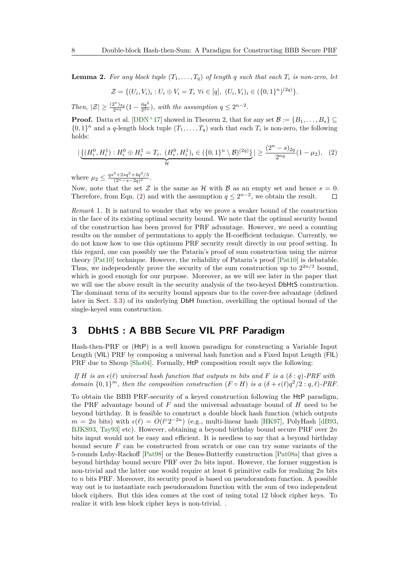<span id="page-7-2"></span>**Lemma 2.** For any block tuple  $(T_1, \ldots, T_q)$  of length q such that each  $T_i$  is non-zero, let

$$
\mathcal{Z} = \{ (U_i, V_i)_i : U_i \oplus V_i = T_i \ \forall i \in [q], \ (U_i, V_i)_i \in (\{0, 1\}^n)^{(2q)} \}.
$$

 $Then, |\mathcal{Z}| \geq \frac{(2^n)_{2q}}{2^{nq}}(1 - \frac{6q^3}{2^{2n}})$  $\frac{6q^3}{2^{2n}}$ , with the assumption  $q \leq 2^{n-2}$ .

**Proof.** Datta et al. [\[DDN](#page-47-3)+17] showed in Theorem 2, that for any set  $\mathcal{B} := \{B_1, \ldots, B_s\}$  $\{0,1\}^n$  and a *q*-length block tuple  $(T_1,\ldots,T_q)$  such that each  $T_i$  is non-zero, the following holds:

<span id="page-7-1"></span>
$$
\left| \underbrace{\{(H_i^0, H_i^1) : H_i^0 \oplus H_i^1 = T_i, \ (H_i^0, H_i^1)_i \in (\{0, 1\}^n \setminus \mathcal{B})^{(2q)}\}}_{\mathcal{H}} \right| \ge \frac{(2^n - s)_{2q}}{2^{nq}} (1 - \mu_2), \tag{2}
$$

where  $\mu_2 \leq \frac{qs^2 + 2sq^2 + 4q^3/3}{(2^n - s - 2q)^2}$  $\frac{+2sq+4q^2/3}{(2^n-s-2q)^2}.$ 

Now, note that the set  $\mathcal Z$  is the same as  $\mathcal H$  with  $\mathcal B$  as an empty set and hence  $s=0$ . Therefore, from Eqn. [\(2\)](#page-7-1) and with the assumption  $q \leq 2^{n-2}$ , we obtain the result.

*Remark* 1*.* It is natural to wonder that why we prove a weaker bound of the construction in the face of its existing optimal security bound. We note that the optimal security bound of the construction has been proved for PRF advantage. However, we need a counting results on the number of permutations to apply the H-coefficient technique. Currently, we do not know how to use this optimum PRF security result directly in our proof setting. In this regard, one can possibly use the Patarin's proof of sum construction using the mirror theory [\[Pat10\]](#page-49-6) technique. However, the reliability of Patarin's proof [\[Pat10\]](#page-49-6) is debatable. Thus, we independently prove the security of the sum construction up to  $2^{2n/3}$  bound, which is good enough for our purpose. Moreover, as we will see later in the paper that we will use the above result in the security analysis of the two-keyed DbHtS construction. The dominant term of its security bound appears due to the cover-free advantage (defined later in Sect. [3.3\)](#page-10-0) of its underlying DbH function, overkilling the optimal bound of the single-keyed sum construction.

## <span id="page-7-0"></span>**3 DbHtS : A BBB Secure VIL PRF Paradigm**

Hash-then-PRF or (HtP) is a well known paradigm for constructing a Variable Input Length (VIL) PRF by composing a universal hash function and a Fixed Input Length (FIL) PRF due to Shoup [\[Sho04\]](#page-49-8). Formally, HtP composition result says the following:

*If H is an*  $\epsilon(\ell)$  *universal hash function that outputs m bits and F is a* ( $\delta$  : *q*)*-PRF with domain*  $\{0,1\}^m$ *, then the composition construction*  $(F \circ H)$  *is a*  $(\delta + \epsilon(\ell)q^2/2: q, \ell)$ *-PRF.* 

To obtain the BBB PRF-security of a keyed construction following the HtP paradigm, the PRF advantage bound of *F* and the universal advantage bound of *H* need to be beyond birthday. It is feasible to construct a double block hash function (which outputs  $m = 2n$  bits) with  $\epsilon(\ell) = O(\ell^c 2^{-2n})$  (e.g., multi-linear hash [\[HK97\]](#page-48-10), PolyHash [\[dB93,](#page-47-9) [BJKS93,](#page-46-4) [Tay93\]](#page-49-9) etc). However, obtaining a beyond birthday bound secure PRF over 2*n* bits input would not be easy and efficient. It is needless to say that a beyond birthday bound secure *F* can be constructed from scratch or one can try some variants of the 5-rounds Luby-Rackoff [\[Pat98\]](#page-48-11) or the Benes-Butterfly construction [\[Pat08a\]](#page-48-12) that gives a beyond birthday bound secure PRF over 2*n* bits input. However, the former suggestion is non-trivial and the latter one would require at least 6 primitive calls for realizing 2*n* bits to *n* bits PRF. Moreover, its security proof is based on pseudorandom function. A possible way out is to instantiate each pseudorandom function with the sum of two independent block ciphers. But this idea comes at the cost of using total 12 block cipher keys. To realize it with less block cipher keys is non-trivial. .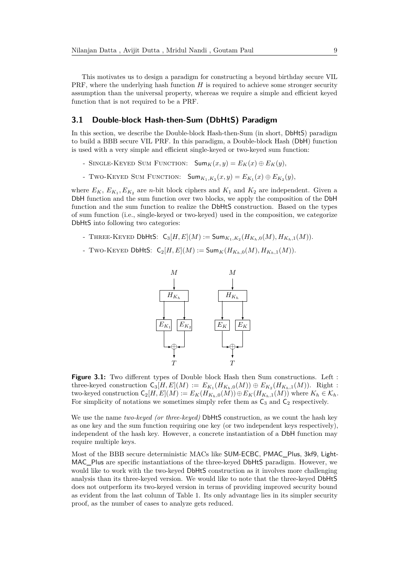This motivates us to design a paradigm for constructing a beyond birthday secure VIL PRF, where the underlying hash function *H* is required to achieve some stronger security assumption than the universal property, whereas we require a simple and efficient keyed function that is not required to be a PRF.

#### **3.1 Double-block Hash-then-Sum (DbHtS) Paradigm**

In this section, we describe the Double-block Hash-then-Sum (in short, DbHtS) paradigm to build a BBB secure VIL PRF. In this paradigm, a Double-block Hash (DbH) function is used with a very simple and efficient single-keyed or two-keyed sum function:

- SINGLE-KEYED SUM FUNCTION:  $\text{Sum}_K(x, y) = E_K(x) \oplus E_K(y)$ .
- TWO-KEYED SUM FUNCTION:  $\mathsf{Sum}_{K_1, K_2}(x, y) = E_{K_1}(x) \oplus E_{K_2}(y),$

where  $E_K$ ,  $E_{K_1}, E_{K_2}$  are *n*-bit block ciphers and  $K_1$  and  $K_2$  are independent. Given a DbH function and the sum function over two blocks, we apply the composition of the DbH function and the sum function to realize the DbHtS construction. Based on the types of sum function (i.e., single-keyed or two-keyed) used in the composition, we categorize DbHtS into following two categories:

- THREE-KEYED DbHtS:  $C_3[H, E](M) := \textsf{Sum}_{K_1, K_2}(H_{K_h, 0}(M), H_{K_h, 1}(M)).$
- <span id="page-8-0"></span>- Two-Keyed DbHtS:  $C_2[H, E](M) := \textsf{Sum}_K(H_{K_h,0}(M), H_{K_h,1}(M)).$



**Figure 3.1:** Two different types of Double block Hash then Sum constructions. Left : three-keyed construction  $C_3[H, E](M) := E_{K_1}(H_{K_h,0}(M)) \oplus E_{K_2}(H_{K_h,1}(M))$ . Right : two-keyed construction  $C_2[H, E](M) := E_K(H_{K_h, 0}(M)) \oplus E_K(H_{K_h, 1}(M))$  where  $K_h \in \mathcal{K}_h$ . For simplicity of notations we sometimes simply refer them as  $C_3$  and  $C_2$  respectively.

We use the name *two-keyed (or three-keyed)* DbHtS construction, as we count the hash key as one key and the sum function requiring one key (or two independent keys respectively), independent of the hash key. However, a concrete instantiation of a DbH function may require multiple keys.

Most of the BBB secure deterministic MACs like SUM-ECBC, PMAC\_Plus, 3kf9, Light-MAC\_Plus are specific instantiations of the three-keyed DbHtS paradigm. However, we would like to work with the two-keyed DbHtS construction as it involves more challenging analysis than its three-keyed version. We would like to note that the three-keyed DbHtS does not outperform its two-keyed version in terms of providing improved security bound as evident from the last column of Table 1. Its only advantage lies in its simpler security proof, as the number of cases to analyze gets reduced.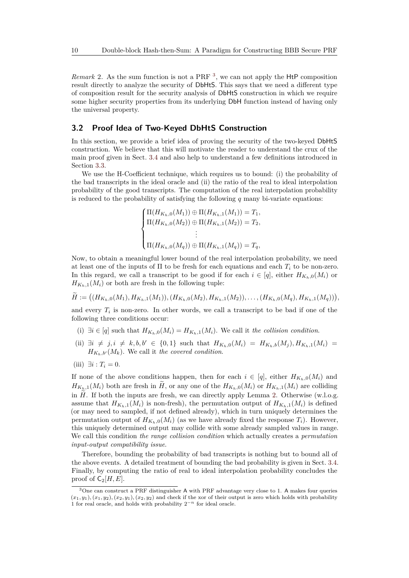*Remark* 2*.* As the sum function is not a PRF [3](#page-9-0) , we can not apply the HtP composition result directly to analyze the security of DbHtS. This says that we need a different type of composition result for the security analysis of DbHtS construction in which we require some higher security properties from its underlying DbH function instead of having only the universal property.

#### **3.2 Proof Idea of Two-Keyed DbHtS Construction**

In this section, we provide a brief idea of proving the security of the two-keyed DbHtS construction. We believe that this will motivate the reader to understand the crux of the main proof given in Sect. [3.4](#page-13-0) and also help to understand a few definitions introduced in Section [3.3.](#page-10-0)

We use the H-Coefficient technique, which requires us to bound: (i) the probability of the bad transcripts in the ideal oracle and (ii) the ratio of the real to ideal interpolation probability of the good transcripts. The computation of the real interpolation probability is reduced to the probability of satisfying the following *q* many bi-variate equations:

$$
\begin{cases} \Pi(H_{K_h,0}(M_1)) \oplus \Pi(H_{K_h,1}(M_1)) = T_1, \\ \Pi(H_{K_h,0}(M_2)) \oplus \Pi(H_{K_h,1}(M_2)) = T_2, \\ \vdots \\ \Pi(H_{K_h,0}(M_q)) \oplus \Pi(H_{K_h,1}(M_q)) = T_q, \end{cases}
$$

Now, to obtain a meaningful lower bound of the real interpolation probability, we need at least one of the inputs of Π to be fresh for each equations and each *T<sup>i</sup>* to be non-zero. In this regard, we call a transcript to be good if for each  $i \in [q]$ , either  $H_{K_{h},0}(M_i)$  or  $H_{K_h,1}(M_i)$  or both are fresh in the following tuple:

$$
\widetilde{H} := ((H_{K_h,0}(M_1), H_{K_h,1}(M_1)), (H_{K_h,0}(M_2), H_{K_h,1}(M_2)), \ldots, (H_{K_h,0}(M_q), H_{K_h,1}(M_q))),
$$

and every  $T_i$  is non-zero. In other words, we call a transcript to be bad if one of the following three conditions occur:

- (i) ∃*i* ∈ [*q*] such that *HKh,*0(*Mi*) = *HKh,*1(*Mi*). We call it *the collision condition*.
- (ii)  $\exists i \neq j, i \neq k, b, b' \in \{0,1\}$  such that  $H_{K_h,0}(M_i) = H_{K_h,b}(M_j), H_{K_h,1}(M_i) =$  $H_{K_h,b'}(M_k)$ . We call it *the covered condition*.
- $(iii) \exists i : T_i = 0.$

If none of the above conditions happen, then for each  $i \in [q]$ , either  $H_{K_h,0}(M_i)$  and  $H_{K_h,1}(M_i)$  both are fresh in  $H$ , or any one of the  $H_{K_h,0}(M_i)$  or  $H_{K_h,1}(M_i)$  are colliding in  $\widetilde{H}$ . If both the inputs are fresh, we can directly apply Lemma [2.](#page-7-2) Otherwise (w.l.o.g. assume that  $H_{K_h,1}(M_i)$  is non-fresh), the permutation output of  $H_{K_h,1}(M_i)$  is defined (or may need to sampled, if not defined already), which in turn uniquely determines the permutation output of  $H_{K_h,0}(M_i)$  (as we have already fixed the response  $T_i$ ). However, this uniquely determined output may collide with some already sampled values in range. We call this condition *the range collision condition* which actually creates a *permutation input-output compatibility issue*.

Therefore, bounding the probability of bad transcripts is nothing but to bound all of the above events. A detailed treatment of bounding the bad probability is given in Sect. [3.4.](#page-13-0) Finally, by computing the ratio of real to ideal interpolation probability concludes the proof of  $C_2[H, E]$ .

<span id="page-9-0"></span><sup>3</sup>One can construct a PRF distinguisher A with PRF advantage very close to 1. A makes four queries  $(x_1, y_1), (x_1, y_2), (x_2, y_1), (x_2, y_2)$  and check if the xor of their output is zero which holds with probability 1 for real oracle, and holds with probability 2−*<sup>n</sup>* for ideal oracle.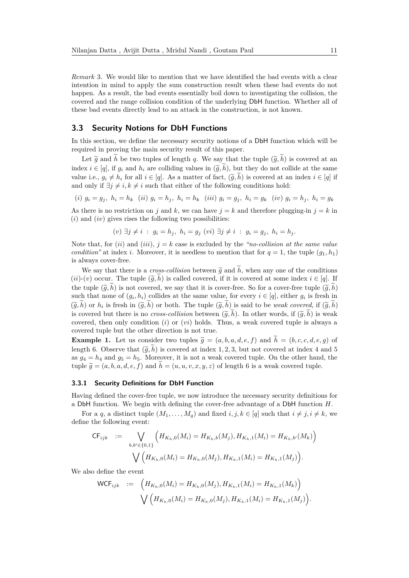*Remark* 3*.* We would like to mention that we have identified the bad events with a clear intention in mind to apply the sum construction result when these bad events do not happen. As a result, the bad events essentially boil down to investigating the collision, the covered and the range collision condition of the underlying DbH function. Whether all of these bad events directly lead to an attack in the construction, is not known.

#### <span id="page-10-0"></span>**3.3 Security Notions for DbH Functions**

In this section, we define the necessary security notions of a DbH function which will be required in proving the main security result of this paper.

Let  $\tilde{g}$  and  $\tilde{h}$  be two tuples of length *q*. We say that the tuple  $(\tilde{g}, \tilde{h})$  is covered at an index  $i \in [q]$ , if  $g_i$  and  $h_i$  are colliding values in  $(\tilde{g}, \tilde{h})$ , but they do not collide at the same value i.e.,  $g_i \neq h_i$  for all  $i \in [q]$ . As a matter of fact,  $(\tilde{g}, h)$  is covered at an index  $i \in [q]$  if and only if  $\exists j \neq i, k \neq i$  such that either of the following conditions hold:

(i) 
$$
g_i = g_j
$$
,  $h_i = h_k$  (ii)  $g_i = h_j$ ,  $h_i = h_k$  (iii)  $g_i = g_j$ ,  $h_i = g_k$  (iv)  $g_i = h_j$ ,  $h_i = g_k$ 

As there is no restriction on *j* and *k*, we can have  $j = k$  and therefore plugging-in  $j = k$  in (*i*) and (*iv*) gives rises the following two possibilities:

$$
(v) \ \exists j \neq i \ : \ g_i = h_j, \ h_i = g_j \ (vi) \ \exists j \neq i \ : \ g_i = g_j, \ h_i = h_j.
$$

Note that, for  $(ii)$  and  $(iii)$ ,  $j = k$  case is excluded by the *"no-collision at the same value condition*<sup>"</sup> at index *i*. Moreover, it is needless to mention that for  $q = 1$ , the tuple  $(q_1, h_1)$ is always cover-free.

We say that there is a *cross-collision* between  $\tilde{q}$  and  $\tilde{h}$ , when any one of the conditions  $(ii)-(v)$  occur. The tuple  $(\tilde{g}, \tilde{h})$  is called covered, if it is covered at some index  $i \in [q]$ . If the tuple  $(\tilde{g}, h)$  is not covered, we say that it is cover-free. So for a cover-free tuple  $(\tilde{g}, h)$ such that none of  $(g_i, h_i)$  collides at the same value, for every  $i \in [q]$ , either  $g_i$  is fresh in  $(\widetilde{g}, h)$  or  $h_i$  is fresh in  $(\widetilde{g}, h)$  or both. The tuple  $(\widetilde{g}, h)$  is said to be *weak covered*, if  $(\widetilde{g}, h)$ <br>is account let there is no sure selling heteron  $(\widetilde{g}, \widetilde{h})$ . In other words if  $(\widetilde{g}, \widetilde{h})$  is covered but there is no *cross-collision* between  $(\tilde{g}, \tilde{h})$ . In other words, if  $(\tilde{g}, \tilde{h})$  is weak covered, then only condition (*i*) or (*vi*) holds. Thus, a weak covered tuple is always a covered tuple but the other direction is not true.

**Example 1.** Let us consider two tuples  $\tilde{g} = (a, b, a, d, e, f)$  and  $\tilde{h} = (b, c, c, d, e, g)$  of length 6. Observe that  $(\tilde{g}, \tilde{h})$  is covered at index 1, 2, 3, but not covered at index 4 and 5 as  $g_4 = h_4$  and  $g_5 = h_5$ . Moreover, it is not a weak covered tuple. On the other hand, the tuple  $\tilde{q} = (a, b, a, d, e, f)$  and  $\tilde{h} = (u, u, v, x, y, z)$  of length 6 is a weak covered tuple.

#### **3.3.1 Security Definitions for DbH Function**

Having defined the cover-free tuple, we now introduce the necessary security definitions for a DbH function. We begin with defining the cover-free advantage of a DbH function *H*.

For a *q*, a distinct tuple  $(M_1, \ldots, M_q)$  and fixed *i*, *j*,  $k \in [q]$  such that  $i \neq j, i \neq k$ , we define the following event:

$$
\mathsf{CF}_{ijk} \quad := \quad \bigvee_{b,b' \in \{0,1\}} \Big( H_{K_h,0}(M_i) = H_{K_h,b}(M_j), H_{K_h,1}(M_i) = H_{K_h,b'}(M_k) \Big) \n\bigvee \Big( H_{K_h,0}(M_i) = H_{K_h,0}(M_j), H_{K_h,1}(M_i) = H_{K_h,1}(M_j) \Big).
$$

We also define the event

$$
\begin{aligned}\n\mathsf{WCF}_{ijk} &:= \left( H_{K_h,0}(M_i) = H_{K_h,0}(M_j), H_{K_h,1}(M_i) = H_{K_h,1}(M_k) \right) \\
&\quad \bigvee \left( H_{K_h,0}(M_i) = H_{K_h,0}(M_j), H_{K_h,1}(M_i) = H_{K_h,1}(M_j) \right).\n\end{aligned}
$$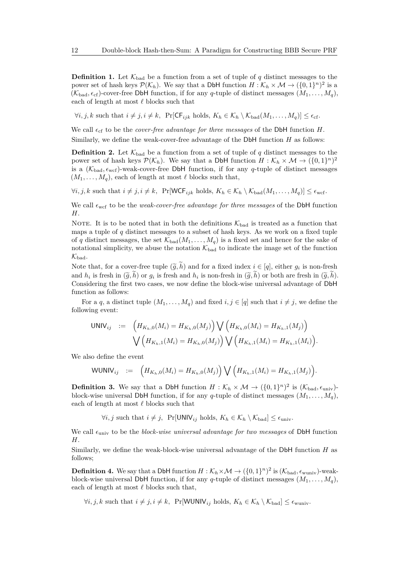<span id="page-11-0"></span>**Definition 1.** Let  $\mathcal{K}_{bad}$  be a function from a set of tuple of *q* distinct messages to the power set of hash keys  $\mathcal{P}(\mathcal{K}_h)$ . We say that a DbH function  $H: \mathcal{K}_h \times \mathcal{M} \to (\{0,1\}^n)^2$  is a  $(K_{bad}, \epsilon_{cf})$ -cover-free DbH function, if for any *q*-tuple of distinct messages  $(M_1, \ldots, M_q)$ , each of length at most  $\ell$  blocks such that

 $\forall i, j, k \text{ such that } i \neq j, i \neq k, \text{ Pr}[\mathsf{CF}_{ijk} \text{ holds}, K_h \in \mathcal{K}_h \setminus \mathcal{K}_{bad}(M_1, \ldots, M_q)] \leq \epsilon_{\text{cf}}.$ 

We call  $\epsilon_{\rm cf}$  to be the *cover-free advantage for three messages* of the DbH function *H*.

Similarly, we define the weak-cover-free advantage of the DbH function *H* as follows:

**Definition 2.** Let  $\mathcal{K}_{bad}$  be a function from a set of tuple of *q* distinct messages to the power set of hash keys  $\mathcal{P}(\mathcal{K}_h)$ . We say that a DbH function  $H: \mathcal{K}_h \times \mathcal{M} \to (\{0,1\}^n)^2$ is a  $(K_{bad}, \epsilon_{wcf})$ -weak-cover-free DbH function, if for any  $q$ -tuple of distinct messages  $(M_1, \ldots, M_q)$ , each of length at most  $\ell$  blocks such that,

 $\forall i, j, k \text{ such that } i \neq j, i \neq k, \text{ Pr}[WCF_{ijk} \text{ holds}, K_h \in \mathcal{K}_h \setminus \mathcal{K}_{bad}(M_1, \ldots, M_q)] \leq \epsilon_{\text{wcf}}.$ 

We call  $\epsilon_{\rm wcf}$  to be the *weak-cover-free advantage for three messages* of the DbH function *H*.

NOTE. It is to be noted that in both the definitions  $\mathcal{K}_{bad}$  is treated as a function that maps a tuple of *q* distinct messages to a subset of hash keys. As we work on a fixed tuple of *q* distinct messages, the set  $\mathcal{K}_{bad}(M_1, \ldots, M_q)$  is a fixed set and hence for the sake of notational simplicity, we abuse the notation  $\mathcal{K}_{bad}$  to indicate the image set of the function  $\mathcal{K}_{bad}.$ 

Note that, for a cover-free tuple  $(\widetilde{g}, h)$  and for a fixed index  $i \in [q]$ , either  $g_i$  is non-fresh<br>in  $(\widetilde{\lambda}, \widetilde{h})$  and is facely and *h* is non-freek in  $(\widetilde{\lambda}, \widetilde{h})$  and the set facely in  $(\widetilde{\lambda}, \widetilde{h})$ and  $h_i$  is fresh in  $(\tilde{g}, h)$  or  $g_i$  is fresh and  $h_i$  is non-fresh in  $(\tilde{g}, h)$  or both are fresh in  $(\tilde{g}, h)$ .<br>Considering the first two cases, we now define the block wise universal advantage of DbH Considering the first two cases, we now define the block-wise universal advantage of DbH function as follows:

For a *q*, a distinct tuple  $(M_1, \ldots, M_q)$  and fixed  $i, j \in [q]$  such that  $i \neq j$ , we define the following event:

$$
\begin{array}{lll} \mathsf{UNIV}_{ij} & := & \left( H_{K_h,0}(M_i) = H_{K_h,0}(M_j) \right) \bigvee \left( H_{K_h,0}(M_i) = H_{K_h,1}(M_j) \right) \\ & & \bigvee \left( H_{K_h,1}(M_i) = H_{K_h,0}(M_j) \right) \bigvee \left( H_{K_h,1}(M_i) = H_{K_h,1}(M_i) \right). \end{array}
$$

We also define the event

$$
WUNIV_{ij} := \left( H_{K_h,0}(M_i) = H_{K_h,0}(M_j) \right) \bigvee \left( H_{K_h,1}(M_i) = H_{K_h,1}(M_j) \right).
$$

<span id="page-11-1"></span>**Definition 3.** We say that a DbH function  $H : \mathcal{K}_h \times \mathcal{M} \to (\{0,1\}^n)^2$  is  $(\mathcal{K}_{bad}, \epsilon_{\text{univ}})$ block-wise universal DbH function, if for any *q*-tuple of distinct messages  $(M_1, \ldots, M_q)$ , each of length at most  $\ell$  blocks such that

 $\forall i, j$  such that  $i \neq j$ ,  $\Pr[\text{UNIV}_{ij} \text{ holds}, K_h \in \mathcal{K}_h \setminus \mathcal{K}_{bad}] \leq \epsilon_{\text{univ}}$ .

We call  $\epsilon_{\text{univ}}$  to be the *block-wise universal advantage for two messages* of DbH function *H*.

Similarly, we define the weak-block-wise universal advantage of the DbH function *H* as follows;

**Definition 4.** We say that a DbH function  $H : \mathcal{K}_h \times \mathcal{M} \to (\{0,1\}^n)^2$  is  $(\mathcal{K}_{bad}, \epsilon_{wuniv})$ -weakblock-wise universal DbH function, if for any *q*-tuple of distinct messages  $(M_1, \ldots, M_g)$ , each of length at most  $\ell$  blocks such that,

 $\forall i, j, k \text{ such that } i \neq j, i \neq k, \text{ Pr}[WWW_{ij} \text{ holds}, K_h \in \mathcal{K}_h \setminus \mathcal{K}_{bad}] \leq \epsilon_{\text{wuniv}}.$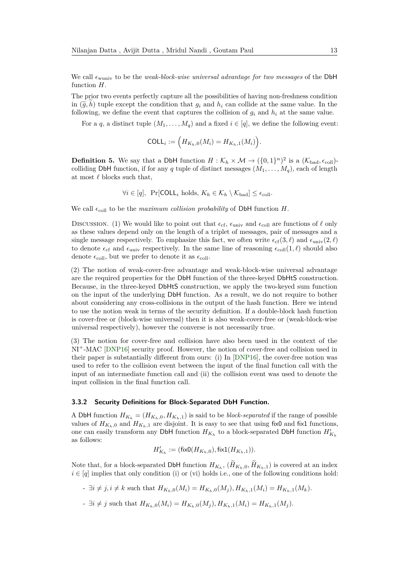We call  $\epsilon_{\text{wuniv}}$  to be the *weak-block-wise universal advantage for two messages* of the DbH function *H*.

The prior two events perfectly capture all the possibilities of having non-freshness condition in  $(\tilde{g}, h)$  tuple except the condition that  $g_i$  and  $h_i$  can collide at the same value. In the following, we define the event that captures the collision of  $g_i$  and  $h_i$  at the same value.

For a *q*, a distinct tuple  $(M_1, \ldots, M_q)$  and a fixed  $i \in [q]$ , we define the following event:

$$
\text{COLL}_i := \Big( H_{K_h,0}(M_i) = H_{K_h,1}(M_i) \Big).
$$

<span id="page-12-0"></span>**Definition 5.** We say that a DbH function  $H : \mathcal{K}_h \times \mathcal{M} \to (\{0,1\}^n)^2$  is a  $(\mathcal{K}_{bad}, \epsilon_{coll})$ colliding DbH function, if for any *q* tuple of distinct messages  $(M_1, \ldots, M_q)$ , each of length at most  $\ell$  blocks such that,

$$
\forall i \in [q], \text{ Pr}[COLL_i \text{ holds}, K_h \in \mathcal{K}_h \setminus \mathcal{K}_{bad}] \le \epsilon_{\text{coll}}.
$$

We call  $\epsilon_{\text{coll}}$  to be the *maximum collision probability* of DbH function *H*.

DISCUSSION. (1) We would like to point out that  $\epsilon_{cf}$ ,  $\epsilon_{\text{univ}}$  and  $\epsilon_{\text{coll}}$  are functions of  $\ell$  only as these values depend only on the length of a triplet of messages, pair of messages and a single message respectively. To emphasize this fact, we often write  $\epsilon_{\rm cf}(3,\ell)$  and  $\epsilon_{\rm univ}(2,\ell)$ to denote  $\epsilon_{\rm cf}$  and  $\epsilon_{\rm univ}$  respectively. In the same line of reasoning  $\epsilon_{\rm coll}(1,\ell)$  should also denote  $\epsilon_{\text{coll}}$ , but we prefer to denote it as  $\epsilon_{\text{coll}}$ .

(2) The notion of weak-cover-free advantage and weak-block-wise universal advantage are the required properties for the DbH function of the three-keyed DbHtS construction. Because, in the three-keyed DbHtS construction, we apply the two-keyed sum function on the input of the underlying DbH function. As a result, we do not require to bother about considering any cross-collisions in the output of the hash function. Here we intend to use the notion weak in terms of the security definition. If a double-block hash function is cover-free or (block-wise universal) then it is also weak-cover-free or (weak-block-wise universal respectively), however the converse is not necessarily true.

(3) The notion for cover-free and collision have also been used in the context of the NI<sup>+</sup>-MAC [\[DNP16\]](#page-48-6) security proof. However, the notion of cover-free and collision used in their paper is substantially different from ours: (i) In [\[DNP16\]](#page-48-6), the cover-free notion was used to refer to the collision event between the input of the final function call with the input of an intermediate function call and (ii) the collision event was used to denote the input collision in the final function call.

#### **3.3.2 Security Definitions for Block-Separated DbH Function.**

A DbH function  $H_{K_h} = (H_{K_h,0}, H_{K_h,1})$  is said to be *block-separated* if the range of possible values of  $H_{K_h,0}$  and  $H_{K_h,1}$  are disjoint. It is easy to see that using fix0 and fix1 functions, one can easily transform any DbH function  $H_{K_h}$  to a block-separated DbH function  $H'_{K_h}$ as follows:

$$
H'_{K_h}:=(\operatorname{fixO}(H_{K_h,0}),\operatorname{fix1}(H_{K_h,1})).
$$

Note that, for a block-separated DbH function  $H_{K_h}$ ,  $(H_{K_h,0}, H_{K_h,1})$  is covered at an index  $i \in [q]$  implies that only condition (i) or (vi) holds i.e., one of the following conditions hold:

- $\exists i \neq j, i \neq k$  such that  $H_{K_h,0}(M_i) = H_{K_h,0}(M_i), H_{K_h,1}(M_i) = H_{K_h,1}(M_k).$
- $\exists i \neq j$  such that  $H_{K_h,0}(M_i) = H_{K_h,0}(M_j), H_{K_h,1}(M_i) = H_{K_h,1}(M_j).$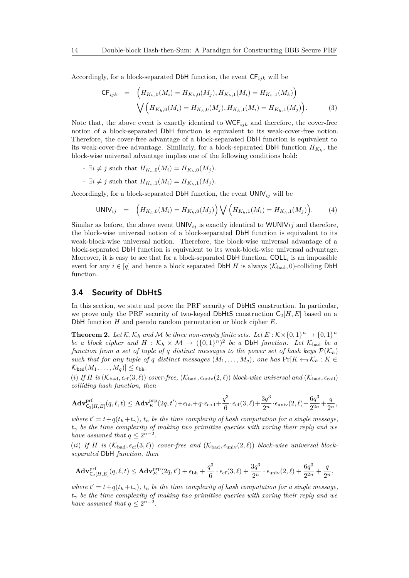Accordingly, for a block-separated DbH function, the event  $\mathsf{CF}_{ijk}$  will be

$$
\mathsf{CF}_{ijk} = \left( H_{K_h,0}(M_i) = H_{K_h,0}(M_j), H_{K_h,1}(M_i) = H_{K_h,1}(M_k) \right) \n\bigvee \left( H_{K_h,0}(M_i) = H_{K_h,0}(M_j), H_{K_h,1}(M_i) = H_{K_h,1}(M_j) \right).
$$
\n(3)

Note that, the above event is exactly identical to  $WCF_{ijk}$  and therefore, the cover-free notion of a block-separated DbH function is equivalent to its weak-cover-free notion. Therefore, the cover-free advantage of a block-separated DbH function is equivalent to its weak-cover-free advantage. Similarly, for a block-separated DbH function  $H_{K_h}$ , the block-wise universal advantage implies one of the following conditions hold:

- $\exists i \neq j$  such that  $H_{K_h,0}(M_i) = H_{K_h,0}(M_i)$ .
- $\exists i \neq j$  such that  $H_{K_h,1}(M_i) = H_{K_h,1}(M_i)$ .

Accordingly, for a block-separated DbH function, the event  $UNIV_{ij}$  will be

$$
UNIV_{ij} = \left( H_{K_h,0}(M_i) = H_{K_h,0}(M_j) \right) \bigvee \left( H_{K_h,1}(M_i) = H_{K_h,1}(M_j) \right). \tag{4}
$$

Similar as before, the above event  $UNIV_{ij}$  is exactly identical to WUNIVij and therefore, the block-wise universal notion of a block-separated DbH function is equivalent to its weak-block-wise universal notion. Therefore, the block-wise universal advantage of a block-separated DbH function is equivalent to its weak-block-wise universal advantage. Moreover, it is easy to see that for a block-separated  $DbH$  function,  $COLL<sub>i</sub>$  is an impossible event for any  $i \in [q]$  and hence a block separated DbH *H* is always  $(\mathcal{K}_{bad}, 0)$ -colliding DbH function.

#### <span id="page-13-0"></span>**3.4 Security of DbHtS**

In this section, we state and prove the PRF security of DbHtS construction. In particular, we prove only the PRF security of two-keyed DbHtS construction  $C_2[H, E]$  based on a DbH function *H* and pseudo random permutation or block cipher *E*.

<span id="page-13-1"></span>**Theorem 2.** Let  $K$ ,  $K_h$  and M be three non-empty finite sets. Let  $E : K \times \{0,1\}^n \to \{0,1\}^n$ *be a block cipher and*  $H : K_h \times M \rightarrow (\{0,1\}^n)^2$  *be a* DbH *function. Let*  $K_{bad}$  *be a function from a set of tuple of q distinct messages to the power set of hash keys*  $\mathcal{P}(\mathcal{K}_h)$ *such that for any tuple of q distinct messages*  $(M_1, \ldots, M_q)$ *, one has*  $\Pr[K \leftarrow K_h : K \in$  $\mathcal{K}_{\text{bad}}(M_1, \ldots, M_q) \leq \epsilon_{\text{bh}}.$ 

(*i*) If H is  $(\mathcal{K}_{bad}, \epsilon_{cf}(3, \ell))$  cover-free,  $(\mathcal{K}_{bad}, \epsilon_{univ}(2, \ell))$  block-wise universal and  $(\mathcal{K}_{bad}, \epsilon_{coll})$ *colliding hash function, then*

$$
\mathbf{Adv}^{\mathrm{prf}}_{\mathsf{C}_2[H,E]}(q,\ell,t) \leq \mathbf{Adv}^{\mathrm{prp}}_E(2q,t') + \epsilon_\mathrm{bh} + q\cdot \epsilon_\mathrm{coll} + \frac{q^3}{6}\cdot \epsilon_\mathrm{cf}(3,\ell) + \frac{3q^3}{2^n}\cdot \epsilon_\mathrm{univ}(2,\ell) + \frac{6q^3}{2^{2n}} + \frac{q}{2^n},
$$

*where*  $t' = t + q(t_h + t_\gamma)$ ,  $t_h$  *be the time complexity of hash computation for a single message, t<sup>γ</sup> be the time complexity of making two primitive queries with xoring their reply and we have assumed that*  $q \leq 2^{n-2}$ *.* 

(*ii*) If *H* is  $(\mathcal{K}_{bad}, \epsilon_{cf}(3, \ell))$  cover-free and  $(\mathcal{K}_{bad}, \epsilon_{univ}(2, \ell))$  block-wise universal block*separated* DbH *function, then*

$$
\mathbf{Adv}_{\mathsf{C}_2[H,E]}^{\mathrm{prf}}(q,\ell,t) \leq \mathbf{Adv}_{E}^{\mathrm{prp}}(2q,t') + \epsilon_{\mathrm{bh}} + \frac{q^3}{6} \cdot \epsilon_{\mathrm{cf}}(3,\ell) + \frac{3q^3}{2^n} \cdot \epsilon_{\mathrm{univ}}(2,\ell) + \frac{6q^3}{2^{2n}} + \frac{q}{2^n},
$$

*where*  $t' = t + q(t_h + t_\gamma)$ ,  $t_h$  *be the time complexity of hash computation for a single message, t<sup>γ</sup> be the time complexity of making two primitive queries with xoring their reply and we have assumed that*  $q \leq 2^{n-2}$ *.*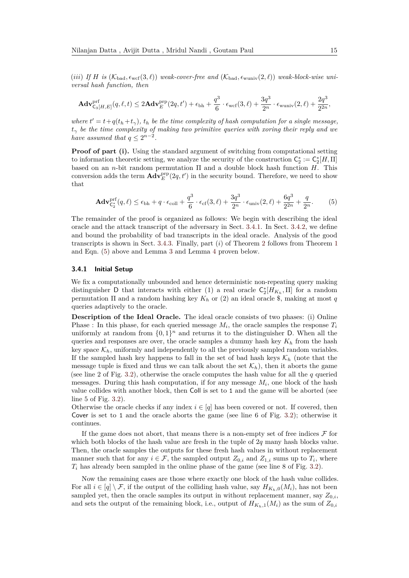$(iii)$  *If H is* ( $\mathcal{K}_{bad}$ ,  $\epsilon_{wcf}(3,\ell)$ ) *weak-cover-free and* ( $\mathcal{K}_{bad}$ ,  $\epsilon_{wuniv}(2,\ell)$ ) *weak-block-wise universal hash function, then*

$$
\mathbf{Adv}_{\mathsf{C}_3[H,E]}^{\mathrm{prf}}(q,\ell,t)\leq 2\mathbf{Adv}_{E}^{\mathrm{prp}}(2q,t')+\epsilon_{\mathrm{bh}}+\frac{q^3}{6}\cdot\epsilon_{\mathrm{wcf}}(3,\ell)+\frac{3q^3}{2^n}\cdot\epsilon_{\mathrm{wuniv}}(2,\ell)+\frac{2q^3}{2^{2n}},
$$

*where*  $t' = t + q(t_h + t_\gamma)$ ,  $t_h$  *be the time complexity of hash computation for a single message,*  $t<sub>γ</sub>$  *be the time complexity of making two primitive queries with xoring their reply and we have assumed that*  $q \leq 2^{n-2}$ *.* 

**Proof of part (i).** Using the standard argument of switching from computational setting to information theoretic setting, we analyze the security of the construction  $C_2^* := C_2^*[H, \Pi]$ based on an *n*-bit random permutation Π and a double block hash function *H*. This conversion adds the term  $\mathbf{Adv}_{E}^{\text{prp}}(2q, t')$  in the security bound. Therefore, we need to show that

<span id="page-14-1"></span>
$$
\mathbf{Adv}_{\mathsf{C}_2^*}^{\text{prf}}(q,\ell) \le \epsilon_{\text{bh}} + q \cdot \epsilon_{\text{coll}} + \frac{q^3}{6} \cdot \epsilon_{\text{cf}}(3,\ell) + \frac{3q^3}{2^n} \cdot \epsilon_{\text{univ}}(2,\ell) + \frac{6q^3}{2^{2n}} + \frac{q}{2^n}.\tag{5}
$$

The remainder of the proof is organized as follows: We begin with describing the ideal oracle and the attack transcript of the adversary in Sect. [3.4.1.](#page-14-0) In Sect. [3.4.2,](#page-16-0) we define and bound the probability of bad transcripts in the ideal oracle. Analysis of the good transcripts is shown in Sect. [3.4.3.](#page-19-0) Finally, part (*i*) of Theorem [2](#page-13-1) follows from Theorem [1](#page-5-3) and Eqn. [\(5\)](#page-14-1) above and Lemma [3](#page-16-1) and Lemma [4](#page-19-1) proven below.

#### <span id="page-14-0"></span>**3.4.1 Initial Setup**

We fix a computationally unbounded and hence deterministic non-repeating query making distinguisher D that interacts with either (1) a real oracle  $C_2^*[H_{K_h},\Pi]$  for a random permutation Π and a random hashing key *K<sup>h</sup>* or (2) an ideal oracle \$, making at most *q* queries adaptively to the oracle.

**Description of the Ideal Oracle.** The ideal oracle consists of two phases: (i) Online Phase : In this phase, for each queried message  $M_i$ , the oracle samples the response  $T_i$ uniformly at random from  $\{0,1\}^n$  and returns it to the distinguisher D. When all the queries and responses are over, the oracle samples a dummy hash key *K<sup>h</sup>* from the hash key space  $\mathcal{K}_h$ , uniformly and independently to all the previously sampled random variables. If the sampled hash key happens to fall in the set of bad hash keys  $\mathcal{K}_h$  (note that the message tuple is fixed and thus we can talk about the set  $\mathcal{K}_h$ ), then it aborts the game (see line 2 of Fig. [3.2\)](#page-15-0), otherwise the oracle computes the hash value for all the *q* queried messages. During this hash computation, if for any message *M<sup>i</sup>* , one block of the hash value collides with another block, then Coll is set to 1 and the game will be aborted (see line 5 of Fig. [3.2\)](#page-15-0).

Otherwise the oracle checks if any index  $i \in [q]$  has been covered or not. If covered, then Cover is set to 1 and the oracle aborts the game (see line 6 of Fig. [3.2\)](#page-15-0); otherwise it continues.

If the game does not abort, that means there is a non-empty set of free indices  $\mathcal F$  for which both blocks of the hash value are fresh in the tuple of 2*q* many hash blocks value. Then, the oracle samples the outputs for these fresh hash values in without replacement manner such that for any  $i \in \mathcal{F}$ , the sampled output  $Z_{0,i}$  and  $Z_{1,i}$  sums up to  $T_i$ , where *T<sup>i</sup>* has already been sampled in the online phase of the game (see line 8 of Fig. [3.2\)](#page-15-0).

Now the remaining cases are those where exactly one block of the hash value collides. For all  $i \in [q] \setminus \mathcal{F}$ , if the output of the colliding hash value, say  $H_{K_h,0}(M_i)$ , has not been sampled yet, then the oracle samples its output in without replacement manner, say  $Z_{0,i}$ , and sets the output of the remaining block, i.e., output of  $H_{K_h,1}(M_i)$  as the sum of  $Z_{0,i}$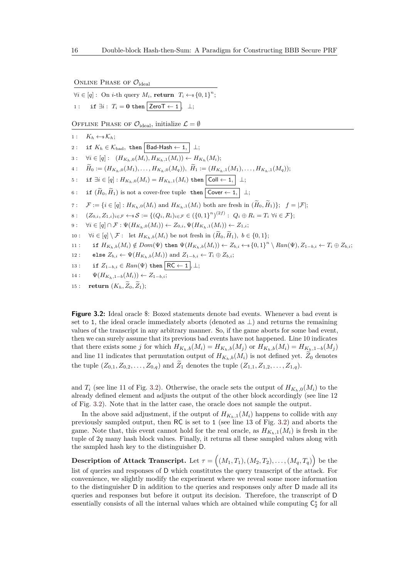<span id="page-15-0"></span>ONLINE PHASE OF  $\mathcal{O}_{\text{ideal}}$ 

 $\forall i \in [q]:$  On *i*-th query  $M_i$ , **return**  $T_i \leftarrow \{0, 1\}^n$ ;

1 : if  $\exists i$  :  $T_i = 0$  then  $\boxed{\mathsf{ZeroT} \leftarrow 1}, \bot;$ 

OFFLINE PHASE OF  $\mathcal{O}_{\text{ideal}}$ , initialize  $\mathcal{L} = \emptyset$ 

1 :  $K_h \leftarrow \& \mathcal{K}_h$ ; 2: if  $K_h \in \mathcal{K}_{bad}$ , then  $\boxed{\mathsf{Bad\text{-}Hash} \leftarrow 1, |\perp;}$ 3 :  $\forall i \in [q]: \quad (H_{K_h,0}(M_i), H_{K_h,1}(M_i)) \leftarrow H_{K_h}(M_i);$ 4:  $\widetilde{H}_0 := (H_{K_h,0}(M_1), \ldots, H_{K_h,0}(M_q)), \ \widetilde{H}_1 := (H_{K_h,1}(M_1), \ldots, H_{K_h,1}(M_q));$ 5: if  $\exists i \in [q]: H_{K_h,0}(M_i) = H_{K_h,1}(M_i)$  then  $\boxed{\text{Coll} \leftarrow 1, \Box}$ 6: **if**  $(\widetilde{H}_0, \widetilde{H}_1)$  is not a cover-free tuple then  $\boxed{\mathsf{Cover} \leftarrow \mathsf{1}, \mathsf{1}}$ ; 7:  $\mathcal{F} := \{i \in [q]: H_{K_h,0}(M_i) \text{ and } H_{K_h,1}(M_i) \text{ both are fresh in } (\widetilde{H}_0, \widetilde{H}_1)\}; \ \ f = |\mathcal{F}|;$ <br>8:  $(Z_0, Z_1) \in \mathcal{F} \leftarrow S := \{(Q_i, R_i) \in \mathcal{F} \in (\{0, 1\}^n)^{(2f)}: Q_i \oplus R_i = T_i \ \forall i \in \mathcal{F}\};$  $8: (Z_{0,i}, Z_{1,i})_{i\in\mathcal{F}} \leftarrow *\mathcal{S}:=\{(Q_i, R_i)_{i\in\mathcal{F}}\in (\{0,1\}^n)^{(2f)}:\ Q_i\oplus R_i=T_i\ \forall i\in\mathcal{F}\};$ 9:  $\forall i \in [q] \cap \mathcal{F} : \Psi(H_{K_{h},0}(M_i)) \leftarrow Z_{0,i}, \Psi(H_{K_{h},1}(M_i)) \leftarrow Z_{1,i};$ 10 :  $\forall i \in [q] \setminus \mathcal{F}$ : let  $H_{K_h,b}(M_i)$  be not fresh in  $(\widetilde{H}_0, \widetilde{H}_1)$ ,  $b \in \{0, 1\}$ ;<br>
11 : if  $H_{K_h,b}(M_i) \notin Dom(\Psi)$  then  $\Psi(H_{K_h,b}(M_i)) \leftarrow Z_h$ ,  $\leftarrow s \{0, 1\}^n$ 11: if  $H_{K_h,b}(M_i) \notin Dom(\Psi)$  then  $\Psi(H_{K_h,b}(M_i)) \leftarrow Z_{b,i} \leftarrow \{0,1\}^n \setminus Ran(\Psi), Z_{1-b,i} \leftarrow T_i \oplus Z_{b,i};$ 12 : else  $Z_{b,i}$  ←  $\Psi(H_{K_h,b}(M_i))$  and  $Z_{1-b,i}$  ←  $T_i \oplus Z_{b,i}$ ; 13 : if  $Z_{1-b,i} \in Ran(\Psi)$  then  $\overline{RC \leftarrow 1}, \perp;$ 14 :  $\Psi(H_{K_{h},1-b}(M_i)) \leftarrow Z_{1-b,i};$ 15 : **return**  $(K_h, \widetilde{Z}_0, \widetilde{Z}_1)$ ;

**Figure 3.2:** Ideal oracle \$: Boxed statements denote bad events. Whenever a bad event is set to 1, the ideal oracle immediately aborts (denoted as  $\perp$ ) and returns the remaining values of the transcript in any arbitrary manner. So, if the game aborts for some bad event, then we can surely assume that its previous bad events have not happened. Line 10 indicates that there exists some j for which  $H_{K_h,b}(M_i) = H_{K_h,b}(M_j)$  or  $H_{K_h,b}(M_i) = H_{K_h,1-b}(M_j)$ and line 11 indicates that permutation output of  $H_{K_h,b}(M_i)$  is not defined yet.  $\widetilde{Z}_0$  denotes the tuple  $(Z_{0,1}, Z_{0,2}, \ldots, Z_{0,q})$  and  $\widetilde{Z}_1$  denotes the tuple  $(Z_{1,1}, Z_{1,2}, \ldots, Z_{1,q})$ .

and  $T_i$  (see line 11 of Fig. [3.2\)](#page-15-0). Otherwise, the oracle sets the output of  $H_{K_h,0}(M_i)$  to the already defined element and adjusts the output of the other block accordingly (see line 12 of Fig. [3.2\)](#page-15-0). Note that in the latter case, the oracle does not sample the output.

In the above said adjustment, if the output of  $H_{K_h,1}(M_i)$  happens to collide with any previously sampled output, then RC is set to 1 (see line 13 of Fig. [3.2\)](#page-15-0) and aborts the game. Note that, this event cannot hold for the real oracle, as  $H_{K_h,1}(M_i)$  is fresh in the tuple of 2*q* many hash block values. Finally, it returns all these sampled values along with the sampled hash key to the distinguisher D.

 $\textbf{Description of Attack Transfer. Let } \tau = \big( (M_1, T_1), (M_2, T_2), \ldots, (M_q, T_q) \big)$  be the list of queries and responses of D which constitutes the query transcript of the attack. For convenience, we slightly modify the experiment where we reveal some more information to the distinguisher D in addition to the queries and responses only after D made all its queries and responses but before it output its decision. Therefore, the transcript of D essentially consists of all the internal values which are obtained while computing  $\mathsf{C}_2^*$  for all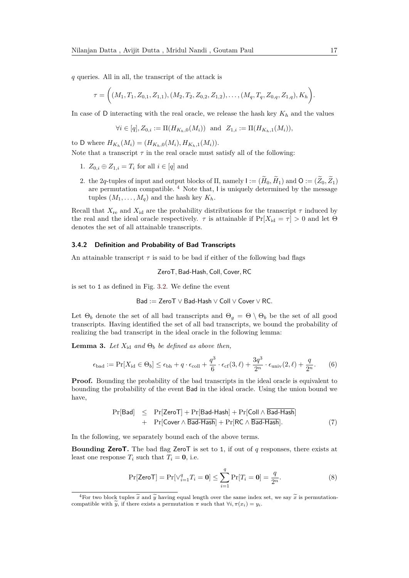*q* queries. All in all, the transcript of the attack is

$$
\tau = \bigg( (M_1, T_1, Z_{0,1}, Z_{1,1}), (M_2, T_2, Z_{0,2}, Z_{1,2}), \ldots, (M_q, T_q, Z_{0,q}, Z_{1,q}), K_h \bigg).
$$

In case of D interacting with the real oracle, we release the hash key *K<sup>h</sup>* and the values

$$
\forall i \in [q], Z_{0,i} := \Pi(H_{K_h,0}(M_i)) \text{ and } Z_{1,i} := \Pi(H_{K_h,1}(M_i)),
$$

to D where  $H_{K_h}(M_i) = (H_{K_h,0}(M_i), H_{K_h,1}(M_i)).$ 

Note that a transcript  $\tau$  in the real oracle must satisfy all of the following:

- 1.  $Z_{0,i} \oplus Z_{1,i} = T_i$  for all  $i \in [q]$  and
- 2. the 2*q*-tuples of input and output blocks of  $\Pi$ , namely  $I := (\widetilde{H}_0, \widetilde{H}_1)$  and  $O := (\widetilde{Z}_0, \widetilde{Z}_1)$ are permutation compatible. [4](#page-16-2) Note that, I is uniquely determined by the message tuples  $(M_1, \ldots, M_q)$  and the hash key  $K_h$ .

Recall that  $X_{\text{re}}$  and  $X_{\text{id}}$  are the probability distributions for the transcript  $\tau$  induced by the real and the ideal oracle respectively.  $\tau$  is attainable if  $Pr[X_{id} = \tau] > 0$  and let  $\Theta$ denotes the set of all attainable transcripts.

#### <span id="page-16-0"></span>**3.4.2 Definition and Probability of Bad Transcripts**

An attainable transcript  $\tau$  is said to be bad if either of the following bad flags

ZeroT*,* Bad-Hash*,* Coll*,* Cover*,* RC

is set to 1 as defined in Fig. [3.2.](#page-15-0) We define the event

$$
\mathsf{Bad} := \mathsf{ZeroT} \vee \mathsf{Bad\text{-}Hash} \vee \mathsf{Coll} \vee \mathsf{Cover} \vee \mathsf{RC}.
$$

Let  $\Theta_b$  denote the set of all bad transcripts and  $\Theta_g = \Theta \setminus \Theta_b$  be the set of all good transcripts. Having identified the set of all bad transcripts, we bound the probability of realizing the bad transcript in the ideal oracle in the following lemma:

<span id="page-16-1"></span>**Lemma 3.** *Let*  $X_{id}$  *and*  $\Theta_b$  *be defined as above then,* 

$$
\epsilon_{\text{bad}} := \Pr[X_{\text{id}} \in \Theta_b] \le \epsilon_{\text{bh}} + q \cdot \epsilon_{\text{coll}} + \frac{q^3}{6} \cdot \epsilon_{\text{cf}}(3,\ell) + \frac{3q^3}{2^n} \cdot \epsilon_{\text{univ}}(2,\ell) + \frac{q}{2^n}.\tag{6}
$$

**Proof.** Bounding the probability of the bad transcripts in the ideal oracle is equivalent to bounding the probability of the event Bad in the ideal oracle. Using the union bound we have,

<span id="page-16-3"></span>
$$
Pr[Bad] \leq Pr[ZeroT] + Pr[Bad-Hash] + Pr[Coll \wedge \overline{Bad-Hash}] + Pr[Cover \wedge \overline{Bad-Hash}] + Pr[RC \wedge \overline{Bad-Hash}].
$$
 (7)

In the following, we separately bound each of the above terms.

**Bounding ZeroT.** The bad flag ZeroT is set to 1, if out of *q* responses, there exists at least one response  $T_i$  such that  $T_i = 0$ , i.e.

<span id="page-16-4"></span>
$$
\Pr[\text{ZeroT}] = \Pr[\vee_{i=1}^{q} T_i = \mathbf{0}] \le \sum_{i=1}^{q} \Pr[T_i = \mathbf{0}] = \frac{q}{2^n}.
$$
 (8)

<span id="page-16-2"></span><sup>&</sup>lt;sup>4</sup>For two block tuples  $\widetilde{x}$  and  $\widetilde{y}$  having equal length over the same index set, we say  $\widetilde{x}$  is permutationcompatible with  $\tilde{y}$ , if there exists a permutation  $\pi$  such that  $\forall i, \pi(x_i) = y_i$ .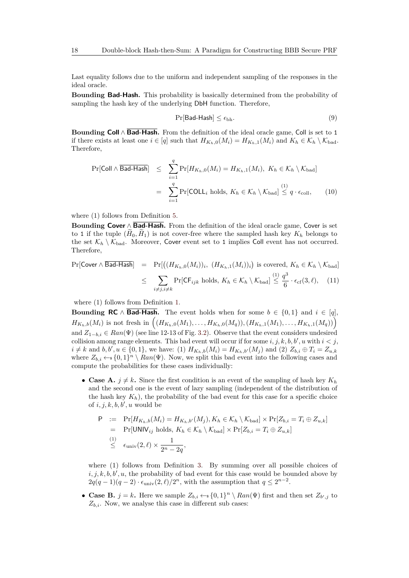Last equality follows due to the uniform and independent sampling of the responses in the ideal oracle.

**Bounding Bad-Hash.** This probability is basically determined from the probability of sampling the hash key of the underlying DbH function. Therefore,

<span id="page-17-0"></span>
$$
\Pr[\mathsf{Bad\text{-}Hash}] \le \epsilon_{\text{bh}}.\tag{9}
$$

**Bounding Coll** ∧ **Bad-Hash.** From the definition of the ideal oracle game, Coll is set to 1 if there exists at least one  $i \in [q]$  such that  $H_{K_h,0}(M_i) = H_{K_h,1}(M_i)$  and  $K_h \in \mathcal{K}_h \setminus \mathcal{K}_{bad}$ . Therefore,

<span id="page-17-1"></span>
$$
\Pr[\text{Coll} \land \overline{\text{Bad-Hash}}] \leq \sum_{i=1}^{q} \Pr[H_{K_h,0}(M_i) = H_{K_h,1}(M_i), K_h \in \mathcal{K}_h \setminus \mathcal{K}_{\text{bad}}]
$$

$$
= \sum_{i=1}^{q} \Pr[\text{COLL}_i \text{ holds}, K_h \in \mathcal{K}_h \setminus \mathcal{K}_{\text{bad}}] \stackrel{(1)}{\leq q \cdot \epsilon_{\text{coll}}}, \quad (10)
$$

where (1) follows from Definition [5.](#page-12-0)

**Bounding Cover** ∧ **Bad-Hash.** From the definition of the ideal oracle game, Cover is set to 1 if the tuple  $(H_0, H_1)$  is not cover-free where the sampled hash key  $K_h$  belongs to the set  $\mathcal{K}_h \setminus \mathcal{K}_{bad}$ . Moreover, Cover event set to 1 implies Coll event has not occurred. Therefore,

<span id="page-17-2"></span>
$$
\Pr[\text{Cover} \land \overline{\mathsf{Bad-Hash}}] = \Pr[\big((H_{K_h,0}(M_i))_i, (H_{K_h,1}(M_i))_i\big) \text{ is covered, } K_h \in \mathcal{K}_h \setminus \mathcal{K}_{\text{bad}}] \le \sum_{i \neq j, i \neq k} \Pr[\text{CF}_{ijk} \text{ holds}, K_h \in \mathcal{K}_h \setminus \mathcal{K}_{\text{bad}}] \le \frac{q^3}{6} \cdot \epsilon_{\text{cf}}(3,\ell), \quad (11)
$$

where  $(1)$  follows from Definition [1.](#page-11-0)

**Bounding RC**  $\wedge$  **Bad-Hash**. The event holds when for some  $b \in \{0, 1\}$  and  $i \in [q]$ ,  $H_{K_h,b}(M_i)$  is not fresh in  $((H_{K_h,0}(M_1),\ldots,H_{K_h,0}(M_q)),(H_{K_h,1}(M_1),\ldots,H_{K_h,1}(M_q)))$ and  $Z_{1-b,i} \in Ran(\Psi)$  (see line 12-13 of Fig. [3.2\)](#page-15-0). Observe that the event considers undesired collision among range elements. This bad event will occur if for some  $i, j, k, b, b', u$  with  $i < j$ ,  $i \neq k$  and  $b, b', u \in \{0, 1\}$ , we have: (1)  $H_{K_h, b}(M_i) = H_{K_h, b'}(M_j)$  and (2)  $Z_{b,i} \oplus T_i = Z_{u,k}$ where  $Z_{b,i} \leftarrow \{0,1\}^n \setminus Ran(\Psi)$ . Now, we split this bad event into the following cases and compute the probabilities for these cases individually:

• **Case A.**  $j \neq k$ . Since the first condition is an event of the sampling of hash key  $K_h$ and the second one is the event of lazy sampling (independent of the distribution of the hash key  $K_h$ ), the probability of the bad event for this case for a specific choice of  $i, j, k, b, b', u$  would be

$$
P := Pr[H_{K_h,b}(M_i) = H_{K_h,b'}(M_j), K_h \in \mathcal{K}_h \setminus \mathcal{K}_{bad}] \times Pr[Z_{b,i} = T_i \oplus Z_{u,k}]
$$
  
\n
$$
= Pr[UNIV_{ij} holds, K_h \in \mathcal{K}_h \setminus \mathcal{K}_{bad}] \times Pr[Z_{b,i} = T_i \oplus Z_{u,k}]
$$
  
\n
$$
\leq \epsilon_{\text{univ}}(2,\ell) \times \frac{1}{2^n - 2q},
$$

where (1) follows from Definition [3.](#page-11-1) By summing over all possible choices of  $i, j, k, b, b', u$ , the probability of bad event for this case would be bounded above by  $2q(q-1)(q-2) \cdot \epsilon_{\text{univ}}(2,\ell)/2^n$ , with the assumption that  $q \leq 2^{n-2}$ .

• **Case B.**  $j = k$ . Here we sample  $Z_{b,i} \leftarrow \{0,1\}^n \setminus Ran(\Psi)$  first and then set  $Z_{b',j}$  to  $Z_{b,i}$ . Now, we analyse this case in different sub cases: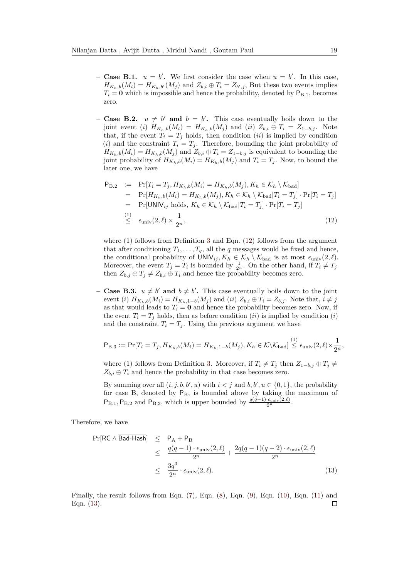- **Case B.1.**  $u = b'$ . We first consider the case when  $u = b'$ . In this case,  $H_{K_h,b}(M_i) = H_{K_h,b'}(M_j)$  and  $Z_{b,i} \oplus T_i = Z_{b',j}$ , But these two events implies  $T_i = 0$  which is impossible and hence the probability, denoted by  $P_{B,1}$ , becomes zero.
- $-$  **Case B.2.**  $u \neq b'$  and  $b = b'$ . This case eventually boils down to the joint event (*i*)  $H_{K_h,b}(M_i) = H_{K_h,b}(M_j)$  and (*ii*)  $Z_{b,i} \oplus T_i = Z_{1-b,j}$ . Note that, if the event  $T_i = T_j$  holds, then condition *(ii)* is implied by condition (*i*) and the constraint  $T_i = T_j$ . Therefore, bounding the joint probability of  $H_{K_h,b}(M_i) = H_{K_h,b}(M_j)$  and  $Z_{b,i} \oplus T_i = Z_{1-b,j}$  is equivalent to bounding the joint probability of  $H_{K_h,b}(M_i) = H_{K_h,b}(M_j)$  and  $T_i = T_j$ . Now, to bound the later one, we have

<span id="page-18-0"></span>
$$
P_{B.2} := Pr[T_i = T_j, H_{K_h,b}(M_i) = H_{K_h,b}(M_j), K_h \in \mathcal{K}_h \setminus \mathcal{K}_{bad}]
$$
  
\n
$$
= Pr[H_{K_h,b}(M_i) = H_{K_h,b}(M_j), K_h \in \mathcal{K}_h \setminus \mathcal{K}_{bad}|T_i = T_j] \cdot Pr[T_i = T_j]
$$
  
\n
$$
= Pr[UNIV_{ij} holds, K_h \in \mathcal{K}_h \setminus \mathcal{K}_{bad}|T_i = T_j] \cdot Pr[T_i = T_j]
$$
  
\n
$$
\leq \epsilon_{\text{univ}}(2,\ell) \times \frac{1}{2^n},
$$
\n(12)

where (1) follows from Definition [3](#page-11-1) and Eqn. [\(12\)](#page-18-0) follows from the argument that after conditioning  $T_1, \ldots, T_q$ , all the *q* messages would be fixed and hence, the conditional probability of  $UNIV_{ij}, K_h \in \mathcal{K}_h \setminus \mathcal{K}_{bad}$  is at most  $\epsilon_{\text{univ}}(2, \ell)$ . Moreover, the event  $T_j = T_i$  is bounded by  $\frac{1}{2^n}$ . On the other hand, if  $T_i \neq T_j$ then  $Z_{b,j} \oplus T_j \neq Z_{b,i} \oplus T_i$  and hence the probability becomes zero.

**– Case B.3.**  $u \neq b'$  and  $b \neq b'$ . This case eventually boils down to the joint event (i)  $H_{K_h,b}(M_i) = H_{K_h,1-b}(M_i)$  and (ii)  $Z_{b,i} \oplus T_i = Z_{b,i}$ . Note that,  $i \neq j$ as that would leads to  $T_i = 0$  and hence the probability becomes zero. Now, if the event  $T_i = T_j$  holds, then as before condition  $(ii)$  is implied by condition  $(i)$ and the constraint  $T_i = T_j$ . Using the previous argument we have

$$
\mathsf{P}_{\mathrm{B.3}} := \Pr[T_i = T_j, H_{K_h,b}(M_i) = H_{K_h,1-b}(M_j), K_h \in \mathcal{K} \setminus \mathcal{K}_{\mathrm{bad}}] \stackrel{(1)}{\leq} \epsilon_{\mathrm{univ}}(2,\ell) \times \frac{1}{2^n},
$$

where (1) follows from Definition [3.](#page-11-1) Moreover, if  $T_i \neq T_j$  then  $Z_{1-b,j} \oplus T_j \neq$  $Z_{b,i} \oplus T_i$  and hence the probability in that case becomes zero.

By summing over all  $(i, j, b, b', u)$  with  $i < j$  and  $b, b', u \in \{0, 1\}$ , the probability for case B, denoted by  $P_B$ , is bounded above by taking the maximum of  $P_{B.1}$ ,  $P_{B.2}$  and  $P_{B.3}$ , which is upper bounded by  $\frac{q(q-1)\cdot\epsilon_{\text{univ}}(2,\ell)}{2^n}$ .

Therefore, we have

<span id="page-18-1"></span>
$$
\Pr[\text{RC} \land \text{Bad-Hash}] \leq P_A + P_B
$$
  
\n
$$
\leq \frac{q(q-1) \cdot \epsilon_{\text{univ}}(2,\ell)}{2^n} + \frac{2q(q-1)(q-2) \cdot \epsilon_{\text{univ}}(2,\ell)}{2^n}
$$
  
\n
$$
\leq \frac{3q^3}{2^n} \cdot \epsilon_{\text{univ}}(2,\ell). \tag{13}
$$

Finally, the result follows from Eqn.  $(7)$ , Eqn.  $(8)$ , Eqn.  $(9)$ , Eqn.  $(10)$ , Eqn.  $(11)$  and Eqn. [\(13\)](#page-18-1).П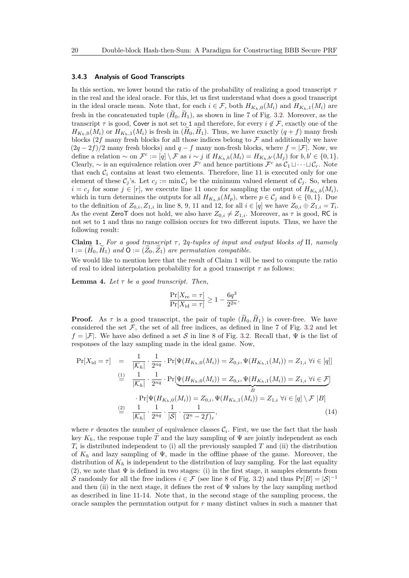#### <span id="page-19-0"></span>**3.4.3 Analysis of Good Transcripts**

In this section, we lower bound the ratio of the probability of realizing a good transcript *τ* in the real and the ideal oracle. For this, let us first understand what does a good transcript in the ideal oracle mean. Note that, for each  $i \in \mathcal{F}$ , both  $H_{K_h,0}(M_i)$  and  $H_{K_h,1}(M_i)$  are fresh in the concatenated tuple  $(\tilde{H}_0, \tilde{H}_1)$ , as shown in line 7 of Fig. [3.2.](#page-15-0) Moreover, as the transcript  $\tau$  is good, Cover is not set to 1 and therefore, for every  $i \notin \mathcal{F}$ , exactly one of the  $H_{K_h,0}(M_i)$  or  $H_{K_h,1}(M_i)$  is fresh in  $(H_0, H_1)$ . Thus, we have exactly  $(q + f)$  many fresh blocks  $(2f \text{ many fresh blocks for all those indices belong to } \mathcal{F}$  and additionally we have  $(2q - 2f)/2$  many fresh blocks) and  $q - f$  many non-fresh blocks, where  $f = |\mathcal{F}|$ . Now, we define a relation  $\sim$  on  $\mathcal{F}^c := [q] \setminus \mathcal{F}$  as  $i \sim j$  if  $H_{K_h,b}(M_i) = H_{K_h,b'}(M_j)$  for  $b, b' \in \{0,1\}.$ Clearly,  $\sim$  is an equivalence relation over  $\mathcal{F}^c$  and hence partitions  $\mathcal{F}^c$  as  $\mathcal{C}_1 \sqcup \cdots \sqcup \mathcal{C}_r$ . Note that each  $\mathcal{C}_i$  contains at least two elements. Therefore, line 11 is executed only for one element of these  $\mathcal{C}_j$ 's. Let  $c_j := \min \mathcal{C}_j$  be the minimum valued element of  $\mathcal{C}_j$ . So, when *i* =  $c_j$  for some  $j \in [r]$ , we execute line 11 once for sampling the output of  $H_{K_h,b}(M_i)$ , which in turn determines the outputs for all  $H_{K_h,b}(M_p)$ , where  $p \in C_j$  and  $b \in \{0,1\}$ . Due to the definition of  $Z_{0,i}, Z_{1,i}$  in line 8, 9, 11 and 12, for all  $i \in [q]$  we have  $Z_{0,i} \oplus Z_{1,i} = T_i$ . As the event ZeroT does not hold, we also have  $Z_{0,i} \neq Z_{1,i}$ . Moreover, as  $\tau$  is good, RC is not set to 1 and thus no range collision occurs for two different inputs. Thus, we have the following result:

**Claim 1.** For a good transcript  $\tau$ , 2q-tuples of input and output blocks of  $\Pi$ , namely  $I := (H_0, H_1)$  *and*  $\mathbf{O} := (Z_0, Z_1)$  *are permutation compatible.* 

We would like to mention here that the result of Claim 1 will be used to compute the ratio of real to ideal interpolation probability for a good transcript  $\tau$  as follows:

<span id="page-19-1"></span>**Lemma 4.** Let  $\tau$  be a good transcript. Then,

$$
\frac{\Pr[X_{\text{re}} = \tau]}{\Pr[X_{\text{id}} = \tau]} \ge 1 - \frac{6q^3}{2^{2n}}.
$$

**Proof.** As  $\tau$  is a good transcript, the pair of tuple  $(\widetilde{H}_0, \widetilde{H}_1)$  is cover-free. We have considered the set  $\mathcal F$ , the set of all free indices, as defined in line 7 of Fig. [3.2](#page-15-0) and let  $f = |\mathcal{F}|$ . We have also defined a set S in line 8 of Fig. [3.2.](#page-15-0) Recall that,  $\Psi$  is the list of responses of the lazy sampling made in the ideal game. Now,

<span id="page-19-2"></span>
$$
\Pr[X_{id} = \tau] = \frac{1}{|\mathcal{K}_h|} \cdot \frac{1}{2^{nq}} \cdot \Pr[\Psi(H_{K_h,0}(M_i)) = Z_{0,i}, \Psi(H_{K_h,1}(M_i)) = Z_{1,i} \,\forall i \in [q]]
$$
  
\n
$$
\stackrel{\text{(1)}}{=} \frac{1}{|\mathcal{K}_h|} \cdot \frac{1}{2^{nq}} \cdot \Pr[\Psi(H_{K_h,0}(M_i)) = Z_{0,i}, \Psi(H_{K_h,1}(M_i)) = Z_{1,i} \,\forall i \in \mathcal{F}]
$$
  
\n
$$
\cdot \Pr[\Psi(H_{K_h,0}(M_i)) = Z_{0,i}, \Psi(H_{K_h,1}(M_i)) = Z_{1,i} \,\forall i \in [q] \setminus \mathcal{F} |B]
$$
  
\n
$$
\stackrel{\text{(2)}}{=} \frac{1}{|\mathcal{K}_h|} \cdot \frac{1}{2^{nq}} \cdot \frac{1}{|\mathcal{S}|} \cdot \frac{1}{(2^n - 2f)_r},
$$
  
\n(14)

where  $r$  denotes the number of equivalence classes  $\mathcal{C}_i$ . First, we use the fact that the hash key  $K_h$ , the response tuple  $\tilde{T}$  and the lazy sampling of  $\Psi$  are jointly independent as each *Ti* is distributed independent to (i) all the previously sampled *T* and (ii) the distribution of  $K_h$  and lazy sampling of  $\Psi$ , made in the offline phase of the game. Moreover, the distribution of  $K_h$  is independent to the distribution of lazy sampling. For the last equality (2), we note that  $\Psi$  is defined in two stages: (i) in the first stage, it samples elements from S randomly for all the free indices  $i \in \mathcal{F}$  (see line 8 of Fig. [3.2\)](#page-15-0) and thus  $Pr[B] = |S|^{-1}$ and then (ii) in the next stage, it defines the rest of  $\Psi$  values by the lazy sampling method as described in line 11-14. Note that, in the second stage of the sampling process, the oracle samples the permutation output for *r* many distinct values in such a manner that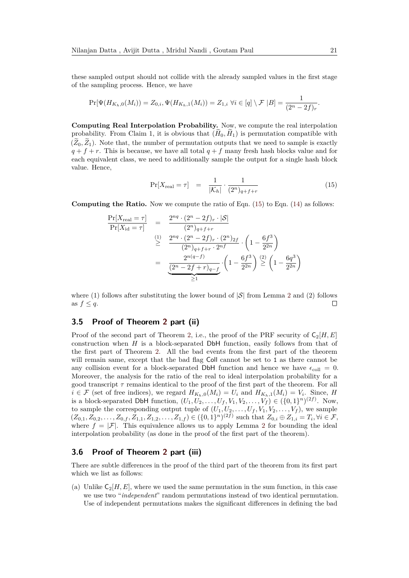these sampled output should not collide with the already sampled values in the first stage of the sampling process. Hence, we have

$$
\Pr[\Psi(H_{K_h,0}(M_i)) = Z_{0,i}, \Psi(H_{K_h,1}(M_i)) = Z_{1,i} \,\,\forall i \in [q] \setminus \mathcal{F} |B] = \frac{1}{(2^n - 2f)_r}.
$$

**Computing Real Interpolation Probability.** Now, we compute the real interpolation probability. From Claim 1, it is obvious that  $(\widetilde{H}_0, \widetilde{H}_1)$  is permutation compatible with  $(\tilde{Z}_0, \tilde{Z}_1)$ . Note that, the number of permutation outputs that we need to sample is exactly  $q + f + r$ . This is because, we have all total  $q + f$  many fresh hash blocks value and for each equivalent class, we need to additionally sample the output for a single hash block value. Hence,

<span id="page-20-0"></span>
$$
\Pr[X_{\text{real}} = \tau] = \frac{1}{|\mathcal{K}_h|} \cdot \frac{1}{(2^n)_{q+f+r}} \tag{15}
$$

**Computing the Ratio.** Now we compute the ratio of Eqn. [\(15\)](#page-20-0) to Eqn. [\(14\)](#page-19-2) as follows:

$$
\frac{\Pr[X_{\text{real}} = \tau]}{\Pr[X_{\text{id}} = \tau]} = \frac{2^{nq} \cdot (2^n - 2f)_r \cdot |\mathcal{S}|}{(2^n)_{q+f+r}}
$$
\n
$$
\stackrel{(1)}{\geq} \frac{2^{nq} \cdot (2^n - 2f)_r \cdot (2^n)_{2f}}{(2^n)_{q+f+r} \cdot 2^{n} f} \cdot \left(1 - \frac{6f^3}{2^{2n}}\right)
$$
\n
$$
= \frac{2^{n(q-f)}}{\frac{(2^n - 2f + r)_{q-f}}{2^{1}}} \cdot \left(1 - \frac{6f^3}{2^{2n}}\right) \stackrel{(2)}{\geq} \left(1 - \frac{6q^3}{2^{2n}}\right)
$$

where (1) follows after substituting the lower bound of  $|\mathcal{S}|$  from Lemma [2](#page-7-2) and (2) follows as  $f \leq q$ .  $\Box$ 

### **3.5 Proof of Theorem [2](#page-13-1) part (ii)**

Proof of the second part of Theorem [2,](#page-13-1) i.e., the proof of the PRF security of  $C_2[H, E]$ construction when *H* is a block-separated DbH function, easily follows from that of the first part of Theorem [2.](#page-13-1) All the bad events from the first part of the theorem will remain same, except that the bad flag Coll cannot be set to 1 as there cannot be any collision event for a block-separated DbH function and hence we have  $\epsilon_{\text{coll}} = 0$ . Moreover, the analysis for the ratio of the real to ideal interpolation probability for a good transcript  $\tau$  remains identical to the proof of the first part of the theorem. For all  $i \in \mathcal{F}$  (set of free indices), we regard  $H_{K_h,0}(M_i) = U_i$  and  $H_{K_h,1}(M_i) = V_i$ . Since, *H* is a block-separated DbH function,  $(U_1, U_2, \ldots, U_f, V_1, V_2, \ldots, V_f) \in (\{0, 1\}^n)^{(2f)}$ . Now, to sample the corresponding output tuple of  $(U_1, U_2, \ldots, U_f, V_1, V_2, \ldots, V_f)$ , we sample  $(Z_{0,1}, Z_{0,2}, \ldots, Z_{0,f}, Z_{1,1}, Z_{1,2}, \ldots, Z_{1,f}) \in (\{0,1\}^n)^{(2f)}$  such that  $Z_{0,i} \oplus Z_{1,i} = T_i, \forall i \in \mathcal{F},$ where  $f = |\mathcal{F}|$ . This equivalence allows us to apply Lemma [2](#page-7-2) for bounding the ideal interpolation probability (as done in the proof of the first part of the theorem).

#### **3.6 Proof of Theorem [2](#page-13-1) part (iii)**

There are subtle differences in the proof of the third part of the theorem from its first part which we list as follows:

(a) Unlike  $C_2[H, E]$ , where we used the same permutation in the sum function, in this case we use two "*independent*" random permutations instead of two identical permutation. Use of independent permutations makes the significant differences in defining the bad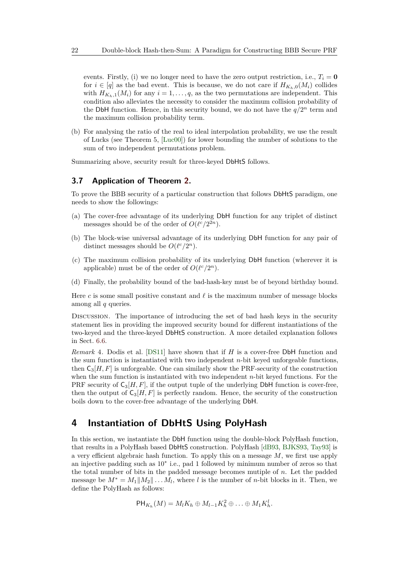events. Firstly, (i) we no longer need to have the zero output restriction, i.e.,  $T_i = 0$ for  $i \in [q]$  as the bad event. This is because, we do not care if  $H_{K_h,0}(M_i)$  collides with  $H_{K_h,1}(M_i)$  for any  $i=1,\ldots,q$ , as the two permutations are independent. This condition also alleviates the necessity to consider the maximum collision probability of the DbH function. Hence, in this security bound, we do not have the  $q/2^n$  term and the maximum collision probability term.

(b) For analysing the ratio of the real to ideal interpolation probability, we use the result of Lucks (see Theorem 5, [\[Luc00\]](#page-48-8)) for lower bounding the number of solutions to the sum of two independent permutations problem.

Summarizing above, security result for three-keyed DbHtS follows.

#### **3.7 Application of Theorem [2.](#page-13-1)**

To prove the BBB security of a particular construction that follows DbHtS paradigm, one needs to show the followings:

- (a) The cover-free advantage of its underlying DbH function for any triplet of distinct messages should be of the order of  $O(\ell^c/2^{2n})$ .
- (b) The block-wise universal advantage of its underlying DbH function for any pair of distinct messages should be  $O(\ell^c/2^n)$ .
- (c) The maximum collision probability of its underlying DbH function (wherever it is applicable) must be of the order of  $O(\ell^c/2^n)$ .
- (d) Finally, the probability bound of the bad-hash-key must be of beyond birthday bound.

Here  $c$  is some small positive constant and  $\ell$  is the maximum number of message blocks among all *q* queries.

Discussion. The importance of introducing the set of bad hash keys in the security statement lies in providing the improved security bound for different instantiations of the two-keyed and the three-keyed DbHtS construction. A more detailed explanation follows in Sect. [6.6.](#page-45-1)

*Remark* 4*.* Dodis et al. [\[DS11\]](#page-48-13) have shown that if *H* is a cover-free DbH function and the sum function is instantiated with two independent *n*-bit keyed unforgeable functions, then  $C_3[H, F]$  is unforgeable. One can similarly show the PRF-security of the construction when the sum function is instantiated with two independent *n*-bit keyed functions. For the PRF security of  $C_3[H, F]$ , if the output tuple of the underlying DbH function is cover-free, then the output of  $C_3[H, F]$  is perfectly random. Hence, the security of the construction boils down to the cover-free advantage of the underlying DbH.

### <span id="page-21-0"></span>**4 Instantiation of DbHtS Using PolyHash**

In this section, we instantiate the DbH function using the double-block PolyHash function, that results in a PolyHash based DbHtS construction. PolyHash [\[dB93,](#page-47-9) [BJKS93,](#page-46-4) [Tay93\]](#page-49-9) is a very efficient algebraic hash function. To apply this on a message *M*, we first use apply an injective padding such as 10<sup>∗</sup> i.e., pad 1 followed by minimum number of zeros so that the total number of bits in the padded message becomes mutiple of *n*. Let the padded message be  $M^* = M_1||M_2|| \dots M_l$ , where *l* is the number of *n*-bit blocks in it. Then, we define the PolyHash as follows:

$$
\mathsf{PH}_{K_h}(M)=M_lK_h\oplus M_{l-1}K_h^2\oplus\ldots\oplus M_1K_h^l.
$$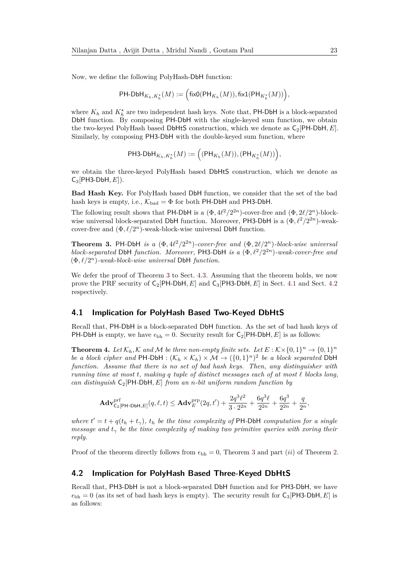Now, we define the following PolyHash-DbH function:

$$
\mathsf{PH}\text{-}\mathsf{DbH}_{K_h,K_h^{\star}}(M):=\Big(\mathsf{fixO}(\mathsf{PH}_{K_h}(M)),\mathsf{fix1}(\mathsf{PH}_{K_h^{\star}}(M))\Big),
$$

where  $K_h$  and  $K_h^*$  are two independent hash keys. Note that, PH-DbH is a block-separated DbH function. By composing PH-DbH with the single-keyed sum function, we obtain the two-keyed PolyHash based DbHtS construction, which we denote as C2[PH-DbH*, E*]. Similarly, by composing PH3-DbH with the double-keyed sum function, where

$$
\mathsf{PH3}\text{-}\mathsf{DbH}_{K_h,K_h^{\star}}(M):=\Big((\mathsf{PH}_{K_h}(M)),(\mathsf{PH}_{K_h^{\star}}(M))\Big),
$$

we obtain the three-keyed PolyHash based DbHtS construction, which we denote as  $C_3$ [PH3-DbH,  $E$ ]).

**Bad Hash Key.** For PolyHash based DbH function, we consider that the set of the bad hash keys is empty, i.e.,  $\mathcal{K}_{bad} = \Phi$  for both PH-DbH and PH3-DbH.

The following result shows that PH-DbH is a  $(\Phi, 4\ell^2/2^{2n})$ -cover-free and  $(\Phi, 2\ell/2^n)$ -blockwise universal block-separated DbH function. Moreover, PH3-DbH is a  $(\Phi, \ell^2/2^{2n})$ -weakcover-free and  $(\Phi, \ell/2^n)$ -weak-block-wise universal DbH function.

<span id="page-22-0"></span>**Theorem 3.** PH-DbH *is a*  $(\Phi, 4\ell^2/2^{2n})$ -cover-free and  $(\Phi, 2\ell/2^n)$ -block-wise universal *block-separated* DbH *function. Moreover*, PH3-DbH *is a*  $(\Phi, \ell^2/2^{2n})$ -weak-cover-free and  $(\Phi, \ell/2^n)$ -weak-block-wise universal DbH function.

We defer the proof of Theorem [3](#page-22-0) to Sect. [4.3.](#page-23-0) Assuming that the theorem holds, we now prove the PRF security of C2[PH-DbH*, E*] and C3[PH3-DbH*, E*] in Sect. [4.1](#page-22-1) and Sect. [4.2](#page-22-2) respectively.

#### <span id="page-22-1"></span>**4.1 Implication for PolyHash Based Two-Keyed DbHtS**

Recall that, PH-DbH is a block-separated DbH function. As the set of bad hash keys of PH-DbH is empty, we have  $\epsilon_{\rm bh} = 0$ . Security result for C<sub>2</sub>[PH-DbH, E] is as follows:

**Theorem 4.** Let  $\mathcal{K}_h$ ,  $\mathcal{K}$  and  $\mathcal{M}$  be three non-empty finite sets. Let  $E : \mathcal{K} \times \{0,1\}^n \to \{0,1\}^n$ *be a block cipher and*  $PH-DbH : (\mathcal{K}_h \times \mathcal{K}_h) \times \mathcal{M} \to (\{0,1\}^n)^2$  *be a block separated* DbH *function. Assume that there is no set of bad hash keys. Then, any distinguisher with running time at most*  $t$ *, making*  $q$  *tuple of distinct messages each of at most*  $\ell$  *blocks long, can distinguish* C2[PH*-*DbH*, E*] *from an n-bit uniform random function by*

$$
\mathbf{Adv}_{\mathsf{C}_2[\mathsf{PH}\text{-}\mathsf{DbH},E]}^{\text{prf}}(q,\ell,t)\leq \mathbf{Adv}_{E}^{\text{prp}}(2q,t')+\frac{2q^3\ell^2}{3\cdot 2^{2n}}+\frac{6q^3\ell}{2^{2n}}+\frac{6q^3}{2^{2n}}+\frac{q}{2n},
$$

*where*  $t' = t + q(t_h + t_\gamma)$ ,  $t_h$  *be the time complexity of* PH-DbH *computation for a single message and*  $t<sub>γ</sub>$  *be the time complexity of making two primitive queries with xoring their reply.*

Proof of the theorem directly follows from  $\epsilon_{\text{bh}} = 0$ , Theorem [3](#page-22-0) and part *(ii)* of Theorem [2.](#page-13-1)

#### <span id="page-22-2"></span>**4.2 Implication for PolyHash Based Three-Keyed DbHtS**

Recall that, PH3-DbH is not a block-separated DbH function and for PH3-DbH, we have  $\epsilon_{\text{bh}} = 0$  (as its set of bad hash keys is empty). The security result for  $C_3[PH3-DbH, E]$  is as follows: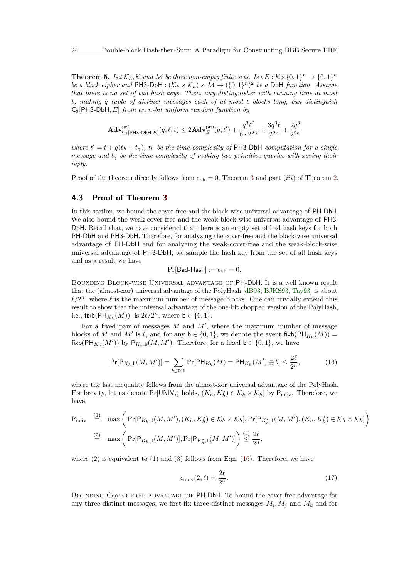**Theorem 5.** Let  $\mathcal{K}_h$ ,  $\mathcal{K}$  and  $\mathcal{M}$  be three non-empty finite sets. Let  $E : \mathcal{K} \times \{0,1\}^n \to \{0,1\}^n$ *be a block cipher and*  $PH3-DbH : (\mathcal{K}_h \times \mathcal{K}_h) \times \mathcal{M} \to (\{0,1\}^n)^2$  *be a DbH function. Assume that there is no set of bad hash keys. Then, any distinguisher with running time at most t, making q tuple of distinct messages each of at most ` blocks long, can distinguish* C3[PH3*-*DbH*, E*] *from an n-bit uniform random function by*

$$
\mathbf{Adv}_{\mathsf{C}_3[\mathsf{PH3}\text{-}\mathsf{DbH},E]}^{\text{prf}}(q,\ell,t)\leq 2\mathbf{Adv}_{E}^{\text{prp}}(q,t')+\frac{q^3\ell^2}{6\cdot 2^{2n}}+\frac{3q^3\ell}{2^{2n}}+\frac{2q^3}{2^{2n}}
$$

*where*  $t' = t + q(t_h + t_\gamma)$ ,  $t_h$  *be the time complexity of* PH3-DbH *computation for a single message and*  $t<sub>γ</sub>$  *be the time complexity of making two primitive queries with xoring their reply.*

Proof of the theorem directly follows from  $\epsilon_{\text{bh}} = 0$ , Theorem [3](#page-22-0) and part *(iii)* of Theorem [2.](#page-13-1)

#### <span id="page-23-0"></span>**4.3 Proof of Theorem [3](#page-22-0)**

In this section, we bound the cover-free and the block-wise universal advantage of PH-DbH. We also bound the weak-cover-free and the weak-block-wise universal advantage of PH3- DbH. Recall that, we have considered that there is an empty set of bad hash keys for both PH-DbH and PH3-DbH. Therefore, for analyzing the cover-free and the block-wise universal advantage of PH-DbH and for analyzing the weak-cover-free and the weak-block-wise universal advantage of PH3-DbH, we sample the hash key from the set of all hash keys and as a result we have

$$
\Pr[\mathsf{Bad\text{-}Hash}] := \epsilon_{\text{bh}} = 0.
$$

Bounding Block-wise Universal advantage of PH-DbH. It is a well known result that the (almost-xor) universal advantage of the PolyHash [\[dB93,](#page-47-9) [BJKS93,](#page-46-4) [Tay93\]](#page-49-9) is about  $\ell/2^n$ , where  $\ell$  is the maximum number of message blocks. One can trivially extend this result to show that the universal advantage of the one-bit chopped version of the PolyHash, i.e.,  $\text{fixb}(\text{PH}_{K_h}(M))$ , is  $2\ell/2^n$ , where  $b \in \{0, 1\}$ .

For a fixed pair of messages  $M$  and  $M'$ , where the maximum number of message blocks of *M* and *M'* is  $\ell$ , and for any  $\mathsf{b} \in \{0,1\}$ , we denote the event fixb( $\mathsf{PH}_{K_h}(M)$ ) = fixb(PH<sub>K<sub>h</sub></sub>(M')) by  $P_{K_h,b}(M, M')$ . Therefore, for a fixed  $b \in \{0,1\}$ , we have

<span id="page-23-1"></span>
$$
\Pr[\mathsf{P}_{K_h, \mathsf{b}}(M, M')] = \sum_{b \in \mathbf{0}, \mathbf{1}} \Pr[\mathsf{PH}_{K_h}(M) = \mathsf{PH}_{K_h}(M') \oplus b] \le \frac{2\ell}{2^n},\tag{16}
$$

where the last inequality follows from the almost-xor universal advantage of the PolyHash. For brevity, let us denote  $Pr[UNIV_{ij}$  holds,  $(K_h, K_h^{\star}) \in \mathcal{K}_h \times \mathcal{K}_h]$  by  $P_{\text{univ}}$ . Therefore, we have

$$
\begin{aligned}\n\mathsf{P}_{\text{univ}} &\stackrel{(1)}{=} \max \bigg( \Pr[\mathsf{P}_{K_h,0}(M,M'), (K_h, K_h^*) \in \mathcal{K}_h \times \mathcal{K}_h], \Pr[\mathsf{P}_{K_h^*,1}(M,M'), (K_h, K_h^*) \in \mathcal{K}_h \times \mathcal{K}_h] \bigg) \\
&\stackrel{(2)}{=} \max \bigg( \Pr[\mathsf{P}_{K_h,0}(M,M')], \Pr[\mathsf{P}_{K_h^*,1}(M,M')] \bigg) \stackrel{(3)}{\leq} \frac{2\ell}{2^n},\n\end{aligned}
$$

where  $(2)$  is equivalent to  $(1)$  and  $(3)$  follows from Eqn. [\(16\)](#page-23-1). Therefore, we have

<span id="page-23-2"></span>
$$
\epsilon_{\text{univ}}(2,\ell) = \frac{2\ell}{2^n}.\tag{17}
$$

Bounding Cover-free advantage of PH-DbH. To bound the cover-free advantage for any three distinct messages, we first fix three distinct messages  $M_i, M_j$  and  $M_k$  and for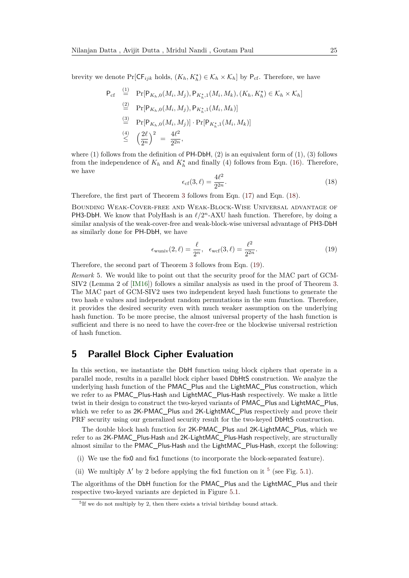brevity we denote  $Pr[CF_{ijk}$  holds,  $(K_h, K_h^{\star}) \in \mathcal{K}_h \times \mathcal{K}_h]$  by  $P_{cf}$ . Therefore, we have

<span id="page-24-1"></span>
$$
P_{cf} \stackrel{(1)}{=} \Pr[P_{K_h,0}(M_i, M_j), P_{K_h^*,1}(M_i, M_k), (K_h, K_h^*) \in \mathcal{K}_h \times \mathcal{K}_h]
$$
  
\n
$$
\stackrel{(2)}{=} \Pr[P_{K_h,0}(M_i, M_j), P_{K_h^*,1}(M_i, M_k)]
$$
  
\n
$$
\stackrel{(3)}{=} \Pr[P_{K_h,0}(M_i, M_j)] \cdot \Pr[P_{K_h^*,1}(M_i, M_k)]
$$
  
\n
$$
\stackrel{(4)}{\leq} \left(\frac{2\ell}{2^n}\right)^2 = \frac{4\ell^2}{2^{2n}},
$$

where (1) follows from the definition of  $PH-DbH$ , (2) is an equivalent form of (1), (3) follows from the independence of  $K_h$  and  $K_h^*$  and finally (4) follows from Eqn. [\(16\)](#page-23-1). Therefore, we have

$$
\epsilon_{\rm cf}(3,\ell) = \frac{4\ell^2}{2^{2n}}.\tag{18}
$$

Therefore, the first part of Theorem [3](#page-22-0) follows from Eqn. [\(17\)](#page-23-2) and Eqn. [\(18\)](#page-24-1).

Bounding Weak-Cover-free and Weak-Block-Wise Universal advantage of **PH3-DbH.** We know that PolyHash is an  $\ell/2^n$ -AXU hash function. Therefore, by doing a similar analysis of the weak-cover-free and weak-block-wise universal advantage of PH3-DbH as similarly done for PH-DbH, we have

<span id="page-24-2"></span>
$$
\epsilon_{\text{wuniv}}(2,\ell) = \frac{\ell}{2^n}, \quad \epsilon_{\text{wcf}}(3,\ell) = \frac{\ell^2}{2^{2n}}.
$$
\n(19)

Therefore, the second part of Theorem [3](#page-22-0) follows from Eqn. [\(19\)](#page-24-2).

*Remark* 5*.* We would like to point out that the security proof for the MAC part of GCM-SIV2 (Lemma 2 of [\[IM16\]](#page-48-5)) follows a similar analysis as used in the proof of Theorem [3.](#page-22-0) The MAC part of GCM-SIV2 uses two independent keyed hash functions to generate the two hash e values and independent random permutations in the sum function. Therefore, it provides the desired security even with much weaker assumption on the underlying hash function. To be more precise, the almost universal property of the hash function is sufficient and there is no need to have the cover-free or the blockwise universal restriction of hash function.

### <span id="page-24-0"></span>**5 Parallel Block Cipher Evaluation**

In this section, we instantiate the DbH function using block ciphers that operate in a parallel mode, results in a parallel block cipher based DbHtS construction. We analyze the underlying hash function of the PMAC\_Plus and the LightMAC\_Plus construction, which we refer to as PMAC\_Plus-Hash and LightMAC\_Plus-Hash respectively. We make a little twist in their design to construct the two-keyed variants of PMAC\_Plus and LightMAC\_Plus, which we refer to as 2K-PMAC\_Plus and 2K-LightMAC\_Plus respectively and prove their PRF security using our generalized security result for the two-keyed DbHtS construction.

The double block hash function for 2K-PMAC\_Plus and 2K-LightMAC\_Plus, which we refer to as 2K-PMAC\_Plus-Hash and 2K-LightMAC\_Plus-Hash respectively, are structurally almost similar to the PMAC\_Plus-Hash and the LightMAC\_Plus-Hash, except the following:

- (i) We use the fix0 and fix1 functions (to incorporate the block-separated feature).
- (ii) We multiply  $\Lambda'$  by 2 before applying the fix1 function on it <sup>[5](#page-24-3)</sup> (see Fig. [5.1\)](#page-8-0).

The algorithms of the DbH function for the PMAC\_Plus and the LightMAC\_Plus and their respective two-keyed variants are depicted in Figure [5.1.](#page-8-0)

<span id="page-24-3"></span><sup>5</sup> If we do not multiply by 2, then there exists a trivial birthday bound attack.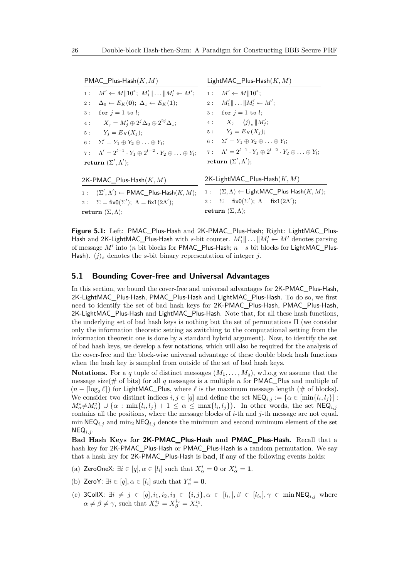PMAC\_Plus-Hash(*K, M*) 1 :  $M' \leftarrow M ||10^*; M'_1|| \dots ||M'_l \leftarrow M';$  $2: \Delta_0 \leftarrow E_K(\mathbf{0}); \Delta_1 \leftarrow E_K(\mathbf{1});$ 3 : for  $j = 1$  to *l*; 4 :  $X_j = M'_j \oplus 2^{j} \Delta_0 \oplus 2^{2j} \Delta_1;$  4 :  $X_j = \langle j \rangle_s || M'_j;$ 5 :  $Y_i = E_K(X_i);$ 6 :  $\Sigma' = Y_1 \oplus Y_2 \oplus \ldots \oplus Y_l$ ;  $\gamma : \Lambda' = 2^{l-1} \cdot Y_1 \oplus 2^{l-2} \cdot Y_2 \oplus \ldots \oplus Y_l; \quad \gamma : \Lambda' = 2^{l-1} \cdot Y_1 \oplus 2^{l-2} \cdot Y_2 \oplus \ldots \oplus Y_l;$  $\mathbf{return} \; (\Sigma', \Lambda');$ 2K-PMAC\_Plus-Hash(*K, M*)  $1$  :  $, \Lambda'$   $\leftarrow$  PMAC\_Plus-Hash $(K, M);$ 2:  $\Sigma = \text{fixO}(\Sigma')$ ;  $\Lambda = \text{fix1}(2\Lambda')$ ; LightMAC\_Plus-Hash(*K, M*) 1 :  $M' \leftarrow M || 10^*;$  $2: M'_1 \| ... \| M'_l \leftarrow M';$ 3 : for  $j = 1$  to *l*; 5 :  $Y_j = E_K(X_j);$  $6: \Sigma' = Y_1 \oplus Y_2 \oplus \ldots \oplus Y_l;$ **return**  $(\Sigma', \Lambda')$ ; 2K-LightMAC\_Plus-Hash(*K, M*) 1 :  $(\Sigma, \Lambda) \leftarrow$  LightMAC Plus-Hash $(K, M)$ ; 2:  $\Sigma = \text{fixO}(\Sigma')$ ;  $\Lambda = \text{fix1}(2\Lambda')$ ; **return**  $(\Sigma, \Lambda)$ ;

**Figure 5.1:** Left: PMAC\_Plus-Hash and 2K-PMAC\_Plus-Hash; Right: LightMAC\_Plus-Hash and 2K-LightMAC\_Plus-Hash with *s*-bit counter.  $M'_1 \parallel ... \parallel M'_l \leftarrow M'$  denotes parsing of message *M'* into (*n* bit blocks for PMAC\_Plus-Hash; *n*−*s* bit blocks for LightMAC\_Plus-Hash).  $\langle j \rangle_s$  denotes the *s*-bit binary representation of integer *j*.

#### **5.1 Bounding Cover-free and Universal Advantages**

In this section, we bound the cover-free and universal advantages for 2K-PMAC\_Plus-Hash, 2K-LightMAC\_Plus-Hash, PMAC\_Plus-Hash and LightMAC\_Plus-Hash. To do so, we first need to identify the set of bad hash keys for 2K-PMAC\_Plus-Hash, PMAC\_Plus-Hash, 2K-LightMAC\_Plus-Hash and LightMAC\_Plus-Hash. Note that, for all these hash functions, the underlying set of bad hash keys is nothing but the set of permutations Π (we consider only the information theoretic setting as switching to the computational setting from the information theoretic one is done by a standard hybrid argument). Now, to identify the set of bad hash keys, we develop a few notations, which will also be required for the analysis of the cover-free and the block-wise universal advantage of these double block hash functions when the hash key is sampled from outside of the set of bad hash keys.

**Notations.** For a *q* tuple of distinct messages  $(M_1, \ldots, M_q)$ , w.l.o.g we assume that the message size(# of bits) for all *q* messages is a multiple *n* for PMAC\_Plus and multiple of  $(n - \lceil \log_2 \ell \rceil)$  for LightMAC\_Plus, where  $\ell$  is the maximum message length (# of blocks). We consider two distinct indices  $i, j \in [q]$  and define the set  $\mathsf{NEQ}_{i,j} := \{ \alpha \in [\min\{l_i, l_j\}] : j \in [q] \}$  $M^i_\alpha \neq M^j_\alpha$   $\}$  ∪ { $\alpha$  : min{*l*<sub>*i*</sub>,*l*<sub>j</sub>} + 1 ≤  $\alpha$  ≤ max{*l*<sub>*i*</sub>,*l*<sub>j</sub>}}. In other words, the set NEQ<sub>*i,j*</sub> contains all the positions, where the message blocks of  $i$ -th and  $j$ -th message are not equal. min  $NEQ_{i,j}$  and min<sub>2</sub>  $NEQ_{i,j}$  denote the minimum and second minimum element of the set  $NEQ_{i,j}$ .

**Bad Hash Keys for 2K-PMAC\_Plus-Hash and PMAC\_Plus-Hash.** Recall that a hash key for 2K-PMAC\_Plus-Hash or PMAC\_Plus-Hash is a random permutation. We say that a hash key for 2K-PMAC\_Plus-Hash is **bad**, if any of the following events holds:

- (a) ZeroOneX:  $\exists i \in [q], \alpha \in [l_i]$  such that  $X^i_\alpha = \mathbf{0}$  or  $X^i_\alpha = \mathbf{1}$ .
- (b) ZeroY:  $\exists i \in [q], \alpha \in [l_i]$  such that  $Y^i_\alpha = \mathbf{0}$ .
- (c) 3CollX:  $\exists i \neq j \in [q], i_1, i_2, i_3 \in \{i, j\}, \alpha \in [l_{i_1}], \beta \in [l_{i_2}], \gamma \in \min \mathsf{NEQ}_{i,j}$  where  $\alpha \neq \beta \neq \gamma$ , such that  $X_{\alpha}^{i_1} = X_{\beta}^{i_2} = X_{\gamma}^{i_3}$ .

**return**  $(\Sigma, \Lambda);$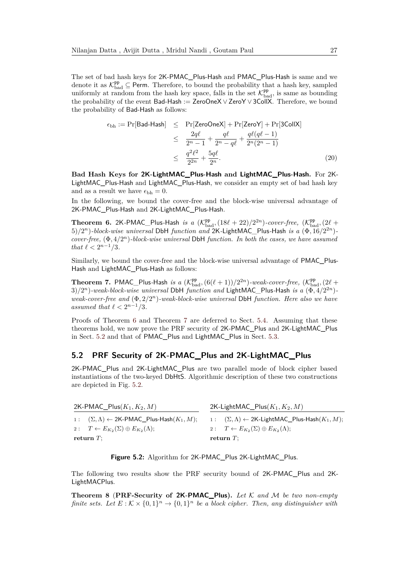The set of bad hash keys for 2K-PMAC\_Plus-Hash and PMAC\_Plus-Hash is same and we denote it as  $\mathcal{K}_{bad}^{\mathbf{pp}} \subseteq \mathsf{Perm}$ . Therefore, to bound the probability that a hash key, sampled uniformly at random from the hash key space, falls in the set  $\mathcal{K}_{bad}^{PP}$ , is same as bounding the probability of the event Bad-Hash := ZeroOneX ∨ ZeroY ∨ 3CollX. Therefore, we bound the probability of Bad-Hash as follows:

<span id="page-26-3"></span>
$$
\epsilon_{\text{bh}} := \Pr[\text{Bad-Hash}] \leq \Pr[\text{ZeroOneX}] + \Pr[\text{ZeroY}] + \Pr[\text{3CollX}]
$$
  

$$
\leq \frac{2q\ell}{2^n - 1} + \frac{q\ell}{2^n - q\ell} + \frac{q\ell(q\ell - 1)}{2^n(2^n - 1)}
$$
  

$$
\leq \frac{q^2\ell^2}{2^{2n}} + \frac{5q\ell}{2^n}.
$$
 (20)

**Bad Hash Keys for 2K-LightMAC\_Plus-Hash and LightMAC\_Plus-Hash.** For 2K-LightMAC\_Plus-Hash and LightMAC\_Plus-Hash, we consider an empty set of bad hash key and as a result we have  $\epsilon_{\text{bh}} = 0$ .

In the following, we bound the cover-free and the block-wise universal advantage of 2K-PMAC\_Plus-Hash and 2K-LightMAC\_Plus-Hash.

<span id="page-26-0"></span>**Theorem 6.** 2K-PMAC\_Plus-Hash *is a*  $(\mathcal{K}_{bad}^{pp}, (18\ell + 22)/2^{2n})$ -cover-free,  $(\mathcal{K}_{bad}^{pp}, (2\ell +$ 5)*/*2 *<sup>n</sup>*)*-block-wise universal* DbH *function and* 2K*-*LightMAC*\_*Plus*-*Hash *is a* (Φ*,* 16*/*2 <sup>2</sup>*<sup>n</sup>*) *cover-free,* (Φ*,* 4*/*2 *<sup>n</sup>*)*-block-wise universal* DbH *function. In both the cases, we have assumed that*  $\ell < 2^{n-1}/3$ *.* 

Similarly, we bound the cover-free and the block-wise universal advantage of PMAC\_Plus-Hash and LightMAC\_Plus-Hash as follows:

<span id="page-26-1"></span>**Theorem 7.** PMAC\_Plus-Hash *is a*  $(\mathcal{K}_{bad}^{pp}, (6(\ell+1))/2^{2n})$ -weak-cover-free,  $(\mathcal{K}_{bad}^{pp}, (2\ell+1))$  $3/2^{n}$ )*-weak-block-wise universal* DbH *function and* LightMAC\_Plus-Hash *is a*  $(\Phi, 4/2^{2n})$ *weak-cover-free and* (Φ*,* 2*/*2 *<sup>n</sup>*)*-weak-block-wise universal* DbH *function. Here also we have assumed that*  $\ell < 2^{n-1}/3$ *.* 

Proofs of Theorem [6](#page-26-0) and Theorem [7](#page-26-1) are deferred to Sect. [5.4.](#page-28-0) Assuming that these theorems hold, we now prove the PRF security of 2K-PMAC\_Plus and 2K-LightMAC\_Plus in Sect. [5.2](#page-26-2) and that of PMAC\_Plus and LightMAC\_Plus in Sect. [5.3.](#page-27-0)

#### <span id="page-26-2"></span>**5.2 PRF Security of 2K-PMAC\_Plus and 2K-LightMAC\_Plus**

2K-PMAC\_Plus and 2K-LightMAC\_Plus are two parallel mode of block cipher based instantiations of the two-keyed DbHtS. Algorithmic description of these two constructions are depicted in Fig. [5.2.](#page-15-0)

| 2K-PMAC_Plus $(K_1, K_2, M)$                                     | 2K-LightMAC_Plus $(K_1, K_2, M)$                                      |  |  |
|------------------------------------------------------------------|-----------------------------------------------------------------------|--|--|
| $1: (\Sigma, \Lambda) \leftarrow 2K$ -PMAC_Plus-Hash $(K_1, M);$ | 1: $(\Sigma, \Lambda) \leftarrow 2K$ -LightMAC_Plus-Hash $(K_1, M)$ ; |  |  |
| 2: $T \leftarrow E_{K_2}(\Sigma) \oplus E_{K_2}(\Lambda);$       | 2: $T \leftarrow E_{K_2}(\Sigma) \oplus E_{K_2}(\Lambda);$            |  |  |
| return $T$ :                                                     | return $T$ :                                                          |  |  |

**Figure 5.2:** Algorithm for 2K-PMAC\_Plus 2K-LightMAC\_Plus.

The following two results show the PRF security bound of 2K-PMAC\_Plus and 2K-LightMACPlus.

**Theorem 8** (**PRF-Security of 2K-PMAC\_Plus).** *Let* K *and* M *be two non-empty finite sets.* Let  $E: K \times \{0,1\}^n \to \{0,1\}^n$  be a block cipher. Then, any distinguisher with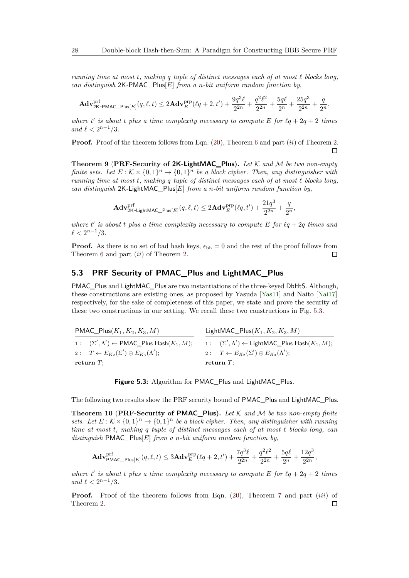*running time at most*  $t$ *, making*  $q$  *tuple of distinct messages each of at most*  $\ell$  *blocks long, can distinguish* 2K*-*PMAC*\_*Plus[*E*] *from a n-bit uniform random function by,*

$$
\mathbf{Adv}_{2\mathsf{K-PMAC\_Plus}[E]}^{\text{prf}}(q,\ell,t) \le 2\mathbf{Adv}_{E}^{\text{prp}}(\ell q+2,t') + \frac{9q^3\ell}{2^{2n}} + \frac{q^2\ell^2}{2^{2n}} + \frac{5q\ell}{2^n} + \frac{25q^3}{2^{2n}} + \frac{q}{2^n},
$$

where  $t'$  is about  $t$  plus a time complexity necessary to compute  $E$  for  $lq + 2q + 2$  times *and*  $\ell < 2^{n-1}/3$ *.* 

**Proof.** Proof of the theorem follows from Eqn. [\(20\)](#page-26-3), Theorem [6](#page-26-0) and part (*ii*) of Theorem [2.](#page-13-1)  $\Box$ 

**Theorem 9** (**PRF-Security of 2K-LightMAC\_Plus).** *Let* K *and* M *be two non-empty finite sets.* Let  $E: K \times \{0,1\}^n \to \{0,1\}^n$  be a block cipher. Then, any distinguisher with *running time at most t, making q tuple of distinct messages each of at most*  $\ell$  blocks long, *can distinguish* 2K*-*LightMAC*\_*Plus[*E*] *from a n-bit uniform random function by,*

$$
\mathbf{Adv}_{\mathbf{2K}\text{-LightMAC\_Plus}[E]}^{\text{prf}}(q,\ell,t) \leq 2\mathbf{Adv}_{E}^{\text{prp}}(\ell q,t') + \frac{21q^3}{2^{2n}} + \frac{q}{2^n},
$$

where  $t'$  is about  $t$  plus a time complexity necessary to compute  $E$  for  $\ell q + 2q$  times and  $\ell < 2^{n-1}/3$ *.* 

**Proof.** As there is no set of bad hash keys,  $\epsilon_{bh} = 0$  and the rest of the proof follows from Theorem [6](#page-26-0) and part (*ii*) of Theorem [2.](#page-13-1)  $\Box$ 

### <span id="page-27-0"></span>**5.3 PRF Security of PMAC\_Plus and LightMAC\_Plus**

PMAC\_Plus and LightMAC\_Plus are two instantiations of the three-keyed DbHtS. Although, these constructions are existing ones, as proposed by Yasuda [\[Yas11\]](#page-49-1) and Naito [\[Nai17\]](#page-48-4) respectively, for the sake of completeness of this paper, we state and prove the security of these two constructions in our setting. We recall these two constructions in Fig. [5.3.](#page-27-1)

<span id="page-27-1"></span>

| $\mathsf{PMAC\_Plus}(K_1, K_2, K_3, M)$                               | LightMAC_Plus $(K_1, K_2, K_3, M)$                           |  |  |
|-----------------------------------------------------------------------|--------------------------------------------------------------|--|--|
| 1: $(\Sigma', \Lambda') \leftarrow \textsf{PMAC\_Plus-Hash}(K_1, M);$ | 1: $(\Sigma', \Lambda')$ ← LightMAC_Plus-Hash $(K_1, M)$ ;   |  |  |
| 2: $T \leftarrow E_{K_2}(\Sigma') \oplus E_{K_3}(\Lambda');$          | 2: $T \leftarrow E_{K_2}(\Sigma') \oplus E_{K_3}(\Lambda');$ |  |  |
| return $T$ ;                                                          | return $T$ :                                                 |  |  |

Figure 5.3: Algorithm for PMAC Plus and LightMAC Plus.

The following two results show the PRF security bound of PMAC\_Plus and LightMAC\_Plus.

<span id="page-27-2"></span>**Theorem 10** (**PRF-Security of PMAC\_Plus).** *Let* K *and* M *be two non-empty finite* sets. Let  $E: K \times \{0,1\}^n \to \{0,1\}^n$  be a block cipher. Then, any distinguisher with running *time at most t, making q tuple of distinct messages each of at most ` blocks long, can distinguish* PMAC*\_*Plus[*E*] *from a n-bit uniform random function by,*

$$
\mathbf{Adv}^{\mathrm{prf}}_{\mathsf{PMAC\_Plus}[E]}(q, \ell, t) \leq 3 \mathbf{Adv}^{\mathrm{prp}}_{E}(\ell q + 2, t') + \frac{7q^3\ell}{2^{2n}} + \frac{q^2\ell^2}{2^{2n}} + \frac{5q\ell}{2^n} + \frac{12q^3}{2^{2n}},
$$

where  $t'$  is about  $t$  plus a time complexity necessary to compute  $E$  for  $lq + 2q + 2$  times *and*  $\ell < 2^{n-1}/3$ *.* 

**Proof.** Proof of the theorem follows from Eqn. [\(20\)](#page-26-3), Theorem [7](#page-26-1) and part *(iii)* of Theorem [2.](#page-13-1) $\Box$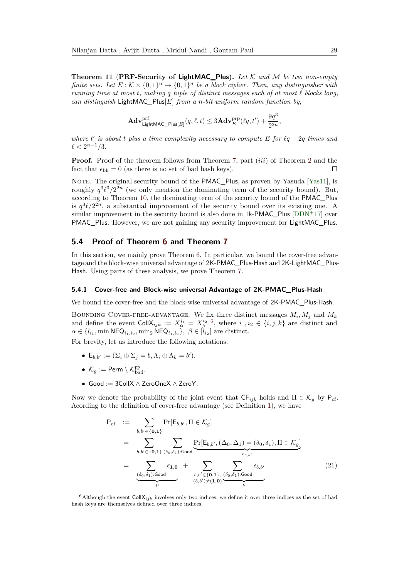**Theorem 11** (**PRF-Security of LightMAC\_Plus).** *Let* K *and* M *be two non-empty finite sets.* Let  $E: K \times \{0,1\}^n \to \{0,1\}^n$  be a block cipher. Then, any distinguisher with *running time at most*  $t$ *, making*  $q$  *tuple of distinct messages each of at most*  $\ell$  *blocks long, can distinguish* LightMAC*\_*Plus[*E*] *from a n-bit uniform random function by,*

$$
\mathbf{Adv}^{\mathrm{prf}}_{\mathsf{LightMAC\_Plus}[E]}(q, \ell, t) \leq 3\mathbf{Adv}^{\mathrm{prp}}_{E}(\ell q, t') + \frac{9q^3}{2^{2n}},
$$

where  $t'$  is about  $t$  plus a time complexity necessary to compute  $E$  for  $\ell q + 2q$  times and  $\ell < 2^{n-1}/3$ *.* 

**Proof.** Proof of the theorem follows from Theorem [7,](#page-26-1) part *(iii)* of Theorem [2](#page-13-1) and the fact that  $\epsilon_{\rm bh} = 0$  (as there is no set of bad hash keys).  $\Box$ 

NOTE. The original security bound of the PMAC\_Plus, as proven by Yasuda [\[Yas11\]](#page-49-1), is roughly  $q^3\ell^3/2^{2n}$  (we only mention the dominating term of the security bound). But, according to Theorem [10,](#page-27-2) the dominating term of the security bound of the PMAC\_Plus is  $q^3\ell/2^{2n}$ , a substantial improvement of the security bound over its existing one. A similar improvement in the security bound is also done in 1k-PMAC\_Plus [\[DDN](#page-47-3)<sup>+</sup>17] over PMAC\_Plus. However, we are not gaining any security improvement for LightMAC\_Plus.

#### <span id="page-28-0"></span>**5.4 Proof of Theorem [6](#page-26-0) and Theorem [7](#page-26-1)**

In this section, we mainly prove Theorem [6.](#page-26-0) In particular, we bound the cover-free advantage and the block-wise universal advantage of 2K-PMAC\_Plus-Hash and 2K-LightMAC\_Plus-Hash. Using parts of these analysis, we prove Theorem [7.](#page-26-1)

#### **5.4.1 Cover-free and Block-wise universal Advantage of 2K-PMAC\_Plus-Hash**

We bound the cover-free and the block-wise universal advantage of 2K-PMAC\_Plus-Hash.

BOUNDING COVER-FREE-ADVANTAGE. We fix three distinct messages  $M_i$ ,  $M_j$  and  $M_k$ and define the event  $\text{CollX}_{ijk} := X_{\alpha}^{i_1} = X_{\beta}^{i_2}$  <sup>[6](#page-28-1)</sup>, where  $i_1, i_2 \in \{i, j, k\}$  are distinct and  $\alpha \in \{l_{i_1}, \min \textsf{NEQ}_{i_1, i_2}, \min_2 \textsf{NEQ}_{i_1, i_2}\}, \ \beta \in [l_{i_2}]$  are distinct.

For brevity, let us introduce the following notations:

- $E_{b,b'} := (\Sigma_i \oplus \Sigma_j = b, \Lambda_i \oplus \Lambda_k = b').$
- $\mathcal{K}_g := \mathsf{Perm} \setminus \mathcal{K}_{\text{bad}}^{\text{pp}}$ .
- Good := 3CollX ∧ ZeroOneX ∧ ZeroY*.*

Now we denote the probability of the joint event that  $\mathsf{CF}_{ijk}$  holds and  $\Pi \in \mathcal{K}_g$  by  $\mathsf{P}_{cf}$ . Acording to the definition of cover-free advantage (see Definition [1\)](#page-11-0), we have

<span id="page-28-2"></span>
$$
P_{cf} := \sum_{b,b' \in \{0,1\}} \Pr[E_{b,b'}, \Pi \in \mathcal{K}_g]
$$
  
\n
$$
= \sum_{b,b' \in \{0,1\}} \sum_{(\delta_0,\delta_1): \text{Good}} \underbrace{Pr[E_{b,b'}, (\Delta_0, \Delta_1) = (\delta_0, \delta_1), \Pi \in \mathcal{K}_g]}_{\epsilon_{b,b'}}
$$
  
\n
$$
= \sum_{\substack{(\delta_0,\delta_1): \text{Good} \\ \mu}} \epsilon_{1,0} + \sum_{\substack{b,b' \in \{0,1\}, \\ (b,b') \neq (1,0)}} \sum_{\substack{(\delta_0,\delta_1): \text{Good} \\ \nu}} \epsilon_{b,b'} \tag{21}
$$

<span id="page-28-1"></span> $6$ Although the event Coll $X_{ijk}$  involves only two indices, we define it over three indices as the set of bad hash keys are themselves defined over three indices.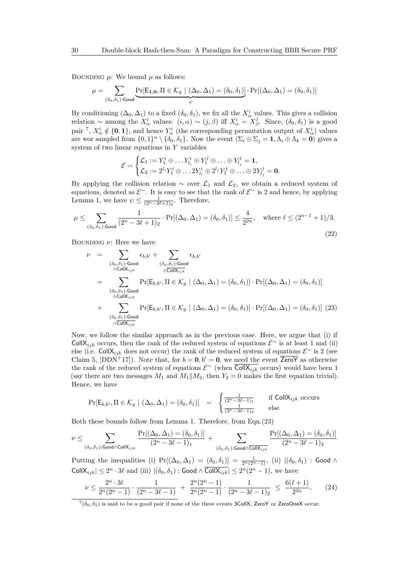BOUNDING  $\mu$ : We bound  $\mu$  as follows:

<span id="page-29-2"></span>
$$
\mu = \sum_{(\delta_0, \delta_1): \text{Good}} \underbrace{\Pr[\mathsf{E}_{1,0}, \Pi \in \mathcal{K}_g \mid (\Delta_0, \Delta_1) = (\delta_0, \delta_1)]}_{\psi} \cdot \Pr[(\Delta_0, \Delta_1) = (\delta_0, \delta_1)]
$$

By conditioning  $(\Delta_0, \Delta_1)$  to a fixed  $(\delta_0, \delta_1)$ , we fix all the  $X^i_\alpha$  values. This gives a collision relation ~ among the  $\overline{X}^i_\alpha$  values:  $(i, \alpha) \sim (j, \beta)$  iff  $X^i_\alpha = X^j_\beta$ . Since,  $(\delta_0, \delta_1)$  is a good pair <sup>[7](#page-29-0)</sup>,  $X^i_\alpha \notin \{0,1\}$ , and hence  $Y^i_\alpha$  (the corresponding permutation output of  $X^i_\alpha$ ) values are wor sampled from  $\{0,1\}^n \setminus \{\delta_0, \delta_1\}$ . Now the event  $(\Sigma_i \oplus \Sigma_j = 1, \Lambda_i \oplus \Lambda_k = 0)$  gives a system of two linear equations in *Y* variables

$$
\mathcal{E} = \begin{cases} \mathcal{L}_1 := Y_1^i \oplus \ldots Y_{l_i}^i \oplus Y_1^j \oplus \ldots \oplus Y_{l_j}^j = 1, \\ \mathcal{L}_2 := 2^{l_i} Y_1^i \oplus \ldots 2Y_{l_i}^i \oplus 2^{l_j} Y_1^j \oplus \ldots \oplus 2Y_{l_j}^j = 0. \end{cases}
$$

By applying the collision relation  $\sim$  over  $\mathcal{L}_1$  and  $\mathcal{L}_2$ , we obtain a reduced system of equations, denoted as  $\mathcal{E}^{\sim}$ . It is easy to see that the rank of  $\mathcal{E}^{\sim}$  is 2 and hence, by applying Lemma 1, we have  $\psi \leq \frac{1}{(2^n-3\ell+1)_2}$ . Therefore,

$$
\mu \leq \sum_{(\delta_0, \delta_1): \text{Good}} \frac{1}{(2^n - 3\ell + 1)_2} \cdot \Pr[(\Delta_0, \Delta_1) = (\delta_0, \delta_1)] \leq \frac{4}{2^{2n}}, \quad \text{where } \ell \leq (2^{n-1} + 1)/3.
$$
\n(22)

BOUNDING *ν*: Here we have

<span id="page-29-1"></span>
$$
\nu = \sum_{\substack{(\delta_0, \delta_1): \text{Good} \\ \wedge \text{CollX}_{ijk}}} \epsilon_{b,b'} + \sum_{\substack{(\delta_0, \delta_1): \text{Good} \\ \wedge \text{CollX}_{ijk}}} \epsilon_{b,b'}
$$
\n
$$
= \sum_{\substack{(\delta_0, \delta_1): \text{Good} \\ \wedge \text{CollX}_{ijk}}} \Pr[E_{b,b'}, \Pi \in \mathcal{K}_g \mid (\Delta_0, \Delta_1) = (\delta_0, \delta_1)] \cdot \Pr[(\Delta_0, \Delta_1) = (\delta_0, \delta_1)]
$$
\n
$$
+ \sum_{\substack{(\delta_0, \delta_1): \text{Good} \\ \wedge \text{CollX}_{ijk}}} \Pr[E_{b,b'}, \Pi \in \mathcal{K}_g \mid (\Delta_0, \Delta_1) = (\delta_0, \delta_1)] \cdot \Pr[(\Delta_0, \Delta_1) = (\delta_0, \delta_1)] \tag{23}
$$

Now, we follow the similar approach as in the previous case. Here, we argue that (i) if CollX<sub>*ijk*</sub> occurs, then the rank of the reduced system of equations  $\mathcal{E}^{\sim}$  is at least 1 and (ii) else (i.e. CollX<sub>*ijk*</sub> does not occur) the rank of the reduced system of equations  $\mathcal{E}^{\sim}$  is 2 (see Claim 5, [DDN<sup>+</sup>17]). Note that, for  $b = 0, b' = 0$ , we need the event  $\overline{\mathsf{ZeroY}}$  as otherwise the rank of the reduced system of equations  $\mathcal{E}^{\sim}$  (when  $\overline{\text{CollX}_{ijk}}$  occurs) would have been 1 (say there are two messages  $M_1$  and  $M_1||M_2$ , then  $Y_2 = 0$  makes the first equation trivial). Hence, we have

<span id="page-29-3"></span>
$$
\Pr[\mathsf{E}_{b,b'}, \Pi \in \mathcal{K}_g \mid (\Delta_0, \Delta_1) = (\delta_0, \delta_1)] = \begin{cases} \frac{1}{(2^n - 3\ell - 1)_1} & \text{if } \mathsf{CollX}_{ijk} \text{ occurs} \\ \frac{1}{(2^n - 3\ell - 1)_2} & \text{else} \end{cases}
$$

Both these bounds follow from Lemma 1. Therefore, from Eqn.[\(23\)](#page-29-1)

$$
\nu \leq \sum_{(\delta_0,\delta_1): \text{Good} \wedge \text{CollX}_{ijk}} \frac{\Pr[(\Delta_0,\Delta_1) = (\delta_0,\delta_1)]}{(2^n-3\ell-1)_1} + \sum_{(\delta_0,\delta_1): \text{Good} \wedge \overline{\text{CollX}_{ijk}}} \frac{\Pr[(\Delta_0,\Delta_1) = (\delta_0,\delta_1)]}{(2^n-3\ell-1)_2}
$$

Putting the inequalities (i)  $Pr[(\Delta_0, \Delta_1) = (\delta_0, \delta_1)] = \frac{1}{2^n(2^n-1)}$ , (ii)  $|(\delta_0, \delta_1)|$ : Good ∧  $\text{CollX}_{ijk} \leq 2^n \cdot 3\ell$  and (iii)  $|(\delta_0, \delta_1) : \text{Good} \wedge \overline{\text{CollX}_{ijk}}| \leq 2^n(2^n - 1)$ , we have

$$
\nu \le \frac{2^n \cdot 3\ell}{2^n (2^n - 1)} \cdot \frac{1}{(2^n - 3\ell - 1)} + \frac{2^n (2^n - 1)}{2^n (2^n - 1)} \cdot \frac{1}{(2^n - 3\ell - 1)_2} \le \frac{6(\ell + 1)}{2^{2n}},\tag{24}
$$

<span id="page-29-0"></span> $^{7}(\delta_{0}, \delta_{1})$  is said to be a good pair if none of the three events 3CollX, ZeroY or ZeroOneX occur.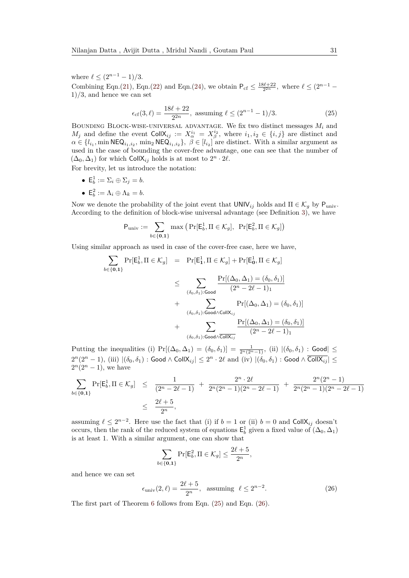where  $\ell \leq (2^{n-1} - 1)/3$ . Combining Eqn.[\(21\)](#page-28-2), Eqn.[\(22\)](#page-29-2) and Eqn.[\(24\)](#page-29-3), we obtain  $P_{cf} \leq \frac{18\ell+22}{2^{2n}}$ , where  $\ell \leq (2^{n-1} -$ 1)*/*3, and hence we can set

<span id="page-30-0"></span>
$$
\epsilon_{\rm cf}(3,\ell) = \frac{18\ell + 22}{2^{2n}}, \text{ assuming } \ell \le (2^{n-1} - 1)/3. \tag{25}
$$

Bounding Block-wise-universal advantage. We fix two distinct messages *M<sup>i</sup>* and *M*<sup>*j*</sup> and define the event  $\text{CollX}_{ij} := X_{\alpha}^{i_1} = X_{\beta}^{i_2}$ , where  $i_1, i_2 \in \{i, j\}$  are distinct and  $\alpha \in \{l_{i_1}, \min \textsf{NEQ}_{i_1, i_2}, \min_2 \textsf{NEQ}_{i_1, i_2}\}, \ \beta \in [l_{i_2}]$  are distinct. With a similar argument as used in the case of bounding the cover-free advantage, one can see that the number of  $(\Delta_0, \Delta_1)$  for which CollX<sub>*ij*</sub> holds is at most to  $2^n \cdot 2\ell$ .

For brevity, let us introduce the notation:

- $\mathsf{E}_b^1 := \Sigma_i \oplus \Sigma_j = b.$
- $E_b^2 := \Lambda_i \oplus \Lambda_k = b.$

Now we denote the probability of the joint event that  $UNIV_{ij}$  holds and  $\Pi \in \mathcal{K}_g$  by  $P_{\text{univ}}$ . According to the definition of block-wise universal advantage (see Definition [3\)](#page-11-1), we have

<span id="page-30-1"></span>
$$
\mathsf{P}_{\text{univ}} := \sum_{b \in \{\mathbf{0}, \mathbf{1}\}} \max \left( \Pr[\mathsf{E}_b^1, \Pi \in \mathcal{K}_g], \; \Pr[\mathsf{E}_b^2, \Pi \in \mathcal{K}_g] \right)
$$

Using similar approach as used in case of the cover-free case, here we have,

$$
\sum_{b \in \{\mathbf{0},\mathbf{1}\}} \Pr[\mathsf{E}_b^1, \Pi \in \mathcal{K}_g] = \Pr[\mathsf{E}_\mathbf{1}^1, \Pi \in \mathcal{K}_g] + \Pr[\mathsf{E}_\mathbf{0}^1, \Pi \in \mathcal{K}_g]
$$
\n
$$
\leq \sum_{(\delta_0, \delta_1): \text{Good}} \frac{\Pr[(\Delta_0, \Delta_1) = (\delta_0, \delta_1)]}{(2^n - 2\ell - 1)_1}
$$
\n
$$
+ \sum_{(\delta_0, \delta_1): \text{Good} \land \text{CollX}_{ij}} \Pr[(\Delta_0, \Delta_1) = (\delta_0, \delta_1)]
$$
\n
$$
+ \sum_{(\delta_0, \delta_1): \text{Good} \land \overline{\text{CollX}}_{ij}} \frac{\Pr[(\Delta_0, \Delta_1) = (\delta_0, \delta_1)]}{(2^n - 2\ell - 1)_1}
$$

Putting the inequalities (i)  $Pr[(\Delta_0, \Delta_1) = (\delta_0, \delta_1)] = \frac{1}{2^n (2^n - 1)}$ , (ii)  $|(\delta_0, \delta_1)$ : Good  $| \leq$  $2^n(2^n-1)$ , (iii)  $|(\delta_0, \delta_1)|:$  Good  $\wedge$  Coll $\mathsf{X}_{ij}| \leq 2^n \cdot 2\ell \text{ and (iv) } |(\delta_0, \delta_1)|:$  Good  $\wedge$  Coll $\overline{\mathsf{CollX}_{ij}}| \leq 2^n$  $2^{n}(2^{n} - 1)$ , we have

$$
\sum_{b \in \{\mathbf{0}, \mathbf{1}\}} \Pr[\mathsf{E}_b^1, \Pi \in \mathcal{K}_g] \le \frac{1}{(2^n - 2\ell - 1)} + \frac{2^n \cdot 2\ell}{2^n (2^n - 1)(2^n - 2\ell - 1)} + \frac{2^n (2^n - 1)}{2^n (2^n - 1)(2^n - 2\ell - 1)} \le \frac{2\ell + 5}{2^n},
$$

assuming  $\ell \leq 2^{n-2}$ . Here use the fact that (i) if  $b = 1$  or (ii)  $b = 0$  and CollX<sub>ij</sub> doesn't occurs, then the rank of the reduced system of equations  $E_b^1$  given a fixed value of  $(\Delta_0, \Delta_1)$ is at least 1. With a similar argument, one can show that

$$
\sum_{b\in\{\mathbf{0},\mathbf{1}\}}\Pr[\mathsf{E}_b^2,\Pi\in\mathcal{K}_g]\leq\frac{2\ell+5}{2^n}
$$

and hence we can set

$$
\epsilon_{\text{univ}}(2,\ell) = \frac{2\ell+5}{2^n}, \text{ assuming } \ell \le 2^{n-2}.
$$
 (26)

*,*

The first part of Theorem [6](#page-26-0) follows from Eqn. [\(25\)](#page-30-0) and Eqn. [\(26\)](#page-30-1).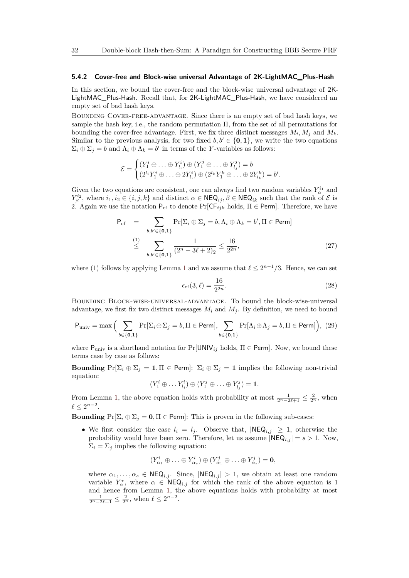#### **5.4.2 Cover-free and Block-wise universal Advantage of 2K-LightMAC\_Plus-Hash**

In this section, we bound the cover-free and the block-wise universal advantage of 2K-LightMAC\_Plus-Hash. Recall that, for 2K-LightMAC\_Plus-Hash, we have considered an empty set of bad hash keys.

Bounding Cover-free-advantage. Since there is an empty set of bad hash keys, we sample the hash key, i.e., the random permutation Π, from the set of all permutations for bounding the cover-free advantage. First, we fix three distinct messages  $M_i, M_j$  and  $M_k$ . Similar to the previous analysis, for two fixed  $b, b' \in \{0, 1\}$ , we write the two equations  $\Sigma_i \oplus \Sigma_j = b$  and  $\Lambda_i \oplus \Lambda_k = b'$  in terms of the *Y*-variables as follows:

$$
\mathcal{E} = \begin{cases} (Y_1^i \oplus \ldots \oplus Y_{l_i}^i) \oplus (Y_1^j \oplus \ldots \oplus Y_{l_j}^j) = b \\ (2^{l_i} Y_1^i \oplus \ldots \oplus 2Y_{l_i}^i) \oplus (2^{l_k} Y_1^k \oplus \ldots \oplus 2Y_{l_k}^k) = b' .\end{cases}
$$

Given the two equations are consistent, one can always find two random variables  $Y_\alpha^{i_1}$  and *Y*<sup><sup>*i*2</sup></sup><sub>*β*</sub>, where *i*<sub>1</sub>, *i*<sub>2</sub> ∈ {*i*, *j*, *k*} and distinct  $\alpha \in \mathsf{NEQ}_{ij}$ ,  $\beta \in \mathsf{NEQ}_{ik}$  such that the rank of  $\mathcal{E}$  is 2. Again we use the notation  $P_{cf}$  to denote  $Pr[CF_{ijk}$  holds,  $\Pi \in Perm]$ . Therefore, we have

$$
P_{cf} = \sum_{b,b' \in \{0,1\}} Pr[\Sigma_i \oplus \Sigma_j = b, \Lambda_i \oplus \Lambda_k = b', \Pi \in Perm]
$$
  

$$
\leq \sum_{b,b' \in \{0,1\}} \frac{1}{(2^n - 3\ell + 2)_2} \leq \frac{16}{2^{2n}},
$$
 (27)

where ([1](#page-6-2)) follows by applying Lemma 1 and we assume that  $\ell \leq 2^{n-1}/3$ . Hence, we can set

<span id="page-31-1"></span>
$$
\epsilon_{\rm cf}(3,\ell) = \frac{16}{2^{2n}}.\tag{28}
$$

Bounding Block-wise-universal-advantage. To bound the block-wise-universal advantage, we first fix two distinct messages  $M_i$  and  $M_j$ . By definition, we need to bound

<span id="page-31-0"></span>
$$
\mathsf{P}_{\text{univ}} = \max \Big( \sum_{b \in \{\mathbf{0}, \mathbf{1}\}} \Pr[\Sigma_i \oplus \Sigma_j = b, \Pi \in \text{Perm}], \sum_{b \in \{\mathbf{0}, \mathbf{1}\}} \Pr[\Lambda_i \oplus \Lambda_j = b, \Pi \in \text{Perm}] \Big), (29)
$$

where  $P_{\text{univ}}$  is a shorthand notation for  $Pr[\text{UNIV}_{ij}$  holds,  $\Pi \in \text{Perm}]$ . Now, we bound these terms case by case as follows:

**Bounding**  $Pr[\Sigma_i \oplus \Sigma_j = 1, \Pi \in Perm]: \Sigma_i \oplus \Sigma_j = 1$  implies the following non-trivial equation:

$$
(Y_1^i \oplus \ldots Y_{l_i}^i) \oplus (Y_1^j \oplus \ldots \oplus Y_{l_j}^j) = \mathbf{1}.
$$

From Lemma [1,](#page-6-2) the above equation holds with probability at most  $\frac{1}{2^n - 2\ell + 1} \leq \frac{2}{2^n}$ , when  $\ell \leq 2^{n-2}.$ 

**Bounding**  $Pr[\Sigma_i \oplus \Sigma_j = 0, \Pi \in Perm]$ : This is proven in the following sub-cases:

• We first consider the case  $l_i = l_j$ . Observe that,  $|\text{NEQ}_{i,j}| \geq 1$ , otherwise the probability would have been zero. Therefore, let us assume  $|NEQ_{i,j}| = s > 1$ . Now,  $\Sigma_i = \Sigma_j$  implies the following equation:

$$
(Y^i_{\alpha_1}\oplus\ldots\oplus Y^i_{\alpha_s})\oplus (Y^j_{\alpha_1}\oplus\ldots\oplus Y^j_{\alpha_s})=\mathbf{0},
$$

where  $\alpha_1, \ldots, \alpha_s \in \mathsf{NEQ}_{i,j}$ . Since,  $|\mathsf{NEQ}_{i,j}| > 1$ , we obtain at least one random variable  $Y^{\star}_{\alpha}$ , where  $\alpha \in \text{NEQ}_{i,j}$  for which the rank of the above equation is 1 and hence from Lemma [1,](#page-6-2) the above equations holds with probability at most  $\frac{1}{2^{n}-2\ell+1} \leq \frac{2}{2^n}$ , when  $\ell \leq 2^{n-2}$ .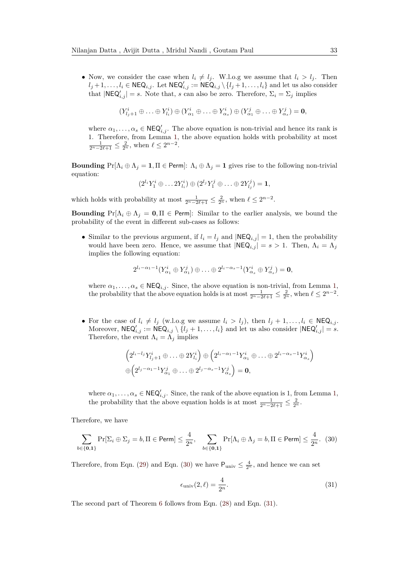• Now, we consider the case when  $l_i \neq l_j$ . W.l.o.g we assume that  $l_i > l_j$ . Then  $l_j + 1, \ldots, l_i \in \mathsf{NEQ}_{i,j}$ . Let  $\mathsf{NEQ}'_{i,j} := \mathsf{NEQ}_{i,j} \setminus \{l_j + 1, \ldots, l_i\}$  and let us also consider that  $|\text{NEQ}'_{i,j}| = s$ . Note that, *s* can also be zero. Therefore,  $\Sigma_i = \Sigma_j$  implies

$$
(Y_{l_j+1}^i \oplus \ldots \oplus Y_{l_i}^i) \oplus (Y_{\alpha_1}^i \oplus \ldots \oplus Y_{\alpha_s}^i) \oplus (Y_{\alpha_1}^j \oplus \ldots \oplus Y_{\alpha_s}^j) = \mathbf{0},
$$

where  $\alpha_1, \ldots, \alpha_s \in \mathsf{NEQ}'_{i,j}$ . The above equation is non-trivial and hence its rank is 1. Therefore, from Lemma [1,](#page-6-2) the above equation holds with probability at most  $\frac{1}{2^n - 2\ell + 1} \leq \frac{2}{2^n}$ , when  $\ell \leq 2^{n-2}$ .

**Bounding**  $Pr[\Lambda_i \oplus \Lambda_j = 1, \Pi \in Perm]: \Lambda_i \oplus \Lambda_j = 1$  gives rise to the following non-trivial equation:

$$
(2^{l_i}Y_1^i\oplus \ldots 2Y_{l_i}^i)\oplus (2^{l_j}Y_1^j\oplus \ldots \oplus 2Y_{l_j}^j)=\mathbf{1},
$$

which holds with probability at most  $\frac{1}{2^n - 2\ell + 1} \leq \frac{2}{2^n}$ , when  $\ell \leq 2^{n-2}$ .

**Bounding**  $Pr[\Lambda_i \oplus \Lambda_j = 0, \Pi \in Perm]$ : Similar to the earlier analysis, we bound the probability of the event in different sub-cases as follows:

• Similar to the previous argument, if  $l_i = l_j$  and  $|\text{NEQ}_{i,j}| = 1$ , then the probability would have been zero. Hence, we assume that  $|NEQ_{i,j}| = s > 1$ . Then,  $\Lambda_i = \Lambda_j$ implies the following equation:

$$
2^{l_i-\alpha_1-1}(Y^i_{\alpha_1}\oplus Y^j_{\alpha_1})\oplus \ldots \oplus 2^{l_i-\alpha_s-1}(Y^i_{\alpha_s}\oplus Y^j_{\alpha_s})=\mathbf{0},
$$

where  $\alpha_1, \ldots, \alpha_s \in \text{NEQ}_{i,j}$  $\alpha_1, \ldots, \alpha_s \in \text{NEQ}_{i,j}$  $\alpha_1, \ldots, \alpha_s \in \text{NEQ}_{i,j}$ . Since, the above equation is non-trivial, from Lemma 1, the probability that the above equation holds is at most  $\frac{1}{2^n - 2\ell + 1} \leq \frac{2}{2^n}$ , when  $\ell \leq 2^{n-2}$ .

• For the case of  $l_i \neq l_j$  (w.l.o.g we assume  $l_i > l_j$ ), then  $l_j + 1, \ldots, l_i \in \text{NEQ}_{i,j}$ . Moreover,  $NEQ'_{i,j} := NEQ_{i,j} \setminus \{l_j+1,\ldots,l_i\}$  and let us also consider  $|NEQ'_{i,j}| = s$ . Therefore, the event  $\Lambda_i = \overline{\Lambda}_j$  implies

$$
\left(2^{l_i-l_j}Y^i_{l_j+1}\oplus\ldots\oplus 2Y^i_{l_i}\right)\oplus\left(2^{l_i-\alpha_1-1}Y^i_{\alpha_1}\oplus\ldots\oplus 2^{l_i-\alpha_s-1}Y^i_{\alpha_s}\right)
$$

$$
\oplus\left(2^{l_j-\alpha_1-1}Y^j_{\alpha_1}\oplus\ldots\oplus 2^{l_j-\alpha_s-1}Y^j_{\alpha_s}\right)=\mathbf{0},
$$

where  $\alpha_1, \ldots, \alpha_s \in \mathsf{NEQ}'_{i,j}$  $\alpha_1, \ldots, \alpha_s \in \mathsf{NEQ}'_{i,j}$  $\alpha_1, \ldots, \alpha_s \in \mathsf{NEQ}'_{i,j}$ . Since, the rank of the above equation is 1, from Lemma 1, the probability that the above equation holds is at most  $\frac{1}{2^n - 2\ell + 1} \leq \frac{2}{2^n}$ .

Therefore, we have

<span id="page-32-0"></span>
$$
\sum_{b \in \{\mathbf{0}, \mathbf{1}\}} \Pr[\Sigma_i \oplus \Sigma_j = b, \Pi \in \text{Perm}] \le \frac{4}{2^n}, \quad \sum_{b \in \{\mathbf{0}, \mathbf{1}\}} \Pr[\Lambda_i \oplus \Lambda_j = b, \Pi \in \text{Perm}] \le \frac{4}{2^n}. \tag{30}
$$

Therefore, from Eqn. [\(29\)](#page-31-0) and Eqn. [\(30\)](#page-32-0) we have  $P_{\text{univ}} \leq \frac{4}{2^n}$ , and hence we can set

<span id="page-32-1"></span>
$$
\epsilon_{\text{univ}}(2,\ell) = \frac{4}{2^n}.\tag{31}
$$

The second part of Theorem [6](#page-26-0) follows from Eqn. [\(28\)](#page-31-1) and Eqn. [\(31\)](#page-32-1).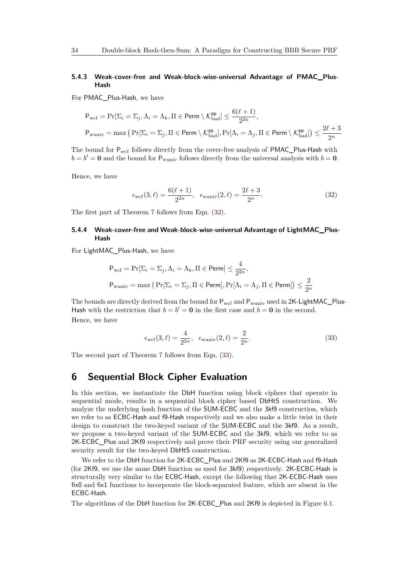#### **5.4.3 Weak-cover-free and Weak-block-wise-universal Advantage of PMAC\_Plus-Hash**

For PMAC\_Plus-Hash, we have

<span id="page-33-1"></span>
$$
P_{\text{wcf}} = \Pr[\Sigma_i = \Sigma_j, \Lambda_i = \Lambda_k, \Pi \in \text{Perm} \setminus \mathcal{K}_{\text{bad}}^{\text{PP}}] \le \frac{6(\ell + 1)}{2^{2n}},
$$
  

$$
P_{\text{wuniv}} = \max\left(\Pr[\Sigma_i = \Sigma_j, \Pi \in \text{Perm} \setminus \mathcal{K}_{\text{bad}}^{\text{PP}}], \Pr[\Lambda_i = \Lambda_j, \Pi \in \text{Perm} \setminus \mathcal{K}_{\text{bad}}^{\text{PP}}]\right) \le \frac{2\ell + 3}{2^n}
$$

The bound for  $P_{wcf}$  follows directly from the cover-free analysis of PMAC\_Plus-Hash with  $b = b' = 0$  and the bound for  $P_{\text{wuniv}}$  follows directly from the universal analysis with  $b = 0$ .

Hence, we have

$$
\epsilon_{\text{wcf}}(3,\ell) = \frac{6(\ell+1)}{2^{2n}}, \ \ \epsilon_{\text{wuniv}}(2,\ell) = \frac{2\ell+3}{2^n}.
$$
\n(32)

The first part of Theorem [7](#page-26-1) follows from Eqn. [\(32\)](#page-33-1).

#### **5.4.4 Weak-cover-free and Weak-block-wise-universal Advantage of LightMAC\_Plus-Hash**

For LightMAC\_Plus-Hash, we have

<span id="page-33-2"></span>
$$
\begin{aligned} \mathsf{P}_{\text{wcf}} &= \Pr[\Sigma_i = \Sigma_j, \Lambda_i = \Lambda_k, \Pi \in \mathsf{Perm}] \le \frac{4}{2^{2n}}, \\ \mathsf{P}_{\text{wuniv}} &= \max\left(\Pr[\Sigma_i = \Sigma_j, \Pi \in \mathsf{Perm}], \Pr[\Lambda_i = \Lambda_j, \Pi \in \mathsf{Perm}]\right) \le \frac{2}{2^n} \end{aligned}
$$

The bounds are directly derived from the bound for  $P_{\text{wcf}}$  and  $P_{\text{wuniv}}$  used in  $2K$ -LightMAC\_Plus-Hash with the restriction that  $b = b' = 0$  in the first case and  $b = 0$  in the second. Hence, we have

$$
\epsilon_{\rm wcf}(3,\ell) = \frac{4}{2^{2n}}, \quad \epsilon_{\rm wuniv}(2,\ell) = \frac{2}{2^n}.
$$
\n(33)

The second part of Theorem [7](#page-26-1) follows from Eqn. [\(33\)](#page-33-2).

### <span id="page-33-0"></span>**6 Sequential Block Cipher Evaluation**

In this section, we instantiate the DbH function using block ciphers that operate in sequential mode, results in a sequential block cipher based DbHtS construction. We analyze the underlying hash function of the SUM-ECBC and the 3kf9 construction, which we refer to as ECBC-Hash and f9-Hash respectively and we also make a little twist in their design to construct the two-keyed variant of the SUM-ECBC and the 3kf9. As a result, we propose a two-keyed variant of the SUM-ECBC and the 3kf9, which we refer to as 2K-ECBC\_Plus and 2Kf9 respectively and prove their PRF security using our generalized security result for the two-keyed DbHtS construction.

We refer to the DbH function for 2K-ECBC Plus and 2Kf9 as 2K-ECBC-Hash and f9-Hash (for 2Kf9, we use the same DbH function as used for 3kf9) respectively. 2K-ECBC-Hash is structurally very similar to the ECBC-Hash, except the following that 2K-ECBC-Hash uses fix0 and fix1 functions to incorporate the block-separated feature, which are absent in the ECBC-Hash.

The algorithms of the DbH function for 2K-ECBC\_Plus and 2Kf9 is depicted in Figure [6.1.](#page-8-0)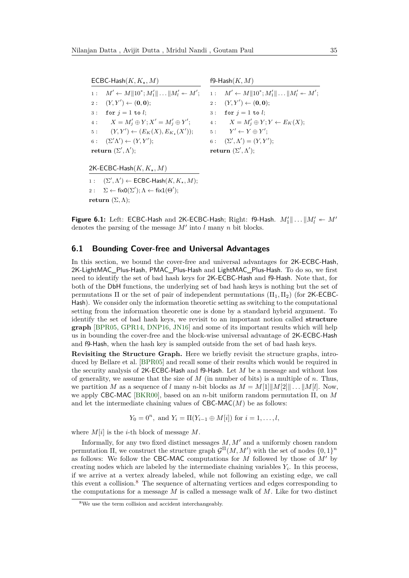$ECBC-Hash(K, K<sub>+</sub>, M)$ 1 :  $M' \leftarrow M \|\n10^*; M_1'\| \n... \|M_l' \n... M';$  $2: (Y, Y') \leftarrow (0, 0);$ 3 : for  $j = 1$  to *l*; 4 :  $X = M'_j \oplus Y; X' = M'_j \oplus Y';$ 5:  $(Y, Y') \leftarrow (E_K(X), E_{K_\star}(X'));$  $6: (\Sigma' \Lambda') \leftarrow (Y, Y');$  $return (\Sigma', \Lambda');$ f9-Hash(*K, M*) 1 :  $M' \leftarrow M \|\n10^*; M_1'\| \n... \|M_l' \n... M';$  $2: (Y, Y') \leftarrow (0, 0);$ 3 : for  $j = 1$  to *l*; 4 :  $X = M'_j \oplus Y; Y \leftarrow E_K(X);$  $5$  :  $y' \leftarrow Y \oplus Y';$ 6:  $(\Sigma', \Lambda') = (Y, Y');$ **return**  $(\Sigma', \Lambda')$ ;

2K-ECBC-Hash(*K, K?, M*)

 $1:$   $(\Sigma', \Lambda') \leftarrow \mathsf{ECBC\text{-}Hash}(K, K_\star, M);$  $2: \quad \Sigma \leftarrow \text{fixO}(\Sigma'); \Lambda \leftarrow \text{fix1}(\Theta');$ **return**  $(\Sigma, \Lambda)$ ;

**Figure 6.1:** Left: ECBC-Hash and 2K-ECBC-Hash; Right: f9-Hash.  $M'_1 \parallel \ldots \parallel M'_l \leftarrow M'$ denotes the parsing of the message  $M'$  into  $l$  many  $n$  bit blocks.

#### **6.1 Bounding Cover-free and Universal Advantages**

In this section, we bound the cover-free and universal advantages for 2K-ECBC-Hash, 2K-LightMAC\_Plus-Hash, PMAC\_Plus-Hash and LightMAC\_Plus-Hash. To do so, we first need to identify the set of bad hash keys for 2K-ECBC-Hash and f9-Hash. Note that, for both of the DbH functions, the underlying set of bad hash keys is nothing but the set of permutations  $\Pi$  or the set of pair of independent permutations  $(\Pi_1, \Pi_2)$  (for 2K-ECBC-Hash). We consider only the information theoretic setting as switching to the computational setting from the information theoretic one is done by a standard hybrid argument. To identify the set of bad hash keys, we revisit to an important notion called **structure graph** [\[BPR05,](#page-47-10) [GPR14,](#page-48-14) [DNP16,](#page-48-6) [JN16\]](#page-48-15) and some of its important results which will help us in bounding the cover-free and the block-wise universal advantage of 2K-ECBC-Hash and f9-Hash, when the hash key is sampled outside from the set of bad hash keys.

**Revisiting the Structure Graph.** Here we briefly revisit the structure graphs, introduced by Bellare et al. [\[BPR05\]](#page-47-10) and recall some of their results which would be required in the security analysis of 2K-ECBC-Hash and f9-Hash. Let *M* be a message and without loss of generality, we assume that the size of *M* (in number of bits) is a multiple of *n*. Thus, we partition *M* as a sequence of *l* many *n*-bit blocks as  $M = M[1] \|M[2]\| \dots \|M[l]$ . Now, we apply CBC-MAC [\[BKR00\]](#page-47-0), based on an *n*-bit uniform random permutation Π, on *M* and let the intermediate chaining values of  $CBC-MAC(M)$  be as follows:

$$
Y_0 = 0^n
$$
, and  $Y_i = \Pi(Y_{i-1} \oplus M[i])$  for  $i = 1, ..., l$ ,

where  $M[i]$  is the *i*-th block of message  $M$ .

Informally, for any two fixed distinct messages  $M, M'$  and a uniformly chosen random permutation  $\Pi$ , we construct the structure graph  $\mathcal{G}^{\Pi}(M, M')$  with the set of nodes  $\{0, 1\}^n$ as follows: We follow the CBC-MAC computations for *M* followed by those of  $M'$  by creating nodes which are labeled by the intermediate chaining variables  $Y_i$ . In this process, if we arrive at a vertex already labeled, while not following an existing edge, we call this event a collision.[8](#page-34-0) The sequence of alternating vertices and edges corresponding to the computations for a message *M* is called a message walk of *M*. Like for two distinct

<span id="page-34-0"></span> ${}^{8}{\rm We}$  use the term collision and accident interchangeably.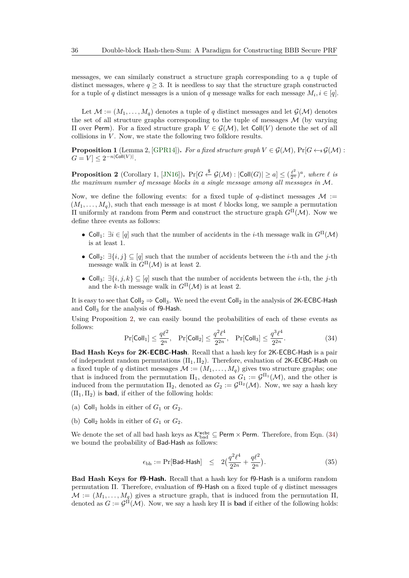messages, we can similarly construct a structure graph corresponding to a *q* tuple of distinct messages, where  $q \geq 3$ . It is needless to say that the structure graph constructed for a tuple of *q* distinct messages is a union of *q* message walks for each message  $M_i, i \in [q]$ .

Let  $\mathcal{M} := (M_1, \ldots, M_q)$  denotes a tuple of *q* distinct messages and let  $\mathcal{G}(\mathcal{M})$  denotes the set of all structure graphs corresponding to the tuple of messages  $\mathcal M$  (by varying Π over Perm). For a fixed structure graph *V* ∈ G(M), let Coll(*V* ) denote the set of all collisions in *V*. Now, we state the following two folklore results.

**Proposition 1** (Lemma 2, [\[GPR14\]](#page-48-14)). For a fixed structure graph  $V \in \mathcal{G}(\mathcal{M})$ ,  $Pr[G \leftarrow s \mathcal{G}(\mathcal{M})$ :  $G = V \leq 2^{-n|\text{Coll}(V)|}$ .

<span id="page-35-0"></span>**Proposition 2** (Corollary 1, [\[JN16\]](#page-48-15)).  $Pr[G \stackrel{\$}{\leftarrow} \mathcal{G}(\mathcal{M}) : |Coll(G)| \ge a] \le (\frac{\ell^2}{2^n})^a$ , where  $\ell$  *is the maximum number of message blocks in a single message among all messages in* M*.*

Now, we define the following events: for a fixed tuple of  $q$ -distinct messages  $\mathcal{M}$  :=  $(M_1, \ldots, M_q)$ , such that each message is at most  $\ell$  blocks long, we sample a permutation Π uniformly at random from Perm and construct the structure graph *G*<sup>Π</sup>(M). Now we define three events as follows:

- Coll<sub>1</sub>:  $\exists i \in [q]$  such that the number of accidents in the *i*-th message walk in  $G^{\Pi}(\mathcal{M})$ is at least 1.
- Coll2: ∃{*i, j*} ⊆ [*q*] such that the number of accidents between the *i*-th and the *j*-th message walk in  $G^{\Pi}(\mathcal{M})$  is at least 2.
- Coll3: ∃{*i, j, k*} ⊆ [*q*] susch that the number of accidents between the *i*-th, the *j*-th and the *k*-th message walk in  $G^{\Pi}(\mathcal{M})$  is at least 2.

It is easy to see that  $Coll_2 \Rightarrow Coll_3$ . We need the event  $Coll_2$  in the analysis of 2K-ECBC-Hash and  $Coll<sub>3</sub>$  for the analysis of f9-Hash.

Using Proposition [2,](#page-35-0) we can easily bound the probabilities of each of these events as follows:

<span id="page-35-1"></span>
$$
\Pr[\text{Coll}_1] \le \frac{q\ell^2}{2^n}, \quad \Pr[\text{Coll}_2] \le \frac{q^2\ell^4}{2^{2n}}, \quad \Pr[\text{Coll}_3] \le \frac{q^3\ell^4}{2^{2n}}.\tag{34}
$$

**Bad Hash Keys for 2K-ECBC-Hash**. Recall that a hash key for 2K-ECBC-Hash is a pair of independent random permutations  $(\Pi_1, \Pi_2)$ . Therefore, evaluation of 2K-ECBC-Hash on a fixed tuple of *q* distinct messages  $\mathcal{M} := (M_1, \ldots, M_q)$  gives two structure graphs; one that is induced from the permutation  $\Pi_1$ , denoted as  $G_1 := \mathcal{G}^{\Pi_1}(\mathcal{M})$ , and the other is induced from the permutation  $\Pi_2$ , denoted as  $G_2 := \mathcal{G}^{\Pi_2}(\mathcal{M})$ . Now, we say a hash key  $(\Pi_1, \Pi_2)$  is **bad**, if either of the following holds:

- (a) Coll<sub>1</sub> holds in either of  $G_1$  or  $G_2$ .
- (b)  $Coll<sub>2</sub> holds in either of  $G<sub>1</sub>$  or  $G<sub>2</sub>$ .$

We denote the set of all bad hash keys as  $\mathcal{K}_{bad}^{ecbc} \subseteq \text{Perm} \times \text{Perm}$ . Therefore, from Eqn. [\(34\)](#page-35-1) we bound the probability of Bad-Hash as follows:

<span id="page-35-2"></span>
$$
\epsilon_{\text{bh}} := \Pr[\text{Bad-Hash}] \quad \leq \quad 2\left(\frac{q^2\ell^4}{2^{2n}} + \frac{q\ell^2}{2^n}\right). \tag{35}
$$

**Bad Hash Keys for f9-Hash.** Recall that a hash key for f9-Hash is a uniform random permutation Π. Therefore, evaluation of f9-Hash on a fixed tuple of *q* distinct messages  $M := (M_1, \ldots, M_q)$  gives a structure graph, that is induced from the permutation  $\Pi$ , denoted as  $G := \mathcal{G}^{\Pi}(\mathcal{M})$ . Now, we say a hash key  $\Pi$  is **bad** if either of the following holds: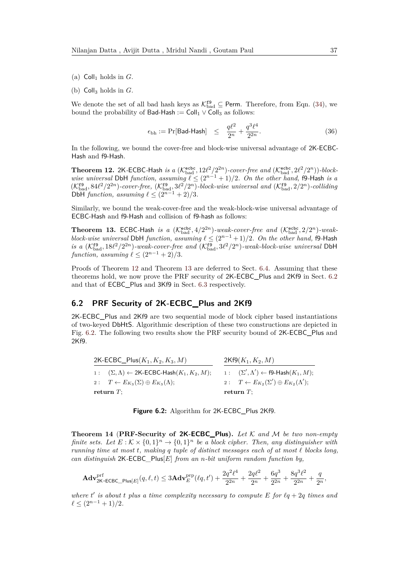(b)  $Coll<sub>3</sub>$  holds in  $G$ .

We denote the set of all bad hash keys as  $\mathcal{K}_{bad}^{\{ \mathbf{f} \}} \subseteq$  Perm. Therefore, from Eqn. [\(34\)](#page-35-1), we bound the probability of Bad-Hash := Coll<sub>1</sub>  $\vee$  Coll<sub>3</sub> as follows:

<span id="page-36-3"></span>
$$
\epsilon_{\text{bh}} := \Pr[\text{Bad-Hash}] \quad \leq \quad \frac{q\ell^2}{2^n} + \frac{q^3\ell^4}{2^{2n}}.\tag{36}
$$

In the following, we bound the cover-free and block-wise universal advantage of 2K-ECBC-Hash and f9-Hash.

<span id="page-36-0"></span>**Theorem 12.** 2K-ECBC-Hash is a  $(\mathcal{K}_{bad}^{echo}, 12\ell^2/2^{2n})$ -cover-free and  $(\mathcal{K}_{bad}^{echo}, 2\ell^2/2^n))$ -block*wise universal* DbH *function, assuming*  $\ell \leq (2^{n-1} + 1)/2$ *. On the other hand,* f9-Hash *is a*  $(\mathcal{K}_{bad}^{f9}, 84\ell^2/2^{2n})$ -cover-free,  $(\mathcal{K}_{bad}^{f9}, 3\ell^2/2^n)$ -block-wise universal and  $(\mathcal{K}_{bad}^{f9}, 2/2^n)$ -colliding DbH *function, assuming*  $\ell \leq (2^{n-1} + 2)/3$ *.* 

Similarly, we bound the weak-cover-free and the weak-block-wise universal advantage of ECBC-Hash and f9-Hash and collision of f9-hash as follows:

<span id="page-36-1"></span>**Theorem 13.** ECBC-Hash *is a* ( $\mathcal{K}_{bad}^{ecbc}$ ,  $4/2^{2n}$ )*-weak-cover-free and* ( $\mathcal{K}_{bad}^{ecbc}$ ,  $2/2^n$ )*-weakblock-wise universal* DbH *function, assuming*  $\ell \leq (2^{n-1}+1)/2$ *. On the other hand,* f9-Hash *is a* ( $\mathcal{K}_{bad}^{f9}, 18\ell^2/2^{2n}$ )-weak-cover-free and ( $\mathcal{K}_{bad}^{f9}, 3\ell^2/2^n$ )-weak-block-wise universal DbH *function, assuming*  $\ell \leq (2^{n-1} + 2)/3$ *.* 

Proofs of Theorem [12](#page-36-0) and Theorem [13](#page-36-1) are deferred to Sect. [6.4.](#page-38-0) Assuming that these theorems hold, we now prove the PRF security of 2K-ECBC\_Plus and 2Kf9 in Sect. [6.2](#page-36-2) and that of ECBC\_Plus and 3Kf9 in Sect. [6.3](#page-37-0) respectively.

#### <span id="page-36-2"></span>**6.2 PRF Security of 2K-ECBC\_Plus and 2Kf9**

2K-ECBC\_Plus and 2Kf9 are two sequential mode of block cipher based instantiations of two-keyed DbHtS. Algorithmic description of these two constructions are depicted in Fig. [6.2.](#page-15-0) The following two results show the PRF security bound of 2K-ECBC\_Plus and 2Kf9.

| 2K-ECBC_Plus $(K_1, K_2, K_3, M)$                                   | $2Kf9(K_1, K_2, M)$                                           |  |
|---------------------------------------------------------------------|---------------------------------------------------------------|--|
| 1: $(\Sigma, \Lambda) \leftarrow 2K\text{-ECBC-Hash}(K_1, K_2, M);$ | $1: (\Sigma', \Lambda') \leftarrow \textsf{f9-Hash}(K_1, M);$ |  |
| 2: $T \leftarrow E_{K_2}(\Sigma) \oplus E_{K_2}(\Lambda);$          | 2: $T \leftarrow E_{K_2}(\Sigma') \oplus E_{K_2}(\Lambda');$  |  |
| return $T$ :                                                        | return $T$ :                                                  |  |

**Figure 6.2:** Algorithm for 2K-ECBC\_Plus 2Kf9.

**Theorem 14** (**PRF-Security of 2K-ECBC\_Plus).** *Let* K *and* M *be two non-empty finite sets.* Let  $E: K \times \{0,1\}^n \to \{0,1\}^n$  be a block cipher. Then, any distinguisher with *running time at most t, making q tuple of distinct messages each of at most*  $\ell$  blocks long, *can distinguish* 2K*-*ECBC*\_*Plus[*E*] *from an n-bit uniform random function by,*

$$
\mathbf{Adv}_{2\mathsf{K-ECBC\_Plus}[E]}^{\text{prf}}(q,\ell,t) \leq 3\mathbf{Adv}_{E}^{\text{prp}}(\ell q,t') + \frac{2q^2\ell^4}{2^{2n}} + \frac{2q\ell^2}{2^n} + \frac{6q^3}{2^{2n}} + \frac{8q^3\ell^2}{2^{2n}} + \frac{q}{2^n},
$$

where  $t'$  is about  $t$  plus a time complexity necessary to compute  $E$  for  $\ell q + 2q$  times and  $\ell \leq (2^{n-1} + 1)/2$ .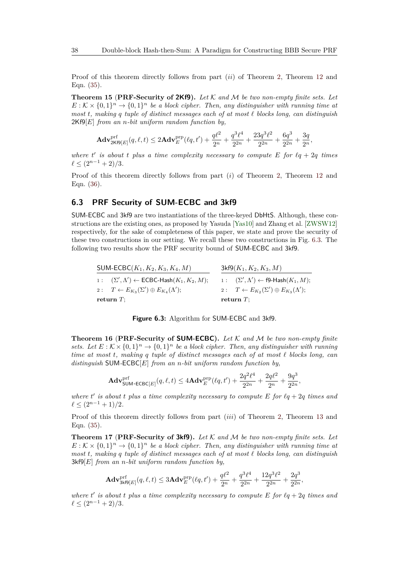Proof of this theorem directly follows from part (*ii*) of Theorem [2,](#page-13-1) Theorem [12](#page-36-0) and Eqn. [\(35\)](#page-35-2).

**Theorem 15** (**PRF-Security of 2Kf9).** *Let* K *and* M *be two non-empty finite sets. Let*  $E: K \times \{0,1\}^n \rightarrow \{0,1\}^n$  *be a block cipher. Then, any distinguisher with running time at most t, making q tuple of distinct messages each of at most ` blocks long, can distinguish* 2Kf9[*E*] *from an n-bit uniform random function by,*

$$
\mathbf{Adv}_{2\mathsf{Kf9}[E]}^{\mathrm{prf}}(q,\ell,t)\leq 2\mathbf{Adv}_{E}^{\mathrm{prp}}(\ell q,t')+\frac{q\ell^2}{2^n}+\frac{q^3\ell^4}{2^{2n}}+\frac{23q^3\ell^2}{2^{2n}}+\frac{6q^3}{2^{2n}}+\frac{3q}{2n},
$$

*where*  $t'$  *is about*  $t$  *plus a time complexity necessary to compute*  $E$  *for*  $\ell q + 2q$  *times*  $\ell < (2^{n-1} + 2)/3$ .

Proof of this theorem directly follows from part (*i*) of Theorem [2,](#page-13-1) Theorem [12](#page-36-0) and Eqn. [\(36\)](#page-36-3).

#### <span id="page-37-0"></span>**6.3 PRF Security of SUM-ECBC and 3kf9**

SUM-ECBC and 3kf9 are two instantiations of the three-keyed DbHtS. Although, these constructions are the existing ones, as proposed by Yasuda [\[Yas10\]](#page-49-0) and Zhang et al. [\[ZWSW12\]](#page-49-2) respectively, for the sake of completeness of this paper, we state and prove the security of these two constructions in our setting. We recall these two constructions in Fig. [6.3.](#page-27-1) The following two results show the PRF security bound of SUM-ECBC and 3kf9.

| SUM-ECBC( $K_1, K_2, K_3, K_4, M$ ) |                                                                      | $3k f9(K_1, K_2, K_3, M)$ |                                                               |  |
|-------------------------------------|----------------------------------------------------------------------|---------------------------|---------------------------------------------------------------|--|
|                                     | 1: $(\Sigma', \Lambda') \leftarrow \textsf{ECBC-Hash}(K_1, K_2, M);$ |                           | 1: $(\Sigma', \Lambda') \leftarrow \textsf{f9-Hash}(K_1, M);$ |  |
|                                     | 2: $T \leftarrow E_{K_3}(\Sigma') \oplus E_{K_4}(\Lambda');$         |                           | 2: $T \leftarrow E_{K_2}(\Sigma') \oplus E_{K_3}(\Lambda');$  |  |
|                                     | return $T$ ;                                                         |                           | return $T$ :                                                  |  |



<span id="page-37-1"></span>**Theorem 16** (**PRF-Security of SUM-ECBC).** *Let* K *and* M *be two non-empty finite* sets. Let  $E: K \times \{0,1\}^n \to \{0,1\}^n$  be a block cipher. Then, any distinguisher with running *time at most t, making q tuple of distinct messages each of at most ` blocks long, can distinguish* SUM*-*ECBC[*E*] *from an n-bit uniform random function by,*

$$
\mathbf{Adv}^{\mathrm{prf}}_{\mathsf{SUM-ECBC}[E]}(q,\ell,t) \leq 4\mathbf{Adv}^{\mathrm{prp}}_{E}(\ell q,t') + \frac{2q^2\ell^4}{2^{2n}} + \frac{2q\ell^2}{2^n} + \frac{9q^3}{2^{2n}},
$$

where  $t'$  is about  $t$  plus a time complexity necessary to compute  $E$  for  $\ell q + 2q$  times and  $\ell < (2^{n-1} + 1)/2$ .

Proof of this theorem directly follows from part (*iii*) of Theorem [2,](#page-13-1) Theorem [13](#page-36-1) and Eqn.  $(35)$ .

**Theorem 17** (**PRF-Security of 3kf9).** *Let* K *and* M *be two non-empty finite sets. Let*  $E: K \times \{0,1\}^n \to \{0,1\}^n$  *be a block cipher. Then, any distinguisher with running time at most t, making q tuple of distinct messages each of at most ` blocks long, can distinguish* 3kf9[*E*] *from an n-bit uniform random function by,*

$$
\mathbf{Adv}_{3\mathbf{kf9}[E]}^{\text{prf}}(q,\ell,t) \le 3\mathbf{Adv}_{E}^{\text{prp}}(\ell q,t') + \frac{q\ell^2}{2^n} + \frac{q^3\ell^4}{2^{2n}} + \frac{12q^3\ell^2}{2^{2n}} + \frac{2q^3}{2^{2n}},
$$

where  $t'$  is about  $t$  plus a time complexity necessary to compute  $E$  for  $\ell q + 2q$  times and  $\ell \leq (2^{n-1} + 2)/3$ .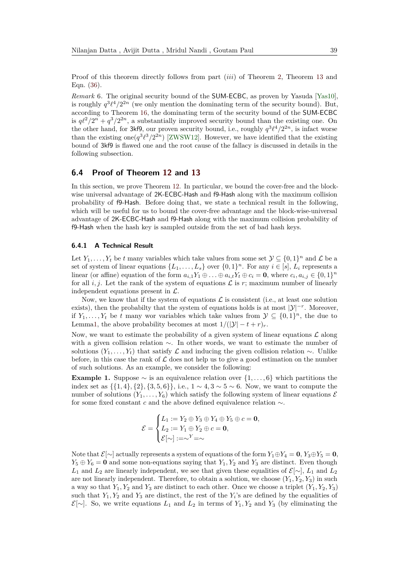Proof of this theorem directly follows from part (*iii*) of Theorem [2,](#page-13-1) Theorem [13](#page-36-1) and Eqn. [\(36\)](#page-36-3).

*Remark* 6*.* The original security bound of the SUM-ECBC, as proven by Yasuda [\[Yas10\]](#page-49-0), is roughly  $q^3\ell^4/2^{2n}$  (we only mention the dominating term of the security bound). But, according to Theorem [16,](#page-37-1) the dominating term of the security bound of the SUM-ECBC is  $q\ell^2/2^n + q^3/2^{2n}$ , a substantially improved security bound than the existing one. On the other hand, for 3kf9, our proven security bound, i.e., roughly  $q^3\ell^4/2^{2n}$ , is infact worse than the existing one $(q^3\ell^3/2^{2n})$  [\[ZWSW12\]](#page-49-2). However, we have identified that the existing bound of 3kf9 is flawed one and the root cause of the fallacy is discussed in details in the following subsection.

#### <span id="page-38-0"></span>**6.4 Proof of Theorem [12](#page-36-0) and [13](#page-36-1)**

In this section, we prove Theorem [12.](#page-36-0) In particular, we bound the cover-free and the blockwise universal advantage of 2K-ECBC-Hash and f9-Hash along with the maximum collision probability of f9-Hash. Before doing that, we state a technical result in the following, which will be useful for us to bound the cover-free advantage and the block-wise-universal advantage of 2K-ECBC-Hash and f9-Hash along with the maximum collision probability of f9-Hash when the hash key is sampled outside from the set of bad hash keys.

#### **6.4.1 A Technical Result**

Let  $Y_1, \ldots, Y_t$  be *t* many variables which take values from some set  $\mathcal{Y} \subseteq \{0,1\}^n$  and  $\mathcal{L}$  be a set of system of linear equations  $\{L_1, \ldots, L_s\}$  over  $\{0, 1\}^n$ . For any  $i \in [s]$ ,  $L_i$  represents a linear (or affine) equation of the form  $a_{i,1}Y_1 \oplus \ldots \oplus a_{i,t}Y_t \oplus c_i = \mathbf{0}$ , where  $c_i, a_{i,j} \in \{0,1\}^n$ for all *i, j*. Let the rank of the system of equations  $\mathcal L$  is *r*; maximum number of linearly independent equations present in  $\mathcal{L}$ .

Now, we know that if the system of equations  $\mathcal L$  is consistent (i.e., at least one solution exists), then the probabilty that the system of equations holds is at most  $|\mathcal{Y}|^{-r}$ . Moreover, if  $Y_1, \ldots, Y_t$  be *t* many wor variables which take values from  $\mathcal{Y} \subseteq \{0,1\}^n$ , the due to Lemm[a1,](#page-6-2) the above probability becomes at most  $1/(|\mathcal{Y}| - t + r)_r$ .

Now, we want to estimate the probability of a given system of linear equations  $\mathcal L$  along with a given collision relation ∼. In other words, we want to estimate the number of solutions  $(Y_1, \ldots, Y_t)$  that satisfy  $\mathcal L$  and inducing the given collision relation  $\sim$ . Unlike before, in this case the rank of  $\mathcal L$  does not help us to give a good estimation on the number of such solutions. As an example, we consider the following:

**Example 1.** Suppose  $\sim$  is an equivalence relation over  $\{1, \ldots, 6\}$  which partitions the index set as {{1*,* 4}*,* {2}*,* {3*,* 5*,* 6}}, i.e., 1 ∼ 4*,* 3 ∼ 5 ∼ 6. Now, we want to compute the number of solutions  $(Y_1, \ldots, Y_6)$  which satisfy the following system of linear equations  $\mathcal E$ for some fixed constant *c* and the above defined equivalence relation ∼.

$$
\mathcal{E} = \begin{cases} L_1 := Y_2 \oplus Y_3 \oplus Y_4 \oplus Y_5 \oplus c = \mathbf{0}, \\ L_2 := Y_1 \oplus Y_2 \oplus c = \mathbf{0}, \\ \mathcal{E}[\sim] := \sim^Y = \sim \end{cases}
$$

Note that  $\mathcal{E}[\sim]$  actually represents a system of equations of the form  $Y_1 \oplus Y_4 = \mathbf{0}, Y_3 \oplus Y_5 = \mathbf{0}$ ,  $Y_5 \oplus Y_6 = \mathbf{0}$  and some non-equations saying that  $Y_1, Y_2$  and  $Y_3$  are distinct. Even though *L*<sub>1</sub> and *L*<sub>2</sub> are linearly independent, we see that given these equalities of  $\mathcal{E}[\sim]$ , *L*<sub>1</sub> and *L*<sub>2</sub> are not linearly independent. Therefore, to obtain a solution, we choose  $(Y_1, Y_2, Y_3)$  in such a way so that  $Y_1, Y_2$  and  $Y_3$  are distinct to each other. Once we choose a triplet  $(Y_1, Y_2, Y_3)$ such that  $Y_1, Y_2$  and  $Y_3$  are distinct, the rest of the  $Y_i$ 's are defined by the equalities of  $\mathcal{E}[\sim]$ . So, we write equations  $L_1$  and  $L_2$  in terms of  $Y_1, Y_2$  and  $Y_3$  (by eliminating the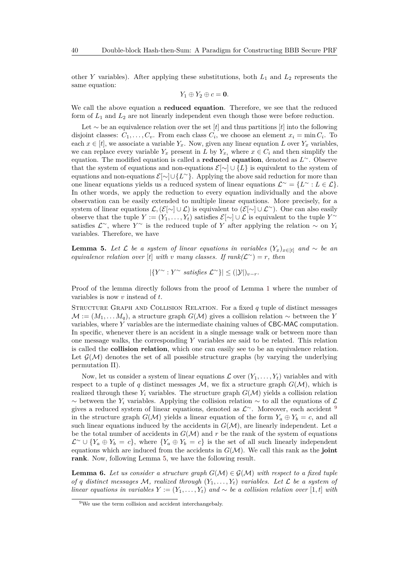other *Y* variables). After applying these substitutions, both *L*<sup>1</sup> and *L*<sup>2</sup> represents the same equation:

$$
Y_1\oplus Y_2\oplus c=\mathbf{0}.
$$

We call the above equation a **reduced equation**. Therefore, we see that the reduced form of *L*<sup>1</sup> and *L*<sup>2</sup> are not linearly independent even though those were before reduction.

Let ∼ be an equivalence relation over the set [*t*] and thus partitions [*t*] into the following disjoint classes:  $C_1, \ldots, C_v$ . From each class  $C_i$ , we choose an element  $x_i = \min C_i$ . To each  $x \in [t]$ , we associate a variable  $Y_x$ . Now, given any linear equation *L* over  $Y_x$  variables, we can replace every variable  $Y_x$  present in *L* by  $Y_{x_i}$  where  $x \in C_i$  and then simplify the equation. The modified equation is called a **reduced equation**, denoted as *L* <sup>∼</sup>. Observe that the system of equations and non-equations  $\mathcal{E}[\sim] \cup \{L\}$  is equivalent to the system of equations and non-equations E[∼]∪{*L* <sup>∼</sup>}. Applying the above said reduction for more than one linear equations yields us a reduced system of linear equations  $\mathcal{L}^{\sim} = \{L^{\sim} : L \in \mathcal{L}\}.$ In other words, we apply the reduction to every equation individually and the above observation can be easily extended to multiple linear equations. More precisely, for a system of linear equations  $\mathcal{L},(\mathcal{E}[\sim] \cup \mathcal{L})$  is equivalent to  $(\mathcal{E}[\sim] \cup \mathcal{L}^{\sim})$ . One can also easily observe that the tuple  $Y := (Y_1, \ldots, Y_t)$  satisfies  $\mathcal{E}[\sim] \cup \mathcal{L}$  is equivalent to the tuple  $Y^{\sim}$ satisfies  $\mathcal{L}^{\sim}$ , where *Y*<sup>∼</sup> is the reduced tuple of *Y* after applying the relation ∼ on *Y<sub>i</sub>* variables. Therefore, we have

<span id="page-39-1"></span>**Lemma 5.** Let  $\mathcal{L}$  be a system of linear equations in variables  $(Y_x)_{x \in [t]}$  and ~ be an *equivalence relation over* [*t*] *with v many classes. If rank*( $\mathcal{L}^{\sim}$ ) = *r, then* 

| ${Y^{\sim} : Y^{\sim} \text{ satisfies } \mathcal{L}^{\sim} }$ }| ≤ (|Y|)<sub>*v*−*r*</sub>.

Proof of the lemma directly follows from the proof of Lemma [1](#page-6-2) where the number of variables is now *v* instead of *t*.

Structure Graph and Collision Relation. For a fixed *q* tuple of distinct messages  $M := (M_1, \ldots, M_q)$ , a structure graph  $G(\mathcal{M})$  gives a collision relation  $\sim$  between the *Y* variables, where *Y* variables are the intermediate chaining values of CBC-MAC computation. In specific, whenever there is an accident in a single message walk or between more than one message walks, the corresponding *Y* variables are said to be related. This relation is called the **collision relation**, which one can easily see to be an equivalence relation. Let  $\mathcal{G}(\mathcal{M})$  denotes the set of all possible structure graphs (by varying the underlying permutation Π).

Now, let us consider a system of linear equations  $\mathcal{L}$  over  $(Y_1, \ldots, Y_t)$  variables and with respect to a tuple of *q* distinct messages  $M$ , we fix a structure graph  $G(M)$ , which is realized through these  $Y_i$  variables. The structure graph  $G(\mathcal{M})$  yields a collision relation  $\sim$  between the *Y<sub>i</sub>* variables. Applying the collision relation  $\sim$  to all the equations of  $\mathcal{L}$ gives a reduced system of linear equations, denoted as  $\mathcal{L}^{\sim}$ . Moreover, each accident <sup>[9](#page-39-0)</sup> in the structure graph  $G(\mathcal{M})$  yields a linear equation of the form  $Y_a \oplus Y_b = c$ , and all such linear equations induced by the accidents in  $G(\mathcal{M})$ , are linearly independent. Let *a* be the total number of accidents in  $G(\mathcal{M})$  and r be the rank of the system of equations  $\mathcal{L}^{\sim} \cup \{Y_a \oplus Y_b = c\}$ , where  $\{Y_a \oplus Y_b = c\}$  is the set of all such linearly independent equations which are induced from the accidents in  $G(\mathcal{M})$ . We call this rank as the **joint rank**. Now, following Lemma [5,](#page-39-1) we have the following result.

<span id="page-39-2"></span>**Lemma 6.** Let us consider a structure graph  $G(\mathcal{M}) \in \mathcal{G}(\mathcal{M})$  with respect to a fixed tuple *of q distinct messages*  $M$ *, realized through*  $(Y_1, \ldots, Y_t)$  *variables. Let*  $\mathcal L$  *be a system of linear equations in variables*  $Y := (Y_1, \ldots, Y_t)$  *and* ∼ *be a collision relation over* [1, *t*] *with* 

<span id="page-39-0"></span><sup>9</sup>We use the term collision and accident interchangebaly.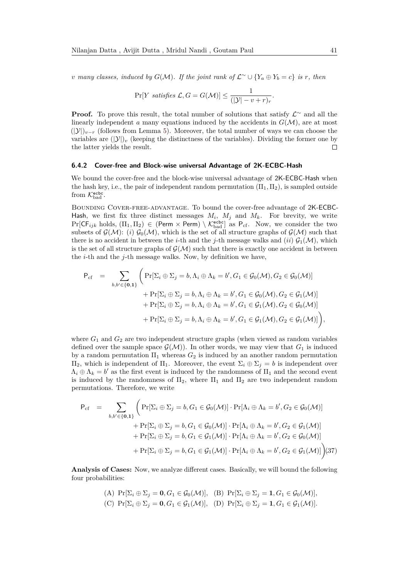*v* many classes, induced by  $G(\mathcal{M})$ . If the joint rank of  $\mathcal{L}^{\sim} \cup \{Y_a \oplus Y_b = c\}$  is r, then

$$
\Pr[Y \; satisfies \; \mathcal{L}, G = G(\mathcal{M})] \le \frac{1}{(|\mathcal{Y}| - v + r)_r}.
$$

**Proof.** To prove this result, the total number of solutions that satisfy  $\mathcal{L}^{\sim}$  and all the linearly independent *a* many equations induced by the accidents in  $G(\mathcal{M})$ , are at most  $(|\mathcal{Y}|)_{v-r}$  (follows from Lemma [5\)](#page-39-1). Moreover, the total number of ways we can choose the variables are  $(|\mathcal{Y}|)_v$  (keeping the distinctness of the variables). Dividing the former one by the latter yields the result.  $\Box$ 

#### **6.4.2 Cover-free and Block-wise universal Advantage of 2K-ECBC-Hash**

We bound the cover-free and the block-wise universal advantage of 2K-ECBC-Hash when the hash key, i.e., the pair of independent random permutation  $(\Pi_1, \Pi_2)$ , is sampled outside from  $\mathcal{K}_{bad}^{\mathsf{ecbc}}$ .

Bounding Cover-free-advantage. To bound the cover-free advantage of 2K-ECBC-Hash, we first fix three distinct messages  $M_i$ ,  $M_j$  and  $M_k$ . For brevity, we write  $Pr[\mathsf{CF}_{ijk} \text{ holds}, (\Pi_1, \Pi_2) \in (\mathsf{Perm} \times \mathsf{Perm}) \setminus \mathcal{K}_{bad}^{\mathsf{echo}}]$  as  $\mathsf{P}_{cf.}$  Now, we consider the two subsets of  $\mathcal{G}(\mathcal{M})$ : (*i*)  $\mathcal{G}_0(\mathcal{M})$ , which is the set of all structure graphs of  $\mathcal{G}(\mathcal{M})$  such that there is no accident in between the *i*-th and the *j*-th message walks and (*ii*)  $\mathcal{G}_1(\mathcal{M})$ , which is the set of all structure graphs of  $\mathcal{G}(\mathcal{M})$  such that there is exactly one accident in between the *i*-th and the *j*-th message walks. Now, by definition we have,

<span id="page-40-0"></span>
$$
P_{cf} = \sum_{b,b' \in \{0,1\}} \left( Pr[\Sigma_i \oplus \Sigma_j = b, \Lambda_i \oplus \Lambda_k = b', G_1 \in \mathcal{G}_0(\mathcal{M}), G_2 \in \mathcal{G}_0(\mathcal{M})] + Pr[\Sigma_i \oplus \Sigma_j = b, \Lambda_i \oplus \Lambda_k = b', G_1 \in \mathcal{G}_0(\mathcal{M}), G_2 \in \mathcal{G}_1(\mathcal{M})] + Pr[\Sigma_i \oplus \Sigma_j = b, \Lambda_i \oplus \Lambda_k = b', G_1 \in \mathcal{G}_1(\mathcal{M}), G_2 \in \mathcal{G}_0(\mathcal{M})] + Pr[\Sigma_i \oplus \Sigma_j = b, \Lambda_i \oplus \Lambda_k = b', G_1 \in \mathcal{G}_1(\mathcal{M}), G_2 \in \mathcal{G}_1(\mathcal{M})] \right),
$$

where  $G_1$  and  $G_2$  are two independent structure graphs (when viewed as random variables defined over the sample space  $\mathcal{G}(\mathcal{M})$ . In other words, we may view that  $G_1$  is induced by a random permutation  $\Pi_1$  whereas  $G_2$  is induced by an another random permutation Π2, which is independent of Π1. Moreover, the event Σ*<sup>i</sup>* ⊕ Σ*<sup>j</sup>* = *b* is independent over  $\Lambda_i \oplus \Lambda_k = b'$  as the first event is induced by the randomness of  $\Pi_1$  and the second event is induced by the randomness of  $\Pi_2$ , where  $\Pi_1$  and  $\Pi_2$  are two independent random permutations. Therefore, we write

$$
P_{cf} = \sum_{b,b' \in \{0,1\}} \left( Pr[\Sigma_i \oplus \Sigma_j = b, G_1 \in \mathcal{G}_0(\mathcal{M})] \cdot Pr[\Lambda_i \oplus \Lambda_k = b', G_2 \in \mathcal{G}_0(\mathcal{M})] \right. \\
\left. + Pr[\Sigma_i \oplus \Sigma_j = b, G_1 \in \mathcal{G}_0(\mathcal{M})] \cdot Pr[\Lambda_i \oplus \Lambda_k = b', G_2 \in \mathcal{G}_1(\mathcal{M})] \right. \\
\left. + Pr[\Sigma_i \oplus \Sigma_j = b, G_1 \in \mathcal{G}_1(\mathcal{M})] \cdot Pr[\Lambda_i \oplus \Lambda_k = b', G_2 \in \mathcal{G}_0(\mathcal{M})] \right. \\
\left. + Pr[\Sigma_i \oplus \Sigma_j = b, G_1 \in \mathcal{G}_1(\mathcal{M})] \cdot Pr[\Lambda_i \oplus \Lambda_k = b', G_2 \in \mathcal{G}_1(\mathcal{M})] \right) (37)
$$

**Analysis of Cases:** Now, we analyze different cases. Basically, we will bound the following four probabilities:

(A) 
$$
\Pr[\Sigma_i \oplus \Sigma_j = \mathbf{0}, G_1 \in \mathcal{G}_0(\mathcal{M})],
$$
 (B)  $\Pr[\Sigma_i \oplus \Sigma_j = \mathbf{1}, G_1 \in \mathcal{G}_0(\mathcal{M})],$   
(C)  $\Pr[\Sigma_i \oplus \Sigma_j = \mathbf{0}, G_1 \in \mathcal{G}_1(\mathcal{M})],$  (D)  $\Pr[\Sigma_i \oplus \Sigma_j = \mathbf{1}, G_1 \in \mathcal{G}_1(\mathcal{M})].$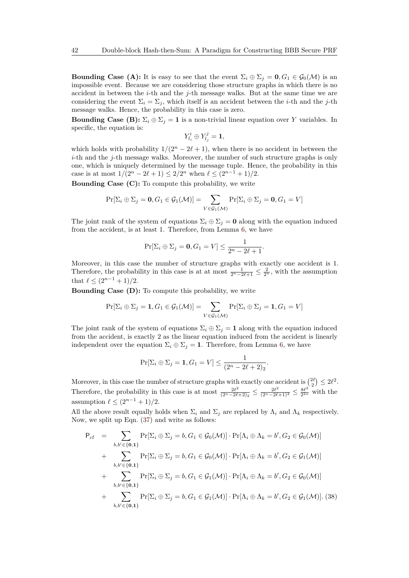**Bounding Case (A):** It is easy to see that the event  $\Sigma_i \oplus \Sigma_j = 0$ ,  $G_1 \in \mathcal{G}_0(\mathcal{M})$  is an impossible event. Because we are considering those structure graphs in which there is no accident in between the *i*-th and the *j*-th message walks. But at the same time we are considering the event  $\Sigma_i = \Sigma_j$ , which itself is an accident between the *i*-th and the *j*-th message walks. Hence, the probability in this case is zero.

**Bounding Case (B):**  $\Sigma_i \oplus \Sigma_j = 1$  is a non-trivial linear equation over *Y* variables. In specific, the equation is:

$$
Y_{l_i}^i \oplus Y_{l_j}^j = \mathbf{1},
$$

which holds with probability  $1/(2^n - 2\ell + 1)$ , when there is no accident in between the *i*-th and the *j*-th message walks. Moreover, the number of such structure graphs is only one, which is uniquely determined by the message tuple. Hence, the probability in this case is at most  $1/(2^n - 2\ell + 1) \leq 2/2^n$  when  $\ell \leq (2^{n-1} + 1)/2$ .

**Bounding Case (C):** To compute this probability, we write

$$
\Pr[\Sigma_i \oplus \Sigma_j = \mathbf{0}, G_1 \in \mathcal{G}_1(\mathcal{M})] = \sum_{V \in \mathcal{G}_1(\mathcal{M})} \Pr[\Sigma_i \oplus \Sigma_j = \mathbf{0}, G_1 = V]
$$

The joint rank of the system of equations  $\Sigma_i \oplus \Sigma_j = \mathbf{0}$  along with the equation induced from the accident, is at least 1. Therefore, from Lemma [6,](#page-39-2) we have

$$
\Pr[\Sigma_i \oplus \Sigma_j = \mathbf{0}, G_1 = V] \le \frac{1}{2^n - 2\ell + 1}.
$$

Moreover, in this case the number of structure graphs with exactly one accident is 1. Therefore, the probability in this case is at at most  $\frac{1}{2^n - 2\ell + 1} \leq \frac{2}{2^n}$ , with the assumption that  $\ell \leq (2^{n-1} + 1)/2$ .

**Bounding Case (D):** To compute this probability, we write

$$
\Pr[\Sigma_i \oplus \Sigma_j = 1, G_1 \in \mathcal{G}_1(\mathcal{M})] = \sum_{V \in \mathcal{G}_1(\mathcal{M})} \Pr[\Sigma_i \oplus \Sigma_j = 1, G_1 = V]
$$

The joint rank of the system of equations  $\Sigma_i \oplus \Sigma_j = 1$  along with the equation induced from the accident, is exactly 2 as the linear equation induced from the accident is linearly independent over the equation  $\Sigma_i \oplus \Sigma_j = 1$ . Therefore, from Lemma [6,](#page-39-2) we have

$$
\Pr[\Sigma_i \oplus \Sigma_j = 1, G_1 = V] \le \frac{1}{(2^n - 2\ell + 2)_2}.
$$

Moreover, in this case the number of structure graphs with exactly one accident is  $\binom{2\ell}{2} \leq 2\ell^2$ . Therefore, the probability in this case is at most  $\frac{2l^2}{(2n-2l)}$  $\frac{2\ell^2}{(2^n - 2\ell + 2)_2} \leq \frac{2\ell^2}{(2^n - 2\ell + 1)^2} \leq \frac{8\ell^2}{2^{2n}}$  $\frac{8\ell^2}{2^{2n}}$  with the assumption  $\ell \leq (2^{n-1} + 1)/2$ .

All the above result equally holds when  $\Sigma_i$  and  $\Sigma_j$  are replaced by  $\Lambda_i$  and  $\Lambda_k$  respectively. Now, we split up Eqn. [\(37\)](#page-40-0) and write as follows:

<span id="page-41-0"></span>
$$
P_{cf} = \sum_{b,b' \in \{\mathbf{0},\mathbf{1}\}} \Pr[\Sigma_i \oplus \Sigma_j = b, G_1 \in \mathcal{G}_0(\mathcal{M})] \cdot \Pr[\Lambda_i \oplus \Lambda_k = b', G_2 \in \mathcal{G}_0(\mathcal{M})]
$$
  
+ 
$$
\sum_{b,b' \in \{\mathbf{0},\mathbf{1}\}} \Pr[\Sigma_i \oplus \Sigma_j = b, G_1 \in \mathcal{G}_0(\mathcal{M})] \cdot \Pr[\Lambda_i \oplus \Lambda_k = b', G_2 \in \mathcal{G}_1(\mathcal{M})]
$$
  
+ 
$$
\sum_{b,b' \in \{\mathbf{0},\mathbf{1}\}} \Pr[\Sigma_i \oplus \Sigma_j = b, G_1 \in \mathcal{G}_1(\mathcal{M})] \cdot \Pr[\Lambda_i \oplus \Lambda_k = b', G_2 \in \mathcal{G}_0(\mathcal{M})]
$$
  
+ 
$$
\sum_{b,b' \in \{\mathbf{0},\mathbf{1}\}} \Pr[\Sigma_i \oplus \Sigma_j = b, G_1 \in \mathcal{G}_1(\mathcal{M})] \cdot \Pr[\Lambda_i \oplus \Lambda_k = b', G_2 \in \mathcal{G}_1(\mathcal{M})].
$$
(38)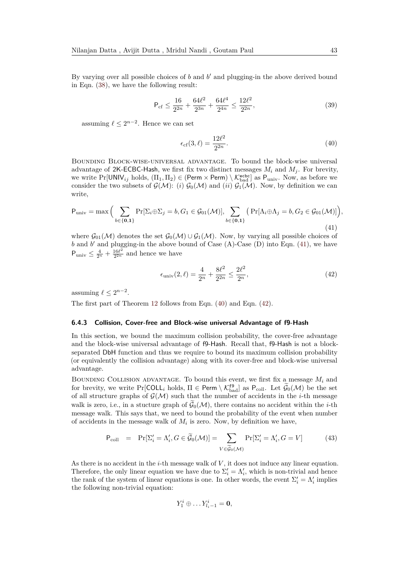By varying over all possible choices of  $b$  and  $b'$  and plugging-in the above derived bound in Eqn. [\(38\)](#page-41-0), we have the following result:

$$
\mathsf{P}_{\rm cf} \le \frac{16}{2^{2n}} + \frac{64\ell^2}{2^{3n}} + \frac{64\ell^4}{2^{4n}} \le \frac{12\ell^2}{2^{2n}},\tag{39}
$$

assuming  $\ell \leq 2^{n-2}$ . Hence we can set

<span id="page-42-1"></span>
$$
\epsilon_{\rm cf}(3,\ell) = \frac{12\ell^2}{2^{2n}}.\tag{40}
$$

Bounding Block-wise-universal advantage. To bound the block-wise universal advantage of 2K-ECBC-Hash, we first fix two distinct messages  $M_i$  and  $M_j$ . For brevity, we write  $Pr[UNIV_{ij} \text{ holds}, (II_1, II_2) \in (Perm \times Perm) \setminus \mathcal{K}^{\text{echo}}_{bad}]$  as  $P_{univ}$ . Now, as before we consider the two subsets of  $\mathcal{G}(\mathcal{M})$ : (*i*)  $\mathcal{G}_0(\mathcal{M})$  and (*ii*)  $\mathcal{G}_1(\mathcal{M})$ . Now, by definition we can write,

<span id="page-42-0"></span>
$$
P_{\text{univ}} = \max\Big(\sum_{b \in \{\mathbf{0}, \mathbf{1}\}} \Pr[\Sigma_i \oplus \Sigma_j = b, G_1 \in \mathcal{G}_{01}(\mathcal{M})], \sum_{b \in \{\mathbf{0}, \mathbf{1}\}} \left(\Pr[\Lambda_i \oplus \Lambda_j = b, G_2 \in \mathcal{G}_{01}(\mathcal{M})]\right),\tag{41}
$$

where  $\mathcal{G}_{01}(\mathcal{M})$  denotes the set  $\mathcal{G}_{0}(\mathcal{M}) \cup \mathcal{G}_{1}(\mathcal{M})$ . Now, by varying all possible choices of  $b$  and  $b'$  and plugging-in the above bound of Case  $(A)$ -Case  $(D)$  into Eqn.  $(41)$ , we have  $P_{\text{univ}} \leq \frac{4}{2^n} + \frac{16\ell^2}{2^{2n}}$  $\frac{16\ell^2}{2^{2n}}$  and hence we have

<span id="page-42-2"></span>
$$
\epsilon_{\text{univ}}(2,\ell) = \frac{4}{2^n} + \frac{8\ell^2}{2^{2n}} \le \frac{2\ell^2}{2^n},\tag{42}
$$

assuming  $\ell \leq 2^{n-2}$ .

The first part of Theorem [12](#page-36-0) follows from Eqn. [\(40\)](#page-42-1) and Eqn. [\(42\)](#page-42-2).

#### **6.4.3 Collision, Cover-free and Block-wise universal Advantage of f9-Hash**

In this section, we bound the maximum collision probability, the cover-free advantage and the block-wise universal advantage of f9-Hash. Recall that, f9-Hash is not a blockseparated DbH function and thus we require to bound its maximum collision probability (or equivalently the collision advantage) along with its cover-free and block-wise universal advantage.

BOUNDING COLLISION ADVANTAGE. To bound this event, we first fix a message  $M_i$  and for brevity, we write  $Pr[COLL_i$  holds,  $\Pi \in Perm \setminus \mathcal{K}_{bad}^{f9}]$  as  $P_{coll}$ . Let  $\mathcal{G}_0(\mathcal{M})$  be the set of all structure graphs of  $\mathcal{G}(\mathcal{M})$  such that the number of accidents in the *i*-th message walk is zero, i.e., in a stucture graph of  $\tilde{G}_0(\mathcal{M})$ , there contains no accident within the *i*-th message walk. This says that, we need to bound the probability of the event when number of accidents in the message walk of  $M_i$  is zero. Now, by definition we have,

<span id="page-42-3"></span>
$$
P_{\text{coll}} = \Pr[\Sigma_i' = \Lambda_i', G \in \widetilde{\mathcal{G}}_0(\mathcal{M})] = \sum_{V \in \widetilde{\mathcal{G}}_0(\mathcal{M})} \Pr[\Sigma_i' = \Lambda_i', G = V] \tag{43}
$$

As there is no accident in the *i*-th message walk of *V* , it does not induce any linear equation. Therefore, the only linear equation we have due to  $\Sigma_i' = \Lambda_i'$ , which is non-trivial and hence the rank of the system of linear equations is one. In other words, the event  $\Sigma_i' = \Lambda_i'$  implies the following non-trivial equation:

$$
Y_1^i \oplus \dots Y_{l_i-1}^i = \mathbf{0},
$$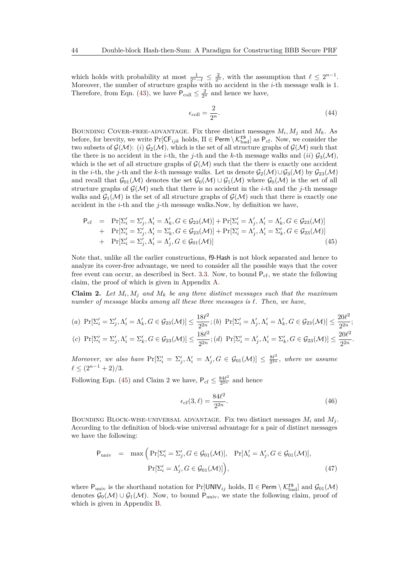which holds with probability at most  $\frac{1}{2^n-\ell} \leq \frac{2}{2^n}$ , with the assumption that  $\ell \leq 2^{n-1}$ . Moreover, the number of structure graphs with no accident in the *i*-th message walk is 1. Therefore, from Eqn. [\(43\)](#page-42-3), we have  $P_{\text{coll}} \leq \frac{2}{2^n}$  and hence we have,

$$
\epsilon_{\text{coll}} = \frac{2}{2^n}.\tag{44}
$$

BOUNDING COVER-FREE-ADVANTAGE. Fix three distinct messages  $M_i$ ,  $M_j$  and  $M_k$ . As before, for brevity, we write  $Pr[CF_{ijk}$  holds,  $\Pi \in \text{Perm} \setminus \mathcal{K}_{bad}^{\text{f9}}]$  as  $P_{cf}$ . Now, we consider the two subsets of  $\mathcal{G}(\mathcal{M})$ : (*i*)  $\mathcal{G}_2(\mathcal{M})$ , which is the set of all structure graphs of  $\mathcal{G}(\mathcal{M})$  such that the there is no accident in the *i*-th, the *j*-th and the *k*-th message walks and (*ii*)  $G_3(\mathcal{M})$ , which is the set of all structure graphs of  $\mathcal{G}(\mathcal{M})$  such that the there is exactly one accident in the *i*-th, the *j*-th and the *k*-th message walks. Let us denote  $G_2(\mathcal{M}) \cup G_3(\mathcal{M})$  by  $G_{23}(\mathcal{M})$ and recall that  $\mathcal{G}_{01}(\mathcal{M})$  denotes the set  $\mathcal{G}_{0}(\mathcal{M}) \cup \mathcal{G}_{1}(\mathcal{M})$  where  $\mathcal{G}_{0}(\mathcal{M})$  is the set of all structure graphs of  $\mathcal{G}(\mathcal{M})$  such that there is no accident in the *i*-th and the *j*-th message walks and  $\mathcal{G}_1(\mathcal{M})$  is the set of all structure graphs of  $\mathcal{G}(\mathcal{M})$  such that there is exactly one accident in the *i*-th and the *j*-th message walks.Now, by definition we have,

<span id="page-43-0"></span>
$$
P_{cf} = Pr[\Sigma'_i = \Sigma'_j, \Lambda'_i = \Lambda'_k, G \in \mathcal{G}_{23}(\mathcal{M})] + Pr[\Sigma'_i = \Lambda'_j, \Lambda'_i = \Lambda'_k, G \in \mathcal{G}_{23}(\mathcal{M})]
$$
  
+ 
$$
Pr[\Sigma'_i = \Sigma'_j, \Lambda'_i = \Sigma'_k, G \in \mathcal{G}_{23}(\mathcal{M})] + Pr[\Sigma'_i = \Lambda'_j, \Lambda'_i = \Sigma'_k, G \in \mathcal{G}_{23}(\mathcal{M})]
$$
  
+ 
$$
Pr[\Sigma'_i = \Sigma'_j, \Lambda'_i = \Lambda'_j, G \in \mathcal{G}_{01}(\mathcal{M})]
$$
(45)

Note that, unlike all the earlier constructions, f9-Hash is not block separated and hence to analyze its cover-free advantage, we need to consider all the possible ways that the cover free event can occur, as described in Sect. [3.3.](#page-10-0) Now, to bound  $P_{cf}$ , we state the following claim, the proof of which is given in Appendix [A.](#page-49-10)

**Claim 2.** Let  $M_i$ ,  $M_j$  and  $M_k$  be any three distinct messages such that the maximum *number of message blocks among all these three messages is*  $\ell$ . Then, we have,

(a) 
$$
Pr[\Sigma'_i = \Sigma'_j, \Lambda'_i = \Lambda'_k, G \in \mathcal{G}_{23}(\mathcal{M})] \le \frac{18\ell^2}{2^{2n}}; (b) \Pr[\Sigma'_i = \Lambda'_j, \Lambda'_i = \Lambda'_k, G \in \mathcal{G}_{23}(\mathcal{M})] \le \frac{20\ell^2}{2^{2n}};
$$
  
(c)  $Pr[\Sigma'_i = \Sigma'_j, \Lambda'_i = \Sigma'_k, G \in \mathcal{G}_{23}(\mathcal{M})] \le \frac{18\ell^2}{2^{2n}}; (d) \Pr[\Sigma'_i = \Lambda'_j, \Lambda'_i = \Sigma'_k, G \in \mathcal{G}_{23}(\mathcal{M})] \le \frac{20\ell^2}{2^{2n}};$ 

*Moreover, we also have*  $\Pr[\Sigma_i' = \Sigma_j', \Lambda_i' = \Lambda_j', G \in \mathcal{G}_{01}(\mathcal{M})] \leq \frac{8\ell^2}{2^{2n}}$  $\frac{8\ell^2}{2^{2n}}$ , where we assume  $\ell \leq (2^{n-1} + 2)/3.$ 

Following Eqn. [\(45\)](#page-43-0) and Claim 2 we have,  $P_{cf} \leq \frac{84\ell^2}{2^{2n}}$  $\frac{84\ell^2}{2^{2n}}$  and hence

$$
\epsilon_{\rm cf}(3,\ell) = \frac{84\ell^2}{2^{2n}}.\tag{46}
$$

BOUNDING BLOCK-WISE-UNIVERSAL ADVANTAGE. Fix two distinct messages  $M_i$  and  $M_j$ . According to the definition of block-wise universal advantage for a pair of distinct messages we have the following:

<span id="page-43-1"></span>
$$
P_{\text{univ}} = \max \Big( \Pr[\Sigma_i' = \Sigma_j', G \in \mathcal{G}_{01}(\mathcal{M})], \Pr[\Lambda_i' = \Lambda_j', G \in \mathcal{G}_{01}(\mathcal{M})],
$$
  

$$
\Pr[\Sigma_i' = \Lambda_j', G \in \mathcal{G}_{01}(\mathcal{M})] \Big), \tag{47}
$$

where  $P_{\text{univ}}$  is the shorthand notation for  $Pr[\text{UNIV}_{ij}$  holds,  $\Pi \in \text{Perm} \setminus \mathcal{K}_{bad}^{\text{f9}}]$  and  $\mathcal{G}_{01}(\mathcal{M})$ denotes  $\mathcal{G}_0(\mathcal{M}) \cup \mathcal{G}_1(\mathcal{M})$ . Now, to bound P<sub>univ</sub>, we state the following claim, proof of which is given in Appendix [B.](#page-54-0)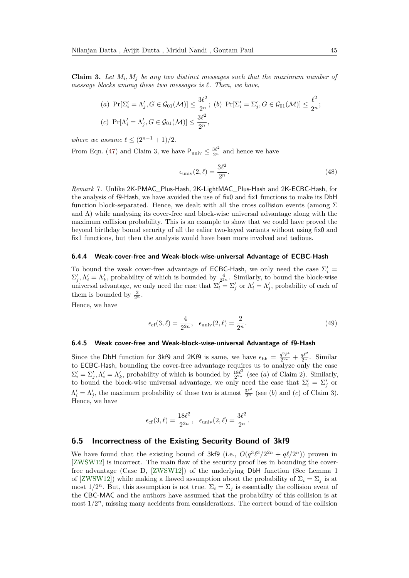**Claim 3.** Let  $M_i$ ,  $M_j$  be any two distinct messages such that the maximum number of *message blocks among these two messages is `. Then, we have,*

(a) 
$$
Pr[\Sigma'_i = \Lambda'_j, G \in \mathcal{G}_{01}(\mathcal{M})] \le \frac{3\ell^2}{2^n}
$$
; (b)  $Pr[\Sigma'_i = \Sigma'_j, G \in \mathcal{G}_{01}(\mathcal{M})] \le \frac{\ell^2}{2^n}$ ;  
(c)  $Pr[\Lambda'_i = \Lambda'_j, G \in \mathcal{G}_{01}(\mathcal{M})] \le \frac{3\ell^2}{2^n}$ ,

*where we assume*  $\ell \leq (2^{n-1} + 1)/2$ .

From Eqn. [\(47\)](#page-43-1) and Claim 3, we have  $P_{\text{univ}} \leq \frac{3\ell^2}{2^n}$  and hence we have

$$
\epsilon_{\text{univ}}(2,\ell) = \frac{3\ell^2}{2^n}.\tag{48}
$$

*Remark* 7*.* Unlike 2K-PMAC\_Plus-Hash, 2K-LightMAC\_Plus-Hash and 2K-ECBC-Hash, for the analysis of f9-Hash, we have avoided the use of fix0 and fix1 functions to make its DbH function block-separated. Hence, we dealt with all the cross collision events (among  $\Sigma$ and  $\Lambda$ ) while analysing its cover-free and block-wise universal advantage along with the maximum collision probability. This is an example to show that we could have proved the beyond birthday bound security of all the ealier two-keyed variants without using fix0 and fix1 functions, but then the analysis would have been more involved and tedious.

#### **6.4.4 Weak-cover-free and Weak-block-wise-universal Advantage of ECBC-Hash**

To bound the weak cover-free advantage of **ECBC-Hash**, we only need the case  $\Sigma_i'$  =  $\Sigma'_j, \Lambda'_i = \Lambda'_k$ , probability of which is bounded by  $\frac{4}{2^{2n}}$ . Similarly, to bound the block-wise universal advantage, we only need the case that  $\Sigma_i' = \Sigma_j'$  or  $\Lambda_i' = \Lambda_j'$ , probability of each of them is bounded by  $\frac{2}{2^n}$ .

Hence, we have

$$
\epsilon_{\rm cf}(3,\ell) = \frac{4}{2^{2n}}, \ \epsilon_{\rm univ}(2,\ell) = \frac{2}{2^n}.
$$
\n(49)

#### **6.4.5 Weak cover-free and Weak-block-wise-universal Advantage of f9-Hash**

Since the DbH function for 3kf9 and 2Kf9 is same, we have  $\epsilon_{bh} = \frac{q^3\ell^4}{2^{2n}}$  $\frac{q^3\ell^4}{2^{2n}} + \frac{q\ell^2}{2^n}$ . Similar to ECBC-Hash, bounding the cover-free advantage requires us to analyze only the case  $\Sigma'_i = \Sigma'_j, \Lambda'_i = \Lambda'_k$ , probability of which is bounded by  $\frac{18\ell^2}{2^{2n}}$  $\frac{18\ell^2}{2^{2n}}$  (see (*a*) of Claim 2). Similarly, to bound the block-wise universal advantage, we only need the case that  $\Sigma_i' = \Sigma_j'$  or  $\Lambda'_i = \Lambda'_j$ , the maximum probability of these two is atmost  $\frac{3\ell^2}{2^n}$  (see (*b*) and (*c*) of Claim 3). Hence, we have

$$
\epsilon_{\rm cf}(3,\ell) = \frac{18\ell^2}{2^{2n}}, \ \ \epsilon_{\rm univ}(2,\ell) = \frac{3\ell^2}{2^n}.
$$

#### **6.5 Incorrectness of the Existing Security Bound of 3kf9**

We have found that the existing bound of  $3kf9$  (i.e.,  $O(q^3\ell^3/2^{2n} + q\ell/2^n)$ ) proven in [\[ZWSW12\]](#page-49-2) is incorrect. The main flaw of the security proof lies in bounding the coverfree advantage (Case D, [\[ZWSW12\]](#page-49-2)) of the underlying DbH function (See Lemma 1 of [\[ZWSW12\]](#page-49-2)) while making a flawed assumption about the probability of  $\Sigma_i = \Sigma_j$  is at most  $1/2^n$ . But, this assumption is not true.  $\Sigma_i = \Sigma_j$  is essentially the collision event of the CBC-MAC and the authors have assumed that the probability of this collision is at most  $1/2^n$ , missing many accidents from considerations. The correct bound of the collision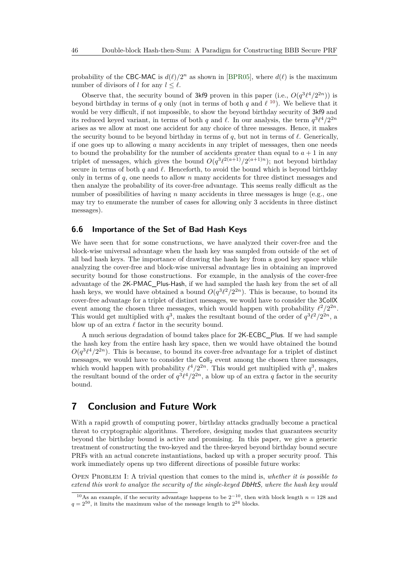probability of the CBC-MAC is  $d(\ell)/2^n$  as shown in [\[BPR05\]](#page-47-10), where  $d(\ell)$  is the maximum number of divisors of *l* for any  $l \leq \ell$ .

Observe that, the security bound of 3kf9 proven in this paper (i.e.,  $O(q^3\ell^4/2^{2n})$ ) is beyond birthday in terms of *q* only (not in terms of both *q* and  $\ell$ <sup>[10](#page-45-2)</sup>). We believe that it would be very difficult, if not impossible, to show the beyond birthday security of 3kf9 and its reduced keyed variant, in terms of both *q* and  $\ell$ . In our analysis, the term  $q^3 \ell^4/2^{2n}$ arises as we allow at most one accident for any choice of three messages. Hence, it makes the security bound to be beyond birthday in terms of  $q$ , but not in terms of  $\ell$ . Generically, if one goes up to allowing *a* many accidents in any triplet of messages, then one needs to bound the probability for the number of accidents greater than equal to  $a + 1$  in any triplet of messages, which gives the bound  $O(q^3 \ell^{2(a+1)}/2^{(a+1)n})$ ; not beyond birthday secure in terms of both  $q$  and  $\ell$ . Henceforth, to avoid the bound which is beyond birthday only in terms of *q*, one needs to allow *n* many accidents for three distinct messages and then analyze the probability of its cover-free advantage. This seems really difficult as the number of possibilities of having *n* many accidents in three messages is huge (e.g., one may try to enumerate the number of cases for allowing only 3 accidents in three distinct messages).

#### <span id="page-45-1"></span>**6.6 Importance of the Set of Bad Hash Keys**

We have seen that for some constructions, we have analyzed their cover-free and the block-wise universal advantage when the hash key was sampled from outside of the set of all bad hash keys. The importance of drawing the hash key from a good key space while analyzing the cover-free and block-wise universal advantage lies in obtaining an improved security bound for those constructions. For example, in the analysis of the cover-free advantage of the 2K-PMAC\_Plus-Hash, if we had sampled the hash key from the set of all hash keys, we would have obtained a bound  $O(q^3\ell^2/2^{2n})$ . This is because, to bound its cover-free advantage for a triplet of distinct messages, we would have to consider the 3CollX event among the chosen three messages, which would happen with probability  $\ell^2/2^{2n}$ . This would get multiplied with  $q^3$ , makes the resultant bound of the order of  $q^3\ell^2/2^{2n}$ , a blow up of an extra  $\ell$  factor in the security bound.

A much serious degradation of bound takes place for 2K-ECBC\_Plus. If we had sample the hash key from the entire hash key space, then we would have obtained the bound  $O(q^3\ell^4/2^{2n})$ . This is because, to bound its cover-free advantage for a triplet of distinct messages, we would have to consider the  $\text{Coll}_2$  event among the chosen three messages, which would happen with probability  $\ell^4/2^{2n}$ . This would get multiplied with  $q^3$ , makes the resultant bound of the order of  $q^3\ell^4/2^{2n}$ , a blow up of an extra *q* factor in the security bound.

## <span id="page-45-0"></span>**7 Conclusion and Future Work**

With a rapid growth of computing power, birthday attacks gradually become a practical threat to cryptographic algorithms. Therefore, designing modes that guarantees security beyond the birthday bound is active and promising. In this paper, we give a generic treatment of constructing the two-keyed and the three-keyed beyond birthday bound secure PRFs with an actual concrete instantiations, backed up with a proper security proof. This work immediately opens up two different directions of possible future works:

Open Problem I: A trivial question that comes to the mind is, *whether it is possible to extend this work to analyze the security of the single-keyed* DbHtS*, where the hash key would*

<span id="page-45-2"></span><sup>&</sup>lt;sup>10</sup>As an example, if the security advantage happens to be  $2^{-10}$ , then with block length  $n = 128$  and  $q = 2^{50}$ , it limits the maximum value of the message length to  $2^{24}$  blocks.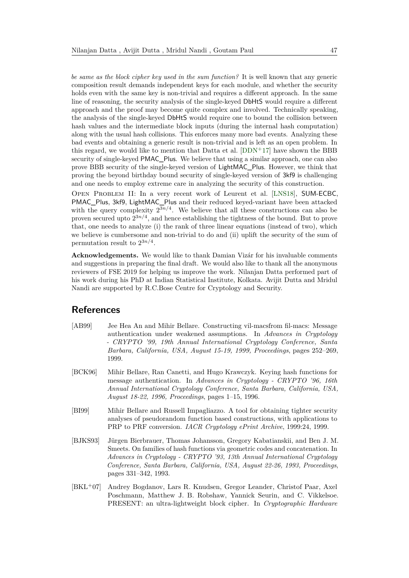*be same as the block cipher key used in the sum function?* It is well known that any generic composition result demands independent keys for each module, and whether the security holds even with the same key is non-trivial and requires a different approach. In the same line of reasoning, the security analysis of the single-keyed DbHtS would require a different approach and the proof may become quite complex and involved. Technically speaking, the analysis of the single-keyed DbHtS would require one to bound the collision between hash values and the intermediate block inputs (during the internal hash computation) along with the usual hash collisions. This enforces many more bad events. Analyzing these bad events and obtaining a generic result is non-trivial and is left as an open problem. In this regard, we would like to mention that Datta et al. [\[DDN](#page-47-3)<sup>+</sup>17] have shown the BBB security of single-keyed PMAC\_Plus. We believe that using a similar approach, one can also prove BBB security of the single-keyed version of LightMAC\_Plus. However, we think that proving the beyond birthday bound security of single-keyed version of 3kf9 is challenging and one needs to employ extreme care in analyzing the security of this construction.

Open Problem II: In a very recent work of Leurent et al. [\[LNS18\]](#page-48-7), SUM-ECBC, PMAC\_Plus, 3kf9, LightMAC\_Plus and their reduced keyed-variant have been attacked with the query complexity  $2^{3n/4}$ . We believe that all these constructions can also be proven secured upto 2 3*n/*4 , and hence establishing the tightness of the bound. But to prove that, one needs to analyze (i) the rank of three linear equations (instead of two), which we believe is cumbersome and non-trivial to do and (ii) uplift the security of the sum of permutation result to 2 3*n/*4 .

**Acknowledgements.** We would like to thank Damian Vizár for his invaluable comments and suggestions in preparing the final draft. We would also like to thank all the anonymous reviewers of FSE 2019 for helping us improve the work. Nilanjan Datta performed part of his work during his PhD at Indian Statistical Institute, Kolkata. Avijit Dutta and Mridul Nandi are supported by R.C.Bose Centre for Cryptology and Security.

### **References**

- <span id="page-46-0"></span>[AB99] Jee Hea An and Mihir Bellare. Constructing vil-macsfrom fil-macs: Message authentication under weakened assumptions. In *Advances in Cryptology - CRYPTO '99, 19th Annual International Cryptology Conference, Santa Barbara, California, USA, August 15-19, 1999, Proceedings*, pages 252–269, 1999.
- <span id="page-46-1"></span>[BCK96] Mihir Bellare, Ran Canetti, and Hugo Krawczyk. Keying hash functions for message authentication. In *Advances in Cryptology - CRYPTO '96, 16th Annual International Cryptology Conference, Santa Barbara, California, USA, August 18-22, 1996, Proceedings*, pages 1–15, 1996.
- <span id="page-46-3"></span>[BI99] Mihir Bellare and Russell Impagliazzo. A tool for obtaining tighter security analyses of pseudorandom function based constructions, with applications to PRP to PRF conversion. *IACR Cryptology ePrint Archive*, 1999:24, 1999.
- <span id="page-46-4"></span>[BJKS93] Jürgen Bierbrauer, Thomas Johansson, Gregory Kabatianskii, and Ben J. M. Smeets. On families of hash functions via geometric codes and concatenation. In *Advances in Cryptology - CRYPTO '93, 13th Annual International Cryptology Conference, Santa Barbara, California, USA, August 22-26, 1993, Proceedings*, pages 331–342, 1993.
- <span id="page-46-2"></span>[BKL<sup>+</sup>07] Andrey Bogdanov, Lars R. Knudsen, Gregor Leander, Christof Paar, Axel Poschmann, Matthew J. B. Robshaw, Yannick Seurin, and C. Vikkelsoe. PRESENT: an ultra-lightweight block cipher. In *Cryptographic Hardware*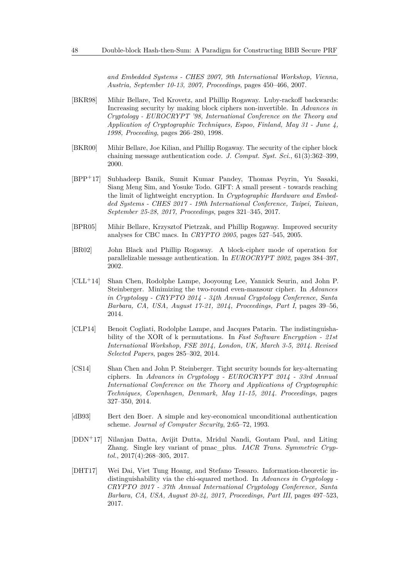*and Embedded Systems - CHES 2007, 9th International Workshop, Vienna, Austria, September 10-13, 2007, Proceedings*, pages 450–466, 2007.

- <span id="page-47-6"></span>[BKR98] Mihir Bellare, Ted Krovetz, and Phillip Rogaway. Luby-rackoff backwards: Increasing security by making block ciphers non-invertible. In *Advances in Cryptology - EUROCRYPT '98, International Conference on the Theory and Application of Cryptographic Techniques, Espoo, Finland, May 31 - June 4, 1998, Proceeding*, pages 266–280, 1998.
- <span id="page-47-0"></span>[BKR00] Mihir Bellare, Joe Kilian, and Phillip Rogaway. The security of the cipher block chaining message authentication code. *J. Comput. Syst. Sci.*, 61(3):362–399, 2000.
- <span id="page-47-2"></span>[BPP<sup>+</sup>17] Subhadeep Banik, Sumit Kumar Pandey, Thomas Peyrin, Yu Sasaki, Siang Meng Sim, and Yosuke Todo. GIFT: A small present - towards reaching the limit of lightweight encryption. In *Cryptographic Hardware and Embedded Systems - CHES 2017 - 19th International Conference, Taipei, Taiwan, September 25-28, 2017, Proceedings*, pages 321–345, 2017.
- <span id="page-47-10"></span>[BPR05] Mihir Bellare, Krzysztof Pietrzak, and Phillip Rogaway. Improved security analyses for CBC macs. In *CRYPTO 2005*, pages 527–545, 2005.
- <span id="page-47-1"></span>[BR02] John Black and Phillip Rogaway. A block-cipher mode of operation for parallelizable message authentication. In *EUROCRYPT 2002*, pages 384–397, 2002.
- <span id="page-47-4"></span>[CLL<sup>+</sup>14] Shan Chen, Rodolphe Lampe, Jooyoung Lee, Yannick Seurin, and John P. Steinberger. Minimizing the two-round even-mansour cipher. In *Advances in Cryptology - CRYPTO 2014 - 34th Annual Cryptology Conference, Santa Barbara, CA, USA, August 17-21, 2014, Proceedings, Part I*, pages 39–56, 2014.
- <span id="page-47-7"></span>[CLP14] Benoit Cogliati, Rodolphe Lampe, and Jacques Patarin. The indistinguishability of the XOR of k permutations. In *Fast Software Encryption - 21st International Workshop, FSE 2014, London, UK, March 3-5, 2014. Revised Selected Papers*, pages 285–302, 2014.
- <span id="page-47-5"></span>[CS14] Shan Chen and John P. Steinberger. Tight security bounds for key-alternating ciphers. In *Advances in Cryptology - EUROCRYPT 2014 - 33rd Annual International Conference on the Theory and Applications of Cryptographic Techniques, Copenhagen, Denmark, May 11-15, 2014. Proceedings*, pages 327–350, 2014.
- <span id="page-47-9"></span>[dB93] Bert den Boer. A simple and key-economical unconditional authentication scheme. *Journal of Computer Security*, 2:65–72, 1993.
- <span id="page-47-3"></span>[DDN<sup>+</sup>17] Nilanjan Datta, Avijit Dutta, Mridul Nandi, Goutam Paul, and Liting Zhang. Single key variant of pmac\_plus. *IACR Trans. Symmetric Cryptol.*, 2017(4):268–305, 2017.
- <span id="page-47-8"></span>[DHT17] Wei Dai, Viet Tung Hoang, and Stefano Tessaro. Information-theoretic indistinguishability via the chi-squared method. In *Advances in Cryptology - CRYPTO 2017 - 37th Annual International Cryptology Conference, Santa Barbara, CA, USA, August 20-24, 2017, Proceedings, Part III*, pages 497–523, 2017.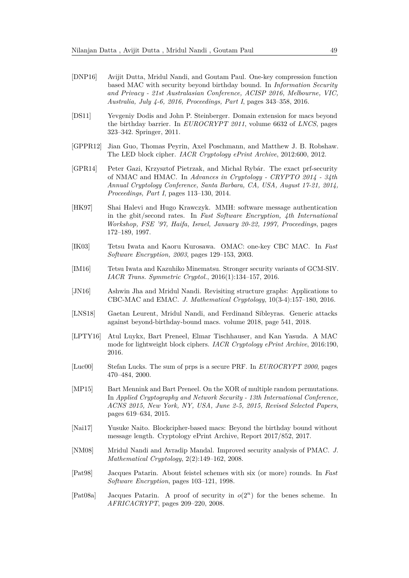- <span id="page-48-6"></span>[DNP16] Avijit Dutta, Mridul Nandi, and Goutam Paul. One-key compression function based MAC with security beyond birthday bound. In *Information Security and Privacy - 21st Australasian Conference, ACISP 2016, Melbourne, VIC, Australia, July 4-6, 2016, Proceedings, Part I*, pages 343–358, 2016.
- <span id="page-48-13"></span>[DS11] Yevgeniy Dodis and John P. Steinberger. Domain extension for macs beyond the birthday barrier. In *EUROCRYPT 2011*, volume 6632 of *LNCS*, pages 323–342. Springer, 2011.
- <span id="page-48-3"></span>[GPPR12] Jian Guo, Thomas Peyrin, Axel Poschmann, and Matthew J. B. Robshaw. The LED block cipher. *IACR Cryptology ePrint Archive*, 2012:600, 2012.
- <span id="page-48-14"></span>[GPR14] Peter Gazi, Krzysztof Pietrzak, and Michal Rybár. The exact prf-security of NMAC and HMAC. In *Advances in Cryptology - CRYPTO 2014 - 34th Annual Cryptology Conference, Santa Barbara, CA, USA, August 17-21, 2014, Proceedings, Part I*, pages 113–130, 2014.
- <span id="page-48-10"></span>[HK97] Shai Halevi and Hugo Krawczyk. MMH: software message authentication in the gbit/second rates. In *Fast Software Encryption, 4th International Workshop, FSE '97, Haifa, Israel, January 20-22, 1997, Proceedings*, pages 172–189, 1997.
- <span id="page-48-0"></span>[IK03] Tetsu Iwata and Kaoru Kurosawa. OMAC: one-key CBC MAC. In *Fast Software Encryption, 2003*, pages 129–153, 2003.
- <span id="page-48-5"></span>[IM16] Tetsu Iwata and Kazuhiko Minematsu. Stronger security variants of GCM-SIV. *IACR Trans. Symmetric Cryptol.*, 2016(1):134–157, 2016.
- <span id="page-48-15"></span>[JN16] Ashwin Jha and Mridul Nandi. Revisiting structure graphs: Applications to CBC-MAC and EMAC. *J. Mathematical Cryptology*, 10(3-4):157–180, 2016.
- <span id="page-48-7"></span>[LNS18] Gaetan Leurent, Mridul Nandi, and Ferdinand Sibleyras. Generic attacks against beyond-birthday-bound macs. volume 2018, page 541, 2018.
- <span id="page-48-1"></span>[LPTY16] Atul Luykx, Bart Preneel, Elmar Tischhauser, and Kan Yasuda. A MAC mode for lightweight block ciphers. *IACR Cryptology ePrint Archive*, 2016:190, 2016.
- <span id="page-48-8"></span>[Luc00] Stefan Lucks. The sum of prps is a secure PRF. In *EUROCRYPT 2000*, pages 470–484, 2000.
- <span id="page-48-9"></span>[MP15] Bart Mennink and Bart Preneel. On the XOR of multiple random permutations. In *Applied Cryptography and Network Security - 13th International Conference, ACNS 2015, New York, NY, USA, June 2-5, 2015, Revised Selected Papers*, pages 619–634, 2015.
- <span id="page-48-4"></span>[Nai17] Yusuke Naito. Blockcipher-based macs: Beyond the birthday bound without message length. Cryptology ePrint Archive, Report 2017/852, 2017.
- <span id="page-48-2"></span>[NM08] Mridul Nandi and Avradip Mandal. Improved security analysis of PMAC. *J. Mathematical Cryptology*, 2(2):149–162, 2008.
- <span id="page-48-11"></span>[Pat98] Jacques Patarin. About feistel schemes with six (or more) rounds. In *Fast Software Encryption*, pages 103–121, 1998.
- <span id="page-48-12"></span>[Pat08a] Jacques Patarin. A proof of security in *o*(2*<sup>n</sup>*) for the benes scheme. In *AFRICACRYPT*, pages 209–220, 2008.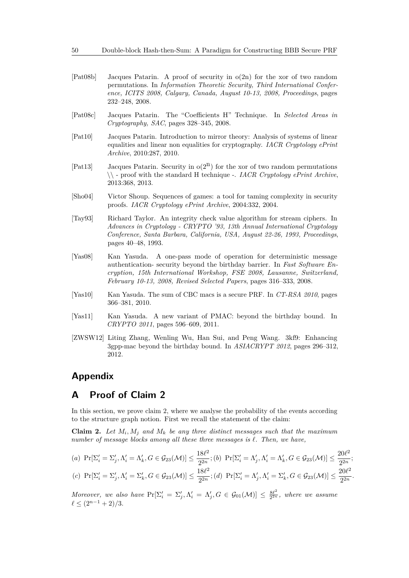- <span id="page-49-5"></span>[Pat08b] Jacques Patarin. A proof of security in o(2n) for the xor of two random permutations. In *Information Theoretic Security, Third International Conference, ICITS 2008, Calgary, Canada, August 10-13, 2008, Proceedings*, pages 232–248, 2008.
- <span id="page-49-4"></span>[Pat08c] Jacques Patarin. The "Coefficients H" Technique. In *Selected Areas in Cryptography, SAC*, pages 328–345, 2008.
- <span id="page-49-6"></span>[Pat10] Jacques Patarin. Introduction to mirror theory: Analysis of systems of linear equalities and linear non equalities for cryptography. *IACR Cryptology ePrint Archive*, 2010:287, 2010.
- <span id="page-49-7"></span>[Pat13] Jacques Patarin. Security in  $o(2^n)$  for the xor of two random permutations \\ - proof with the standard H technique -. *IACR Cryptology ePrint Archive*, 2013:368, 2013.
- <span id="page-49-8"></span>[Sho04] Victor Shoup. Sequences of games: a tool for taming complexity in security proofs. *IACR Cryptology ePrint Archive*, 2004:332, 2004.
- <span id="page-49-9"></span>[Tay93] Richard Taylor. An integrity check value algorithm for stream ciphers. In *Advances in Cryptology - CRYPTO '93, 13th Annual International Cryptology Conference, Santa Barbara, California, USA, August 22-26, 1993, Proceedings*, pages 40–48, 1993.
- <span id="page-49-3"></span>[Yas08] Kan Yasuda. A one-pass mode of operation for deterministic message authentication- security beyond the birthday barrier. In *Fast Software Encryption, 15th International Workshop, FSE 2008, Lausanne, Switzerland, February 10-13, 2008, Revised Selected Papers*, pages 316–333, 2008.
- <span id="page-49-0"></span>[Yas10] Kan Yasuda. The sum of CBC macs is a secure PRF. In *CT-RSA 2010*, pages 366–381, 2010.
- <span id="page-49-1"></span>[Yas11] Kan Yasuda. A new variant of PMAC: beyond the birthday bound. In *CRYPTO 2011*, pages 596–609, 2011.
- <span id="page-49-2"></span>[ZWSW12] Liting Zhang, Wenling Wu, Han Sui, and Peng Wang. 3kf9: Enhancing 3gpp-mac beyond the birthday bound. In *ASIACRYPT 2012*, pages 296–312, 2012.

### **Appendix**

### <span id="page-49-10"></span>**A Proof of Claim 2**

In this section, we prove claim 2, where we analyse the probability of the events according to the structure graph notion. First we recall the statement of the claim:

**Claim 2.** Let  $M_i$ ,  $M_j$  and  $M_k$  be any three distinct messages such that the maximum *number of message blocks among all these three messages is*  $\ell$ *. Then, we have,* 

(a) 
$$
Pr[\Sigma'_i = \Sigma'_j, \Lambda'_i = \Lambda'_k, G \in \mathcal{G}_{23}(\mathcal{M})] \le \frac{18\ell^2}{2^{2n}};
$$
 (b)  $Pr[\Sigma'_i = \Lambda'_j, \Lambda'_i = \Lambda'_k, G \in \mathcal{G}_{23}(\mathcal{M})] \le \frac{20\ell^2}{2^{2n}};$   
(c)  $Pr[\Sigma'_i = \Sigma'_j, \Lambda'_i = \Sigma'_k, G \in \mathcal{G}_{23}(\mathcal{M})] \le \frac{18\ell^2}{2^{2n}};$  (d)  $Pr[\Sigma'_i = \Lambda'_j, \Lambda'_i = \Sigma'_k, G \in \mathcal{G}_{23}(\mathcal{M})] \le \frac{20\ell^2}{2^{2n}};$ 

*Moreover, we also have*  $\Pr[\Sigma_i' = \Sigma_j', \Lambda_i' = \Lambda_j', G \in \mathcal{G}_{01}(\mathcal{M})] \leq \frac{8\ell^2}{2^{2n}}$  $\frac{8\ell^2}{2^{2n}}$ , where we assume  $\ell \leq (2^{n-1} + 2)/3.$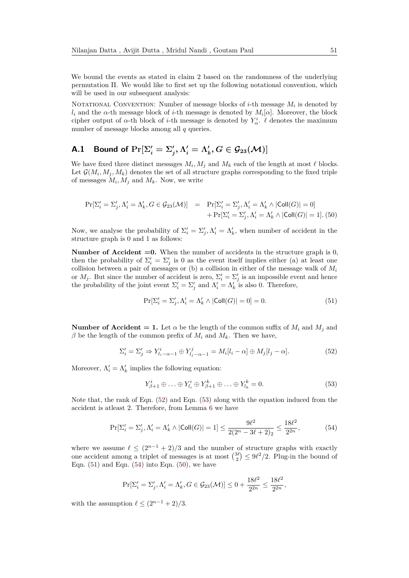We bound the events as stated in claim 2 based on the randomness of the underlying permutation Π. We would like to first set up the following notational convention, which will be used in our subsequent analysis:

NOTATIONAL CONVENTION: Number of message blocks of *i*-th message  $M_i$  is denoted by *l*<sub>*i*</sub> and the *α*-th message block of *i*-th message is denoted by  $M_i[\alpha]$ . Moreover, the block cipher output of  $\alpha$ -th block of *i*-th message is denoted by  $Y^i_\alpha$ .  $\ell$  denotes the maximum number of message blocks among all *q* queries.

## <span id="page-50-5"></span>**A.1** Bound of  $\Pr[\Sigma'_i = \Sigma'_j, \Lambda'_i = \Lambda'_k, G \in \mathcal{G}_{23}(\mathcal{M})]$

We have fixed three distinct messages  $M_i, M_j$  and  $M_k$  each of the length at most  $\ell$  blocks. Let  $\mathcal{G}(M_i, M_j, M_k)$  denotes the set of all structure graphs corresponding to the fixed triple of messages  $M_i, M_j$  and  $M_k$ . Now, we write

<span id="page-50-4"></span>
$$
\Pr[\Sigma_i' = \Sigma_j', \Lambda_i' = \Lambda_k', G \in \mathcal{G}_{23}(\mathcal{M})] = \Pr[\Sigma_i' = \Sigma_j', \Lambda_i' = \Lambda_k' \land |\text{Coll}(G)| = 0] + \Pr[\Sigma_i' = \Sigma_j', \Lambda_i' = \Lambda_k' \land |\text{Coll}(G)| = 1]. (50)
$$

Now, we analyse the probability of  $\Sigma_i' = \Sigma_j', \Lambda_i' = \Lambda_k'$ , when number of accident in the structure graph is 0 and 1 as follows:

**Number of Accident**  $=0$ **.** When the number of accidents in the structure graph is 0. then the probability of  $\Sigma_i' = \Sigma_j'$  is 0 as the event itself implies either (a) at least one collision between a pair of messages or (b) a collision in either of the message walk of *M<sup>i</sup>* or  $M_j$ . But since the number of accident is zero,  $\Sigma'_i = \Sigma'_j$  is an impossible event and hence the probability of the joint event  $\Sigma_i' = \Sigma_j'$  and  $\Lambda_i' = \Lambda_k'$  is also 0. Therefore,

<span id="page-50-2"></span>
$$
\Pr[\Sigma_i' = \Sigma_j', \Lambda_i' = \Lambda_k' \land |\text{Coll}(G)| = 0] = 0.
$$
\n(51)

**Number of Accident = 1.** Let  $\alpha$  be the length of the common suffix of  $M_i$  and  $M_j$  and *β* be the length of the common prefix of  $M_i$  and  $M_k$ . Then we have,

<span id="page-50-0"></span>
$$
\Sigma_i' = \Sigma_j' \Rightarrow Y_{l_i - \alpha - 1}^i \oplus Y_{l_j - \alpha - 1}^j = M_i[l_i - \alpha] \oplus M_j[l_j - \alpha]. \tag{52}
$$

Moreover,  $\Lambda'_i = \Lambda'_k$  implies the following equation:

<span id="page-50-1"></span>
$$
Y_{\beta+1}^i \oplus \ldots \oplus Y_{l_i}^i \oplus Y_{\beta+1}^k \oplus \ldots \oplus Y_{l_k}^k = 0.
$$
 (53)

Note that, the rank of Eqn. [\(52\)](#page-50-0) and Eqn. [\(53\)](#page-50-1) along with the equation induced from the accident is atleast 2. Therefore, from Lemma [6](#page-39-2) we have

<span id="page-50-3"></span>
$$
\Pr[\Sigma_i' = \Sigma_j', \Lambda_i' = \Lambda_k' \land |\text{Coll}(G)| = 1] \le \frac{9\ell^2}{2(2^n - 3\ell + 2)_2} \le \frac{18\ell^2}{2^{2n}},\tag{54}
$$

where we assume  $\ell \leq (2^{n-1} + 2)/3$  and the number of structure graphs with exactly one accident among a triplet of messages is at most  $\binom{3\ell}{2} \leq 9\ell^2/2$ . Plug-in the bound of Eqn.  $(51)$  and Eqn.  $(54)$  into Eqn.  $(50)$ , we have

$$
\Pr[\Sigma'_i = \Sigma'_j, \Lambda'_i = \Lambda'_k, G \in \mathcal{G}_{23}(\mathcal{M})] \le 0 + \frac{18\ell^2}{2^{2n}} \le \frac{18\ell^2}{2^{2n}},
$$

with the assumption  $\ell \leq (2^{n-1} + 2)/3$ .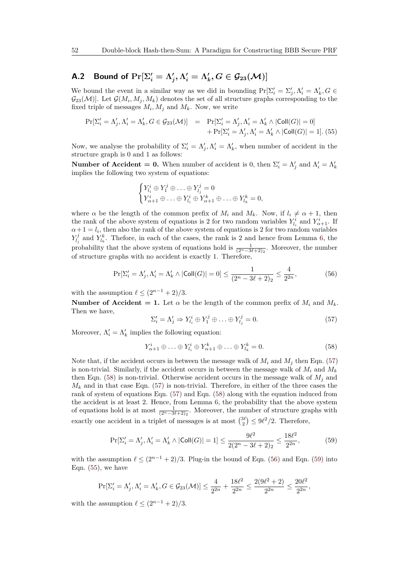## <span id="page-51-5"></span>**A.2** Bound of  $\Pr[\Sigma_i' = \Lambda_j', \Lambda_i' = \Lambda_k', G \in \mathcal{G}_{23}(\mathcal{M})]$

We bound the event in a similar way as we did in bounding  $Pr[\Sigma'_{i} = \Sigma'_{j}, \Lambda'_{i} = \Lambda'_{k}, G \in$  $\mathcal{G}_{23}(\mathcal{M})]$ . Let  $\mathcal{G}(M_i, M_j, M_k)$  denotes the set of all structure graphs corresponding to the fixed triple of messages  $M_i, M_j$  and  $M_k$ . Now, we write

<span id="page-51-4"></span>
$$
\begin{aligned} \Pr[\Sigma_i' = \Lambda_j', \Lambda_i' = \Lambda_k', G \in \mathcal{G}_{23}(\mathcal{M})] &= \Pr[\Sigma_i' = \Lambda_j', \Lambda_i' = \Lambda_k' \land |\mathsf{Coll}(G)| = 0] \\ &+ \Pr[\Sigma_i' = \Lambda_j', \Lambda_i' = \Lambda_k' \land |\mathsf{Coll}(G)| = 1]. \end{aligned} \tag{55}
$$

Now, we analyse the probability of  $\Sigma_i' = \Lambda_j', \Lambda_i' = \Lambda_k'$ , when number of accident in the structure graph is 0 and 1 as follows:

**Number of Accident = 0.** When number of accident is 0, then  $\Sigma'_i = \Lambda'_j$  and  $\Lambda'_i = \Lambda'_k$ implies the following two system of equations:

$$
\begin{cases} Y_{l_i}^i \oplus Y_1^j \oplus \ldots \oplus Y_{l_j}^j = 0 \\ Y_{\alpha+1}^i \oplus \ldots \oplus Y_{l_i}^i \oplus Y_{\alpha+1}^k \oplus \ldots \oplus Y_{l_k}^k = 0, \end{cases}
$$

where  $\alpha$  be the length of the common prefix of  $M_i$  and  $M_k$ . Now, if  $l_i \neq \alpha + 1$ , then the rank of the above system of equations is 2 for two random variables  $Y_{l_i}^i$  and  $Y_{\alpha+1}^i$ . If  $\alpha + 1 = l_i$ , then also the rank of the above system of equations is 2 for two random variables  $Y_{l_j}^j$  and  $Y_{l_k}^k$ . Thefore, in each of the cases, the rank is 2 and hence from Lemma [6,](#page-39-2) the probability that the above system of equations hold is  $\frac{1}{(2^{n}-3\ell+2)_2}$ . Moreover, the number of structure graphs with no accident is exactly 1. Therefore,

<span id="page-51-2"></span>
$$
\Pr[\Sigma_i' = \Lambda_j', \Lambda_i' = \Lambda_k' \land |\text{Coll}(G)| = 0] \le \frac{1}{(2^n - 3\ell + 2)_2} \le \frac{4}{2^{2n}},\tag{56}
$$

with the assumption  $\ell \leq (2^{n-1} + 2)/3$ .

**Number of Accident = 1.** Let  $\alpha$  be the length of the common prefix of  $M_i$  and  $M_k$ . Then we have,

<span id="page-51-0"></span>
$$
\Sigma_i' = \Lambda_j' \Rightarrow Y_{l_i}^i \oplus Y_1^j \oplus \ldots \oplus Y_{l_j}^j = 0. \tag{57}
$$

Moreover,  $\Lambda'_i = \Lambda'_k$  implies the following equation:

<span id="page-51-1"></span>
$$
Y_{\alpha+1}^i \oplus \ldots \oplus Y_{l_i}^i \oplus Y_{\alpha+1}^k \oplus \ldots \oplus Y_{l_k}^k = 0.
$$
 (58)

Note that, if the accident occurs in between the message walk of  $M_i$  and  $M_j$  then Eqn. [\(57\)](#page-51-0) is non-trivial. Similarly, if the accident occurs in between the message walk of  $M_i$  and  $M_k$ then Eqn. [\(58\)](#page-51-1) is non-trivial. Otherwise accident occurs in the message walk of  $M_i$  and  $M_k$  and in that case Eqn. [\(57\)](#page-51-0) is non-trivial. Therefore, in either of the three cases the rank of system of equations Eqn. [\(57\)](#page-51-0) and Eqn. [\(58\)](#page-51-1) along with the equation induced from the accident is at least 2. Hence, from Lemma [6,](#page-39-2) the probability that the above system of equations hold is at most  $\frac{1}{(2n-3\ell+2)_2}$ . Moreover, the number of structure graphs with exactly one accident in a triplet of messages is at most  $\binom{3\ell}{2} \leq 9\ell^2/2$ . Therefore,

<span id="page-51-3"></span>
$$
\Pr[\Sigma_i' = \Lambda_j', \Lambda_i' = \Lambda_k' \land |\text{Coll}(G)| = 1] \le \frac{9\ell^2}{2(2^n - 3\ell + 2)_2} \le \frac{18\ell^2}{2^{2n}},\tag{59}
$$

with the assumption  $\ell \leq (2^{n-1} + 2)/3$ . Plug-in the bound of Eqn. [\(56\)](#page-51-2) and Eqn. [\(59\)](#page-51-3) into Eqn.  $(55)$ , we have

$$
\Pr[\Sigma_i' = \Lambda_j', \Lambda_i' = \Lambda_k', G \in \mathcal{G}_{23}(\mathcal{M})] \le \frac{4}{2^{2n}} + \frac{18\ell^2}{2^{2n}} \le \frac{2(9\ell^2 + 2)}{2^{2n}} \le \frac{20\ell^2}{2^{2n}},
$$

with the assumption  $\ell \leq (2^{n-1} + 2)/3$ .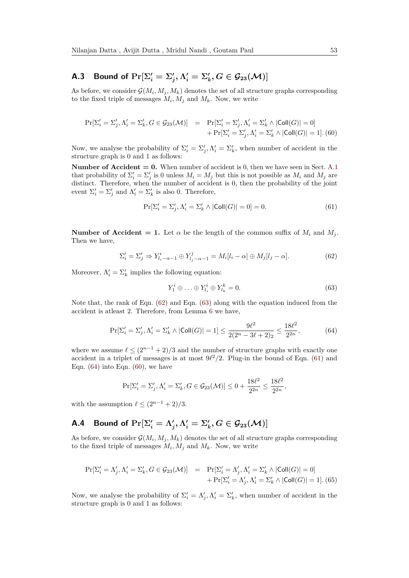## **A.3** Bound of  $\Pr[\Sigma_i' = \Sigma_j', \Lambda_i' = \Sigma_k', G \in \mathcal{G}_{23}(\mathcal{M})]$

As before, we consider  $\mathcal{G}(M_i, M_j, M_k)$  denotes the set of all structure graphs corresponding to the fixed triple of messages  $M_i, M_j$  and  $M_k$ . Now, we write

<span id="page-52-4"></span>
$$
\begin{array}{lll} \Pr[\Sigma_i' = \Sigma_j', \Lambda_i' = \Sigma_k', G \in \mathcal{G}_{23}(\mathcal{M})] & = & \Pr[\Sigma_i' = \Sigma_j', \Lambda_i' = \Sigma_k' \land |\mathsf{Coll}(G)| = 0] \\ & & + \Pr[\Sigma_i' = \Sigma_j', \Lambda_i' = \Sigma_k' \land |\mathsf{Coll}(G)| = 1].\end{array} \tag{60}
$$

Now, we analyse the probability of  $\Sigma_i' = \Sigma_j', \Lambda_i' = \Sigma_k'$ , when number of accident in the structure graph is 0 and 1 as follows:

**Number of Accident**  $= 0$ **.** When number of accident is 0, then we have seen in Sect. [A.1](#page-50-5) that probability of  $\Sigma'_i = \Sigma'_j$  is 0 unless  $M_i = M_j$  but this is not possible as  $M_i$  and  $M_j$  are distinct. Therefore, when the number of accident is 0, then the probability of the joint event  $\Sigma_i' = \Sigma_j'$  and  $\Lambda_i' = \Sigma_k'$  is also 0. Therefore,

<span id="page-52-2"></span>
$$
\Pr[\Sigma_i' = \Sigma_j', \Lambda_i' = \Sigma_k' \land |\text{Coll}(G)| = 0] = 0. \tag{61}
$$

**Number of Accident = 1.** Let  $\alpha$  be the length of the common suffix of  $M_i$  and  $M_j$ . Then we have,

<span id="page-52-0"></span>
$$
\Sigma_i' = \Sigma_j' \Rightarrow Y_{l_i - \alpha - 1}^i \oplus Y_{l_j - \alpha - 1}^j = M_i[l_i - \alpha] \oplus M_j[l_j - \alpha]. \tag{62}
$$

Moreover,  $\Lambda'_i = \Sigma'_k$  implies the following equation:

<span id="page-52-1"></span>
$$
Y_1^i \oplus \ldots \oplus Y_{l_i}^i \oplus Y_{l_k}^k = 0. \tag{63}
$$

Note that, the rank of Eqn. [\(62\)](#page-52-0) and Eqn. [\(63\)](#page-52-1) along with the equation induced from the accident is atleast 2. Therefore, from Lemma [6](#page-39-2) we have,

<span id="page-52-3"></span>
$$
\Pr[\Sigma_i' = \Sigma_j', \Lambda_i' = \Sigma_k' \land |\text{Coll}(G)| = 1] \le \frac{9\ell^2}{2(2^n - 3\ell + 2)_2} \le \frac{18\ell^2}{2^{2n}},\tag{64}
$$

where we assume  $\ell \leq (2^{n-1} + 2)/3$  and the number of structure graphs with exactly one accident in a triplet of messages is at most  $9\ell^2/2$ . Plug-in the bound of Eqn. [\(61\)](#page-52-2) and Eqn.  $(64)$  into Eqn.  $(60)$ , we have

$$
\Pr[\Sigma_i' = \Sigma_j', \Lambda_i' = \Sigma_k', G \in \mathcal{G}_{23}(\mathcal{M})] \le 0 + \frac{18\ell^2}{2^{2n}} \le \frac{18\ell^2}{2^{2n}},
$$

with the assumption  $\ell \leq (2^{n-1} + 2)/3$ .

# **A.4** Bound of  $\Pr[\Sigma_i' = \Lambda_j', \Lambda_i' = \Sigma_k', G \in \mathcal{G}_{23}(\mathcal{M})]$

As before, we consider  $\mathcal{G}(M_i, M_j, M_k)$  denotes the set of all structure graphs corresponding to the fixed triple of messages  $M_i, M_j$  and  $M_k$ . Now, we write

<span id="page-52-5"></span>
$$
\begin{aligned} \Pr[\Sigma_i' = \Lambda_j', \Lambda_i' = \Sigma_k', G \in \mathcal{G}_{23}(\mathcal{M})] &= \Pr[\Sigma_i' = \Lambda_j', \Lambda_i' = \Sigma_k' \land |\mathsf{Coll}(G)| = 0] \\ &+ \Pr[\Sigma_i' = \Lambda_j', \Lambda_i' = \Sigma_k' \land |\mathsf{Coll}(G)| = 1]. \end{aligned} \tag{65}
$$

Now, we analyse the probability of  $\Sigma_i' = \Lambda_j', \Lambda_i' = \Sigma_k'$ , when number of accident in the structure graph is 0 and 1 as follows: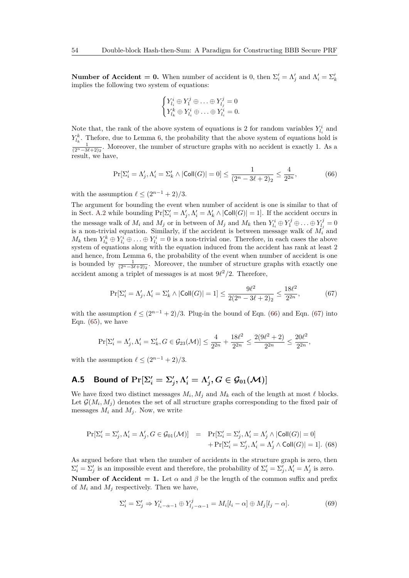**Number of Accident = 0.** When number of accident is 0, then  $\Sigma'_i = \Lambda'_j$  and  $\Lambda'_i = \Sigma'_k$ implies the following two system of equations:

$$
\begin{cases} Y_{l_i}^i \oplus Y_1^j \oplus \ldots \oplus Y_{l_j}^j = 0 \\ Y_{l_k}^k \oplus Y_{l_i}^i \oplus \ldots \oplus Y_{l_i}^i = 0. \end{cases}
$$

Note that, the rank of the above system of equations is 2 for random variables  $Y_{l_i}^i$  and  $Y_{l_k}^k$ . Thefore, due to Lemma [6,](#page-39-2) the probability that the above system of equations hold is  $\frac{1}{(2^{n}-3\ell+2)_2}$ . Moreover, the number of structure graphs with no accident is exactly 1. As a result, we have,

<span id="page-53-0"></span>
$$
\Pr[\Sigma_i' = \Lambda_j', \Lambda_i' = \Sigma_k' \land |\text{Coll}(G)| = 0] \le \frac{1}{(2^n - 3\ell + 2)_2} \le \frac{4}{2^{2n}},\tag{66}
$$

with the assumption  $\ell \leq (2^{n-1} + 2)/3$ .

The argument for bounding the event when number of accident is one is similar to that of in Sect. [A.2](#page-51-5) while bounding  $Pr[\Sigma_i' = \Lambda_j', \Lambda_i' = \Lambda_k' \wedge |Col(G)| = 1]$ . If the accident occurs in the message walk of  $M_i$  and  $M_j$  or in between of  $M_j$  and  $M_k$  then  $Y_{l_i}^i \oplus Y_1^j \oplus \ldots \oplus Y_{l_j}^j = 0$ is a non-trivial equation. Similarly, if the accident is between message walk of  $M_i$  and  $M_k$  then  $Y_{l_k}^k \oplus Y_{l_i}^i \oplus \ldots \oplus Y_{l_i}^i = 0$  is a non-trivial one. Therefore, in each cases the above system of equations along with the equation induced from the accident has rank at least 2 and hence, from Lemma [6,](#page-39-2) the probability of the event when number of accident is one is bounded by  $\frac{1}{(2^n-3\ell+2)_2}$ . Moreover, the number of structure graphs with exactly one accident among a triplet of messages is at most  $9\ell^2/2$ . Therefore,

<span id="page-53-1"></span>
$$
\Pr[\Sigma_i' = \Lambda_j', \Lambda_i' = \Sigma_k' \land |\text{Coll}(G)| = 1] \le \frac{9\ell^2}{2(2^n - 3\ell + 2)_2} \le \frac{18\ell^2}{2^{2n}},\tag{67}
$$

with the assumption  $\ell \leq (2^{n-1} + 2)/3$ . Plug-in the bound of Eqn. [\(66\)](#page-53-0) and Eqn. [\(67\)](#page-53-1) into Eqn.  $(65)$ , we have

$$
\Pr[\Sigma_i' = \Lambda_j', \Lambda_i' = \Sigma_k', G \in \mathcal{G}_{23}(\mathcal{M})] \le \frac{4}{2^{2n}} + \frac{18\ell^2}{2^{2n}} \le \frac{2(9\ell^2 + 2)}{2^{2n}} \le \frac{20\ell^2}{2^{2n}},
$$

with the assumption  $\ell \leq (2^{n-1} + 2)/3$ .

## **A.5** Bound of  $\Pr[\Sigma'_i = \Sigma'_j, \Lambda'_i = \Lambda'_j, G \in \mathcal{G}_{01}(\mathcal{M})]$

We have fixed two distinct messages  $M_i, M_j$  and  $M_k$  each of the length at most  $\ell$  blocks. Let  $\mathcal{G}(M_i, M_j)$  denotes the set of all structure graphs corresponding to the fixed pair of messages  $M_i$  and  $M_j$ . Now, we write

<span id="page-53-3"></span>
$$
\Pr[\Sigma_i' = \Sigma_j', \Lambda_i' = \Lambda_j', G \in \mathcal{G}_{01}(\mathcal{M})] = \Pr[\Sigma_i' = \Sigma_j', \Lambda_i' = \Lambda_j' \land |\text{Coll}(G)| = 0] + \Pr[\Sigma_i' = \Sigma_j', \Lambda_i' = \Lambda_j' \land \text{Coll}(G)| = 1].
$$
(68)

As argued before that when the number of accidents in the structure graph is zero, then  $\Sigma_i' = \Sigma_j'$  is an impossible event and therefore, the probability of  $\Sigma_i' = \Sigma_j', \Lambda_i' = \Lambda_j'$  is zero. **Number of Accident = 1.** Let  $\alpha$  and  $\beta$  be the length of the common suffix and prefix of  $M_i$  and  $M_j$  respectively. Then we have,

<span id="page-53-2"></span>
$$
\Sigma_i' = \Sigma_j' \Rightarrow Y_{l_i - \alpha - 1}^i \oplus Y_{l_j - \alpha - 1}^j = M_i[l_i - \alpha] \oplus M_j[l_j - \alpha]. \tag{69}
$$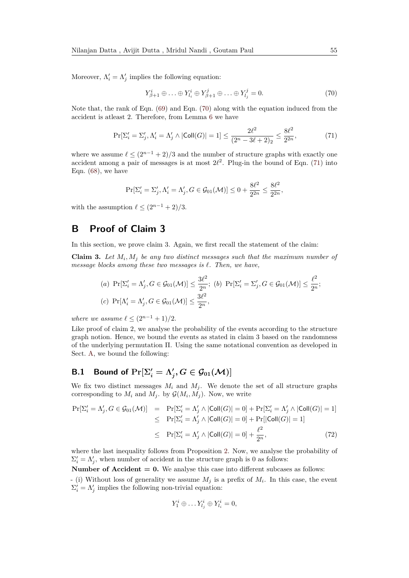Moreover,  $\Lambda'_i = \Lambda'_j$  implies the following equation:

<span id="page-54-1"></span>
$$
Y_{\beta+1}^i \oplus \ldots \oplus Y_{l_i}^i \oplus Y_{\beta+1}^j \oplus \ldots \oplus Y_{l_j}^j = 0.
$$
 (70)

Note that, the rank of Eqn. [\(69\)](#page-53-2) and Eqn. [\(70\)](#page-54-1) along with the equation induced from the accident is atleast 2. Therefore, from Lemma [6](#page-39-2) we have

<span id="page-54-2"></span>
$$
\Pr[\Sigma_i' = \Sigma_j', \Lambda_i' = \Lambda_j' \land |\text{Coll}(G)| = 1] \le \frac{2\ell^2}{(2^n - 3\ell + 2)_2} \le \frac{8\ell^2}{2^{2n}},\tag{71}
$$

where we assume  $\ell \leq (2^{n-1} + 2)/3$  and the number of structure graphs with exactly one accident among a pair of messages is at most  $2\ell^2$ . Plug-in the bound of Eqn. [\(71\)](#page-54-2) into Eqn.  $(68)$ , we have

$$
\Pr[\Sigma'_i = \Sigma'_j, \Lambda'_i = \Lambda'_j, G \in \mathcal{G}_{01}(\mathcal{M})] \le 0 + \frac{8\ell^2}{2^{2n}} \le \frac{8\ell^2}{2^{2n}},
$$

with the assumption  $\ell \leq (2^{n-1} + 2)/3$ .

## <span id="page-54-0"></span>**B Proof of Claim 3**

In this section, we prove claim 3. Again, we first recall the statement of the claim:

**Claim 3.** Let  $M_i$ ,  $M_j$  be any two distinct messages such that the maximum number of *message blocks among these two messages is*  $\ell$ *. Then, we have,* 

$$
(a) \ \Pr[\Sigma'_i = \Lambda'_j, G \in \mathcal{G}_{01}(\mathcal{M})] \le \frac{3\ell^2}{2^n}; \ (b) \ \Pr[\Sigma'_i = \Sigma'_j, G \in \mathcal{G}_{01}(\mathcal{M})] \le \frac{\ell^2}{2^n};
$$
  

$$
(c) \ \Pr[\Lambda'_i = \Lambda'_j, G \in \mathcal{G}_{01}(\mathcal{M})] \le \frac{3\ell^2}{2^n},
$$

*where we assume*  $\ell \leq (2^{n-1} + 1)/2$ .

Like proof of claim 2, we analyse the probability of the events according to the structure graph notion. Hence, we bound the events as stated in claim 3 based on the randomness of the underlying permutation Π. Using the same notational convention as developed in Sect. [A,](#page-49-10) we bound the following:

## **B.1** Bound of  $\Pr[\Sigma_i' = \Lambda_j', G \in \mathcal{G}_{01}(\mathcal{M})]$

We fix two distinct messages  $M_i$  and  $M_j$ . We denote the set of all structure graphs corresponding to  $M_i$  and  $M_j$ . by  $\mathcal{G}(M_i, M_j)$ . Now, we write

<span id="page-54-3"></span>
$$
\Pr[\Sigma'_i = \Lambda'_j, G \in \mathcal{G}_{01}(\mathcal{M})] = \Pr[\Sigma'_i = \Lambda'_j \land |\text{Coll}(G)| = 0] + \Pr[\Sigma'_i = \Lambda'_j \land |\text{Coll}(G)| = 1] \leq \Pr[\Sigma'_i = \Lambda'_j \land |\text{Coll}(G)| = 0] + \Pr[|\text{Coll}(G)| = 1] \leq \Pr[\Sigma'_i = \Lambda'_j \land |\text{Coll}(G)| = 0] + \frac{\ell^2}{2^n},
$$
\n(72)

where the last inequality follows from Proposition [2.](#page-35-0) Now, we analyse the probability of  $\Sigma_i' = \Lambda_j'$ , when number of accident in the structure graph is 0 as follows:

**Number of Accident**  $= 0$ **.** We analyse this case into different subcases as follows: - (i) Without loss of generality we assume *M<sup>j</sup>* is a prefix of *M<sup>i</sup>* . In this case, the event  $\Sigma_i' = \Lambda_j'$  implies the following non-trivial equation:

$$
Y_1^i \oplus \dots Y_{l_j}^i \oplus Y_{l_i}^i = 0,
$$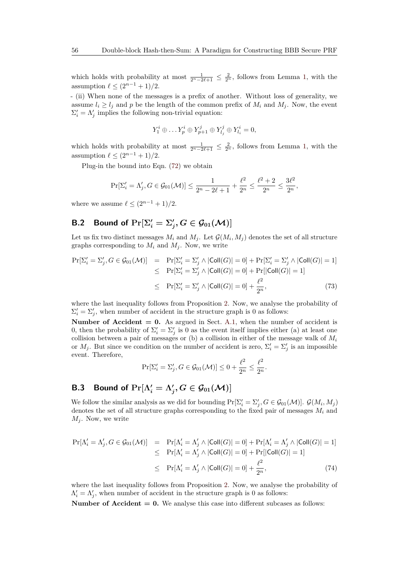which holds with probability at most  $\frac{1}{2^{n}-2\ell+1} \leq \frac{2}{2^n}$ , follows from Lemma [1,](#page-6-2) with the assumption  $\ell \leq (2^{n-1} + 1)/2$ .

- (ii) When none of the messages is a prefix of another. Without loss of generality, we assume  $l_i \geq l_j$  and p be the length of the common prefix of  $M_i$  and  $M_j$ . Now, the event  $\Sigma_i' = \Lambda_j'$  implies the following non-trivial equation:

$$
Y_1^i \oplus \dots Y_p^i \oplus Y_{p+1}^j \oplus Y_{l_j}^j \oplus Y_{l_i}^i = 0,
$$

which holds with probability at most  $\frac{1}{2^n-2\ell+1} \leq \frac{2}{2^n}$ , follows from Lemma [1,](#page-6-2) with the assumption  $\ell < (2^{n-1} + 1)/2$ .

Plug-in the bound into Eqn. [\(72\)](#page-54-3) we obtain

$$
\Pr[\Sigma'_i = \Lambda'_j, G \in \mathcal{G}_{01}(\mathcal{M})] \le \frac{1}{2^n - 2\ell + 1} + \frac{\ell^2}{2^n} \le \frac{\ell^2 + 2}{2^n} \le \frac{3\ell^2}{2^n},
$$

where we assume  $\ell < (2^{n-1} + 1)/2$ .

## **B.2** Bound of  $Pr[\Sigma'_i = \Sigma'_j, G \in \mathcal{G}_{01}(\mathcal{M})]$

Let us fix two distinct messages  $M_i$  and  $M_j$ . Let  $\mathcal{G}(M_i, M_j)$  denotes the set of all structure graphs corresponding to  $M_i$  and  $M_j$ . Now, we write

$$
\Pr[\Sigma_i' = \Sigma_j', G \in \mathcal{G}_{01}(\mathcal{M})] = \Pr[\Sigma_i' = \Sigma_j' \land |\text{Coll}(G)| = 0] + \Pr[\Sigma_i' = \Sigma_j' \land |\text{Coll}(G)| = 1] \leq \Pr[\Sigma_i' = \Sigma_j' \land |\text{Coll}(G)| = 0] + \Pr[|\text{Coll}(G)| = 1] \leq \Pr[\Sigma_i' = \Sigma_j' \land |\text{Coll}(G)| = 0] + \frac{\ell^2}{2^n},
$$
\n(73)

where the last inequality follows from Proposition [2.](#page-35-0) Now, we analyse the probability of  $\Sigma_i' = \Sigma_j'$ , when number of accident in the structure graph is 0 as follows:

**Number of Accident = 0.** As argued in Sect. [A.1,](#page-50-5) when the number of accident is 0, then the probability of  $\Sigma_i' = \Sigma_j'$  is 0 as the event itself implies either (a) at least one collision between a pair of messages or (b) a collision in either of the message walk of *M<sup>i</sup>* or  $M_j$ . But since we condition on the number of accident is zero,  $\Sigma'_i = \Sigma'_j$  is an impossible event. Therefore,

$$
\Pr[\Sigma'_i = \Sigma'_j, G \in \mathcal{G}_{01}(\mathcal{M})] \le 0 + \frac{\ell^2}{2^n} \le \frac{\ell^2}{2^n}.
$$

## **B.3** Bound of  $\Pr[\Lambda_i' = \Lambda_j', G \in \mathcal{G}_{01}(\mathcal{M})]$

We follow the similar analysis as we did for bounding  $Pr[\Sigma'_i = \Sigma'_j, G \in \mathcal{G}_{01}(\mathcal{M})]$ .  $\mathcal{G}(M_i, M_j)$ denotes the set of all structure graphs corresponding to the fixed pair of messages *M<sup>i</sup>* and  $M_i$ . Now, we write

<span id="page-55-0"></span>
$$
\Pr[\Lambda'_i = \Lambda'_j, G \in \mathcal{G}_{01}(\mathcal{M})] = \Pr[\Lambda'_i = \Lambda'_j \land |\text{Coll}(G)| = 0] + \Pr[\Lambda'_i = \Lambda'_j \land |\text{Coll}(G)| = 1] \leq \Pr[\Lambda'_i = \Lambda'_j \land |\text{Coll}(G)| = 0] + \Pr[|\text{Coll}(G)| = 1] \leq \Pr[\Lambda'_i = \Lambda'_j \land |\text{Coll}(G)| = 0] + \frac{\ell^2}{2^n},
$$
\n(74)

where the last inequality follows from Proposition [2.](#page-35-0) Now, we analyse the probability of  $\Lambda'_i = \Lambda'_j$ , when number of accident in the structure graph is 0 as follows:

**Number of Accident**  $= 0$ **.** We analyse this case into different subcases as follows: